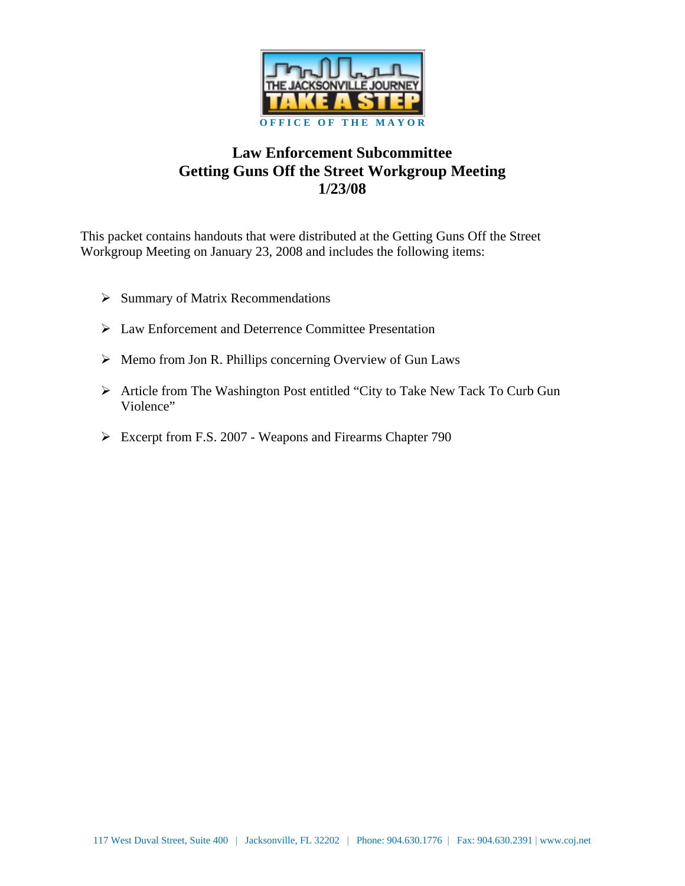

# **Law Enforcement Subcommittee Getting Guns Off the Street Workgroup Meeting 1/23/08**

This packet contains handouts that were distributed at the Getting Guns Off the Street Workgroup Meeting on January 23, 2008 and includes the following items:

- $\triangleright$  Summary of Matrix Recommendations
- ¾ Law Enforcement and Deterrence Committee Presentation
- $\triangleright$  Memo from Jon R. Phillips concerning Overview of Gun Laws
- ¾ Article from The Washington Post entitled "City to Take New Tack To Curb Gun Violence"
- ¾ Excerpt from F.S. 2007 Weapons and Firearms Chapter 790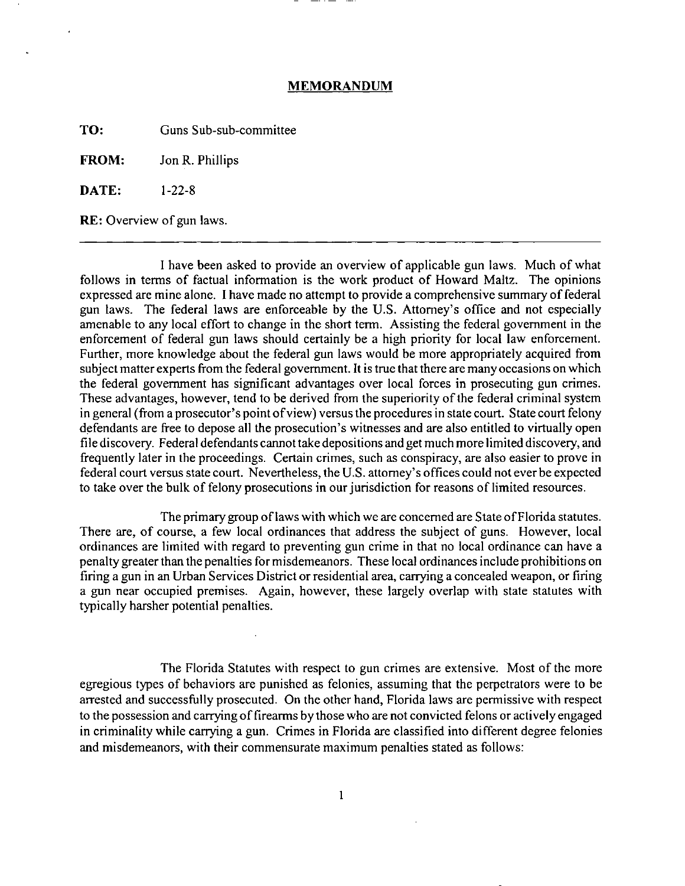#### **MEMORANDUM**

TO: Guns Sub-sub-committee

**FROM:** Jon R. Phillips

DATE:  $1 - 22 - 8$ 

RE: Overview of gun laws.

I have been asked to provide an overview of applicable gun laws. Much of what follows in terms of factual information is the work product of Howard Maltz. The opinions expressed are mine alone. I have made no attempt to provide a comprehensive summary of federal gun laws. The federal laws are enforceable by the U.S. Attorney's office and not especially amenable to any local effort to change in the short term. Assisting the federal government in the enforcement of federal gun laws should certainly be a high priority for local law enforcement. Further, more knowledge about the federal gun laws would be more appropriately acquired from subject matter experts from the federal government. It is true that there are many occasions on which the federal government has significant advantages over local forces in prosecuting gun crimes. These advantages, however, tend to be derived from the superiority of the federal criminal system in general (from a prosecutor's point of view) versus the procedures in state court. State court felony defendants are free to depose all the prosecution's witnesses and are also entitled to virtually open file discovery. Federal defendants cannot take depositions and get much more limited discovery, and frequently later in the proceedings. Certain crimes, such as conspiracy, are also easier to prove in federal court versus state court. Nevertheless, the U.S. attorney's offices could not ever be expected to take over the bulk of felony prosecutions in our jurisdiction for reasons of limited resources.

The primary group of laws with which we are concerned are State of Florida statutes. There are, of course, a few local ordinances that address the subject of guns. However, local ordinances are limited with regard to preventing gun crime in that no local ordinance can have a penalty greater than the penalties for misdemeanors. These local ordinances include prohibitions on firing a gun in an Urban Services District or residential area, carrying a concealed weapon, or firing a gun near occupied premises. Again, however, these largely overlap with state statutes with typically harsher potential penalties.

The Florida Statutes with respect to gun crimes are extensive. Most of the more egregious types of behaviors are punished as felonies, assuming that the perpetrators were to be arrested and successfully prosecuted. On the other hand, Florida laws are permissive with respect to the possession and carrying of firearms by those who are not convicted felons or actively engaged in criminality while carrying a gun. Crimes in Florida are classified into different degree felonies and misdemeanors, with their commensurate maximum penalties stated as follows: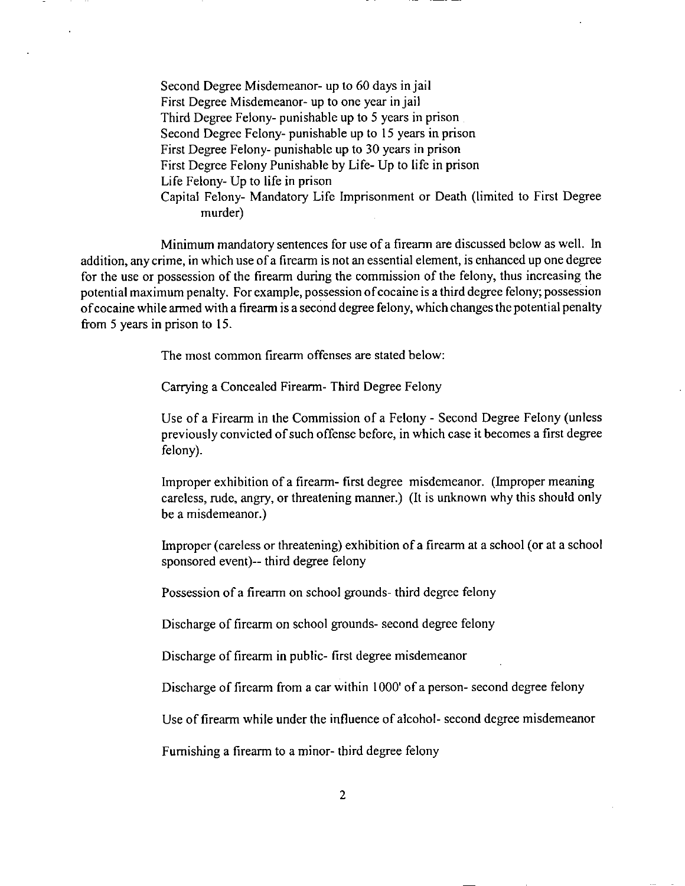Second Degree Misdemeanor- up to 60 days in jail First Degree Misdemeanor- up to one year in jail Third Degree Felony- punishable up to 5 years in prison Second Degree Felony- punishable up to 15 years in prison First Degree Felony- punishable up to 30 years in prison First Degree Felony Punishable by Life- Up to life in prison Life Felony- Up to life in prison Capital Felony- Mandatory Life Imprisonment or Death (limited to First Degree murder)

Minimum mandatory sentences for use of a firearm are discussed below as well. In addition, any crime, in which use of a firearm is not an essential element, is enhanced up one degree for the use or possession of the firearm during the commission of the felony, thus increasing the potential maximum penalty. For example, possession of cocaine is a third degree felony; possession of cocaine while armed with a firearm is a second degree felony, which changes the potential penalty from 5 years in prison to 15.

The most common firearm offenses are stated below:

Carrying a Concealed Firearm-Third Degree Felony

Use of a Firearm in the Commission of a Felony - Second Degree Felony (unless previously convicted of such offense before, in which case it becomes a first degree felony).

Improper exhibition of a firearm- first degree misdemeanor. (Improper meaning careless, rude, angry, or threatening manner.) (It is unknown why this should only be a misdemeanor.)

Improper (careless or threatening) exhibition of a firearm at a school (or at a school sponsored event)-- third degree felony

Possession of a firearm on school grounds-third degree felony

Discharge of firearm on school grounds-second degree felony

Discharge of firearm in public-first degree misdemeanor

Discharge of firearm from a car within 1000' of a person-second degree felony

Use of firearm while under the influence of alcohol- second degree misdemeanor

Furnishing a firearm to a minor-third degree felony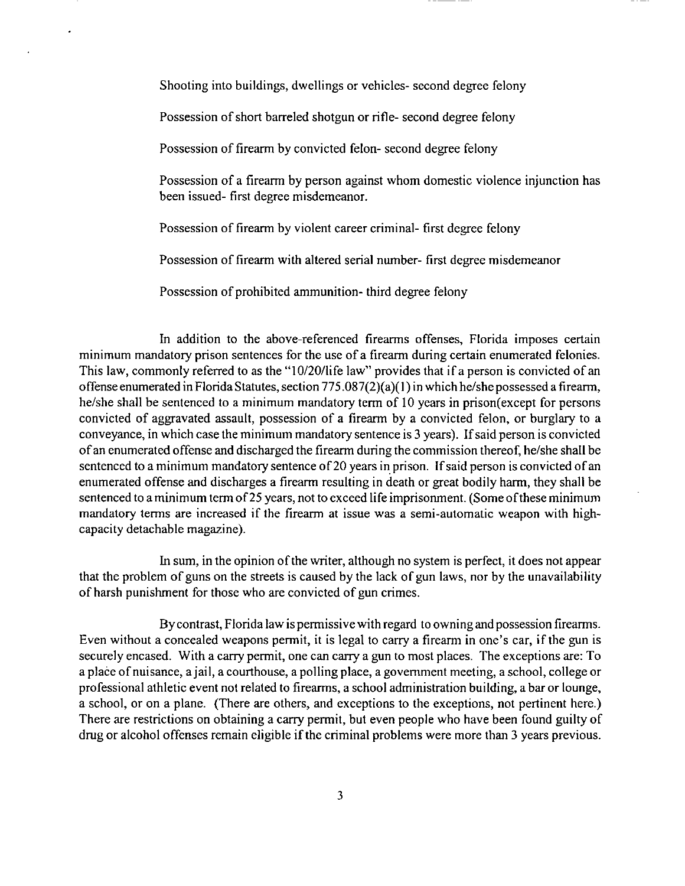Shooting into buildings, dwellings or vehicles- second degree felony

Possession of short barreled shotgun or rifle-second degree felony

Possession of firearm by convicted felon-second degree felony

Possession of a firearm by person against whom domestic violence injunction has been issued- first degree misdemeanor.

Possession of firearm by violent career criminal- first degree felony

Possession of firearm with altered serial number- first degree misdemeanor

Possession of prohibited ammunition-third degree felony

In addition to the above-referenced firearms offenses, Florida imposes certain minimum mandatory prison sentences for the use of a firearm during certain enumerated felonies. This law, commonly referred to as the "10/20/life law" provides that if a person is convicted of an offense enumerated in Florida Statutes, section 775.087(2)(a)(1) in which he/she possessed a firearm, he/she shall be sentenced to a minimum mandatory term of 10 years in prison(except for persons convicted of aggravated assault, possession of a firearm by a convicted felon, or burglary to a conveyance, in which case the minimum mandatory sentence is 3 years). If said person is convicted of an enumerated offense and discharged the firearm during the commission thereof, he/she shall be sentenced to a minimum mandatory sentence of 20 years in prison. If said person is convicted of an enumerated offense and discharges a firearm resulting in death or great bodily harm, they shall be sentenced to a minimum term of 25 years, not to exceed life imprisonment. (Some of these minimum mandatory terms are increased if the firearm at issue was a semi-automatic weapon with highcapacity detachable magazine).

In sum, in the opinion of the writer, although no system is perfect, it does not appear that the problem of guns on the streets is caused by the lack of gun laws, nor by the unavailability of harsh punishment for those who are convicted of gun crimes.

By contrast, Florida law is permissive with regard to owning and possession firearms. Even without a concealed weapons permit, it is legal to carry a firearm in one's car, if the gun is securely encased. With a carry permit, one can carry a gun to most places. The exceptions are: To a place of nuisance, a jail, a courthouse, a polling place, a government meeting, a school, college or professional athletic event not related to firearms, a school administration building, a bar or lounge, a school, or on a plane. (There are others, and exceptions to the exceptions, not pertinent here.) There are restrictions on obtaining a carry permit, but even people who have been found guilty of drug or alcohol offenses remain eligible if the criminal problems were more than 3 years previous.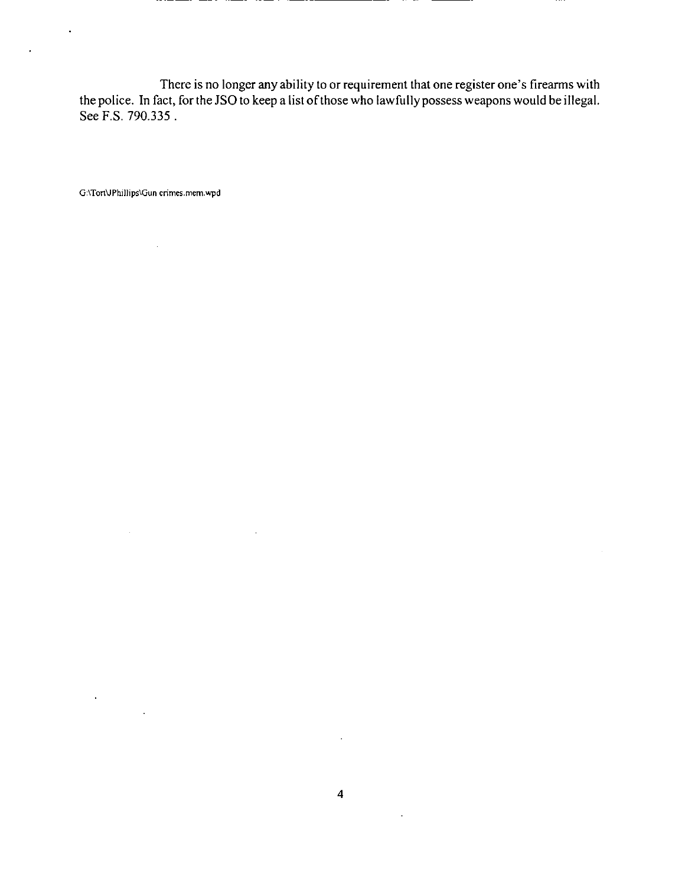There is no longer any ability to or requirement that one register one's firearms with<br>the police. In fact, for the JSO to keep a list of those who lawfully possess weapons would be illegal. See F.S. 790.335.

G:\Tort\JPhillips\Gun crimes.mem.wpd

 $\bar{\mathbf{z}}$ 

 $\hat{\mathbf{r}}$ 

 $\ddot{\phantom{0}}$ 

 $\mathcal{L}^{\mathcal{A}}$ 

 $\epsilon$ 

 $\mathcal{A}$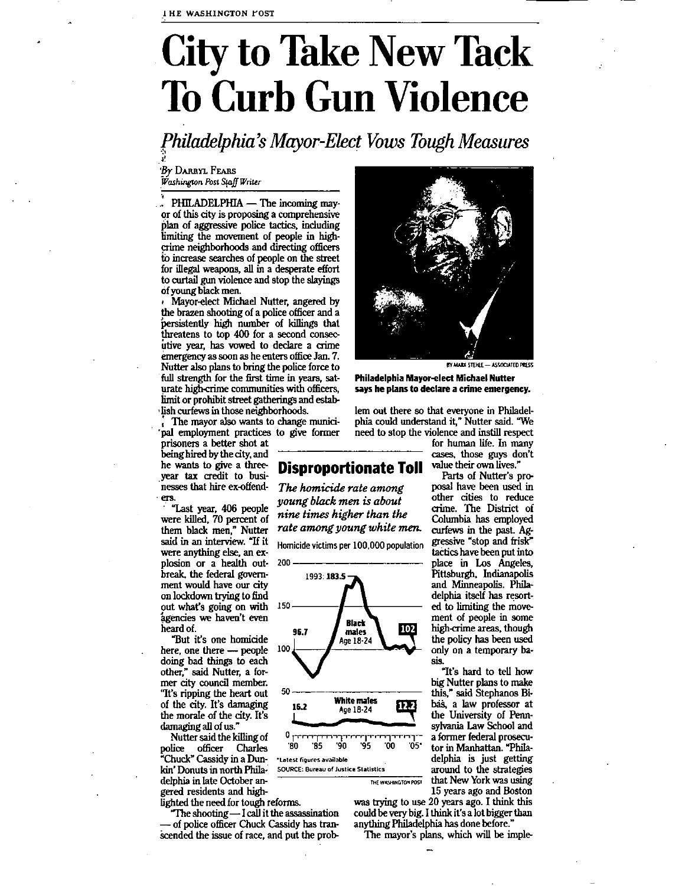# **City to Take New Tack To Curb Gun Violence**

Philadelphia's Mayor-Elect Vows Tough Measures

**Disproportionate Toll** 

The homicide rate among

young black men is about

nine times higher than the

1993: 183.5

rate among young white men.

Homicide victims per 100,000 population

**Black** 

males

Age 18-24

White males

Age 18-24

'95

'90

**SOURCE: Bureau of Justice Statistics** 

102

 $'05'$ 

'00

THE WASHINGTON POST

'By Darryl Fears Washington Post Staff Writer

PHILADELPHIA - The incoming mayor of this city is proposing a comprehensive plan of aggressive police tactics, including limiting the movement of people in highcrime neighborhoods and directing officers to increase searches of people on the street for illegal weapons, all in a desperate effort to curtail gun violence and stop the slayings of young black men.

Mayor-elect Michael Nutter, angered by the brazen shooting of a police officer and a persistently high number of killings that threatens to top 400 for a second consecutive year, has vowed to declare a crime emergency as soon as he enters office Jan. 7. Nutter also plans to bring the police force to full strength for the first time in years, saturate high-crime communities with officers, limit or prohibit street gatherings and establish curfews in those neighborhoods.

The mayor also wants to change municipal employment practices to give former

200

150

100

50

96.7

16.2

'80

-85

\*Latest figures available

prisoners a better shot at being hired by the city, and he wants to give a threeyear tax credit to businesses that hire ex-offenders

'Last year, 406 people were killed, 70 percent of them black men," Nutter said in an interview. "If it were anything else, an explosion or a health outbreak, the federal government would have our city on lockdown trying to find out what's going on with agencies we haven't even heard of.

"But it's one homicide here, one there - people doing bad things to each other," said Nutter, a former city council member. 'It's ripping the heart out of the city. It's damaging the morale of the city. It's damaging all of us.

Nutter said the killing of police officer Charles "Chuck" Cassidy in a Dunkin' Donuts in north Philadelphia in late October angered residents and high-

lighted the need for tough reforms.

The shooting  $-$  I call it the assassination of police officer Chuck Cassidy has transcended the issue of race, and put the prob-



**BY MARX STEHLE - ASSOCIATED PRESS** 

Philadelphia Mayor-elect Michael Nutter says he plans to declare a crime emergency.

lem out there so that everyone in Philadelphia could understand it," Nutter said. "We need to stop the violence and instill respect

for human life. In many cases, those guys don't value their own lives."

Parts of Nutter's proposal have been used in other cities to reduce crime. The District of Columbia has employed curfews in the past. Aggressive "stop and frisk" tactics have been put into place in Los Angeles, Pittsburgh, Indianapolis and Minneapolis. Philadelphia itself has resorted to limiting the movement of people in some high-crime areas, though the policy has been used only on a temporary basis.

"It's hard to tell how big Nutter plans to make this," said Stephanos Bibas, a law professor at the University of Pennsylvania Law School and a former federal prosecutor in Manhattan. "Philadelphia is just getting around to the strategies that New York was using 15 years ago and Boston

was trying to use 20 years ago. I think this could be very big. I think it's a lot bigger than anything Philadelphia has done before."

The mayor's plans, which will be imple-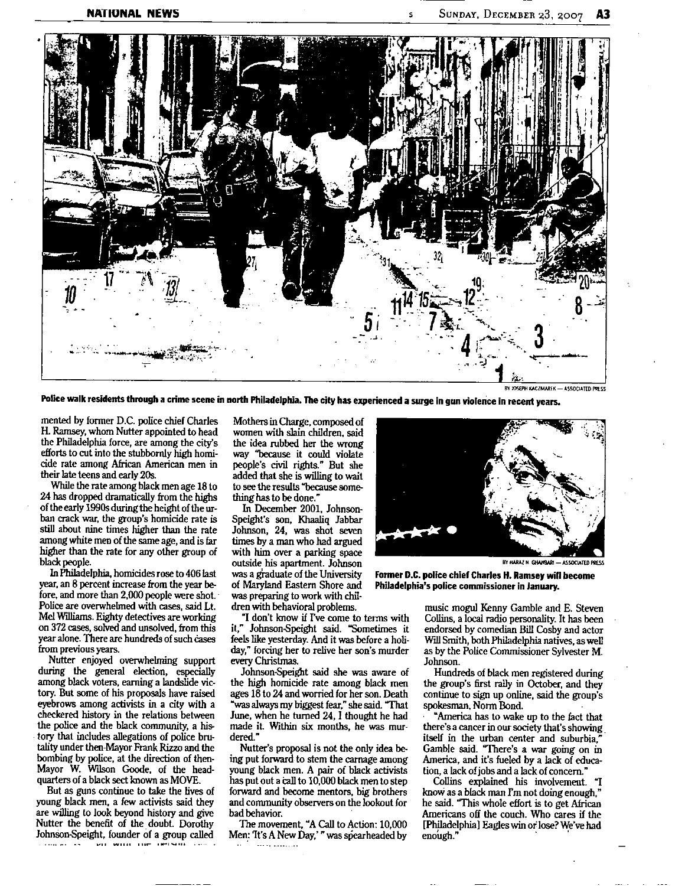

Police walk residents through a crime scene in north Philadelphia. The city has experienced a surge in gun violence in recent years.

mented by former D.C. police chief Charles H. Ramsey, whom Nutter appointed to head the Philadelphia force, are among the city's efforts to cut into the stubbornly high homicide rate among African American men in their late teens and early 20s.

While the rate among black men age 18 to 24 has dropped dramatically from the highs of the early 1990s during the height of the urban crack war, the group's homicide rate is still about nine times higher than the rate among white men of the same age, and is far higher than the rate for any other group of black people.

In Philadelphia, homicides rose to 406 last year, an 8 percent increase from the year before, and more than 2,000 people were shot. Police are overwhelmed with cases, said Lt. Mel Williams. Eighty detectives are working on 372 cases, solved and unsolved, from this year alone. There are hundreds of such cases from previous years.

Nutter enjoyed overwhelming support during the general election, especially among black voters, earning a landslide victory. But some of his proposals have raised eyebrows among activists in a city with a checkered history in the relations between the police and the black community, a history that includes allegations of police brutality under then-Mayor Frank Rizzo and the bombing by police, at the direction of then-Mayor W. Wilson Goode, of the headquarters of a black sect known as MOVE.

But as guns continue to take the lives of young black men, a few activists said they are willing to look beyond history and give Nutter the benefit of the doubt. Dorothy Johnson-Speight, founder of a group called **PO WILL THE THEST** 

Mothers in Charge, composed of women with slain children, said the idea rubbed her the wrong way "because it could violate people's civil rights." But she added that she is willing to wait to see the results "because something has to be done."

In December 2001, Johnson-Speight's son, Khaaliq Jabbar Johnson, 24, was shot seven times by a man who had argued with him over a parking space outside his apartment. Johnson was a graduate of the University of Maryland Eastern Shore and was preparing to work with children with behavioral problems.

"I don't know if I've come to terms with it," Johnson-Speight said. "Sometimes it feels like yesterday. And it was before a holiday," forcing her to relive her son's murder every Christmas.

Johnson-Speight said she was aware of the high homicide rate among black men ages 18 to 24 and worried for her son. Death "was always my biggest fear," she said. "That June, when he turned 24, I thought he had made it. Within six months, he was murdered."

Nutter's proposal is not the only idea being put forward to stem the carnage among young black men. A pair of black activists has put out a call to 10,000 black men to step forward and become mentors, big brothers and community observers on the lookout for bad behavior.

The movement, "A Call to Action: 10,000 Men: It's A New Day,' " was spearheaded by



EY HARAZ N. GHANBARI - ASSOCIATED PRESS

Former D.C. police chief Charles H. Ramsey will become Philadelphia's police commissioner in January.

> music mogul Kenny Gamble and E. Steven Collins, a local radio personality. It has been endorsed by comedian Bill Cosby and actor Will Smith, both Philadelphia natives, as well as by the Police Commissioner Sylvester M. Johnson.

> Hundreds of black men registered during the group's first rally in October, and they continue to sign up online, said the group's spokesman, Norm Bond.

> "America has to wake up to the fact that there's a cancer in our society that's showing itself in the urban center and suburbia." Gamble said. "There's a war going on in America, and it's fueled by a lack of education, a lack of jobs and a lack of concern."

> Collins explained his involvement. "I know as a black man I'm not doing enough," he said. "This whole effort is to get African Americans off the couch. Who cares if the [Philadelphia] Eagles win or lose? We've had enough."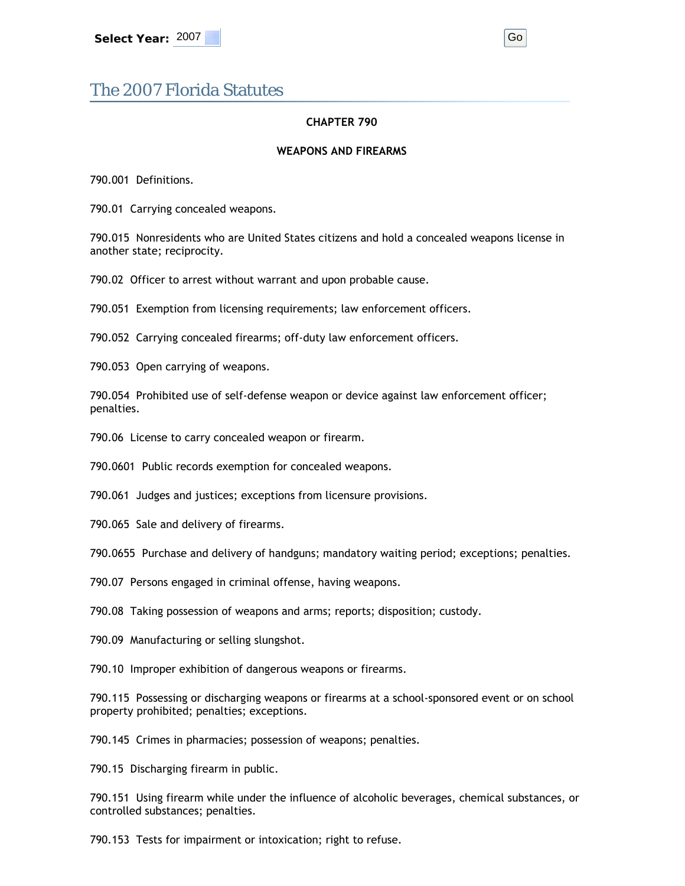# The 2007 Florida Statutes

# **CHAPTER 790**

# **WEAPONS AND FIREARMS**

790.001 Definitions.

790.01 Carrying concealed weapons.

790.015 Nonresidents who are United States citizens and hold a concealed weapons license in another state; reciprocity.

790.02 Officer to arrest without warrant and upon probable cause.

790.051 Exemption from licensing requirements; law enforcement officers.

790.052 Carrying concealed firearms; off-duty law enforcement officers.

790.053 Open carrying of weapons.

790.054 Prohibited use of self-defense weapon or device against law enforcement officer; penalties.

790.06 License to carry concealed weapon or firearm.

790.0601 Public records exemption for concealed weapons.

790.061 Judges and justices; exceptions from licensure provisions.

790.065 Sale and delivery of firearms.

790.0655 Purchase and delivery of handguns; mandatory waiting period; exceptions; penalties.

790.07 Persons engaged in criminal offense, having weapons.

790.08 Taking possession of weapons and arms; reports; disposition; custody.

790.09 Manufacturing or selling slungshot.

790.10 Improper exhibition of dangerous weapons or firearms.

790.115 Possessing or discharging weapons or firearms at a school-sponsored event or on school property prohibited; penalties; exceptions.

790.145 Crimes in pharmacies; possession of weapons; penalties.

790.15 Discharging firearm in public.

790.151 Using firearm while under the influence of alcoholic beverages, chemical substances, or controlled substances; penalties.

790.153 Tests for impairment or intoxication; right to refuse.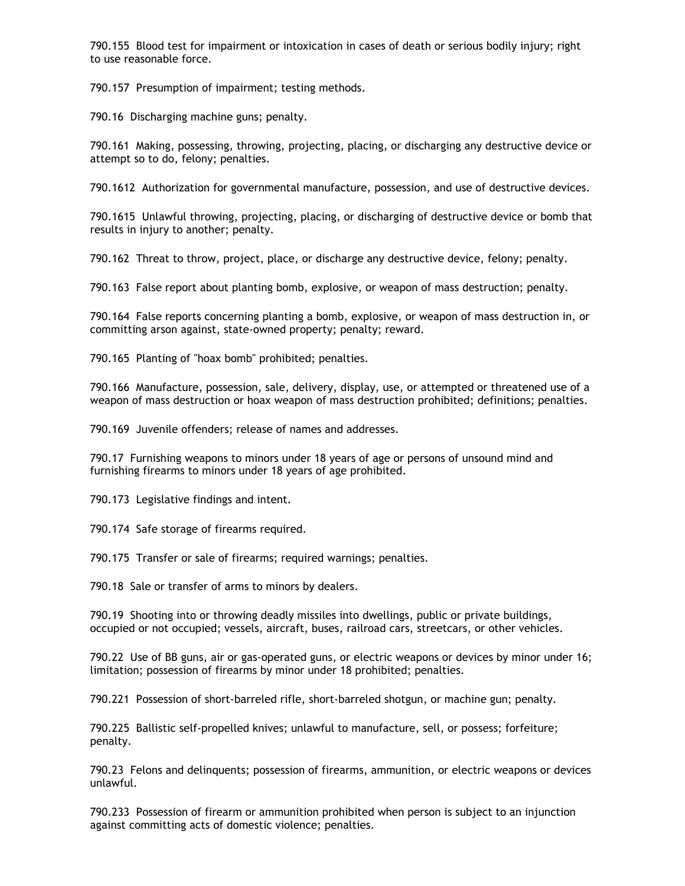790.155 Blood test for impairment or intoxication in cases of death or serious bodily injury; right to use reasonable force.

790.157 Presumption of impairment; testing methods.

790.16 Discharging machine guns; penalty.

790.161 Making, possessing, throwing, projecting, placing, or discharging any destructive device or attempt so to do, felony; penalties.

790.1612 Authorization for governmental manufacture, possession, and use of destructive devices.

790.1615 Unlawful throwing, projecting, placing, or discharging of destructive device or bomb that results in injury to another; penalty.

790.162 Threat to throw, project, place, or discharge any destructive device, felony; penalty.

790.163 False report about planting bomb, explosive, or weapon of mass destruction; penalty.

790.164 False reports concerning planting a bomb, explosive, or weapon of mass destruction in, or committing arson against, state-owned property; penalty; reward.

790.165 Planting of "hoax bomb" prohibited; penalties.

790.166 Manufacture, possession, sale, delivery, display, use, or attempted or threatened use of a weapon of mass destruction or hoax weapon of mass destruction prohibited; definitions; penalties.

790.169 Juvenile offenders; release of names and addresses.

790.17 Furnishing weapons to minors under 18 years of age or persons of unsound mind and furnishing firearms to minors under 18 years of age prohibited.

790.173 Legislative findings and intent.

790.174 Safe storage of firearms required.

790.175 Transfer or sale of firearms; required warnings; penalties.

790.18 Sale or transfer of arms to minors by dealers.

790.19 Shooting into or throwing deadly missiles into dwellings, public or private buildings, occupied or not occupied; vessels, aircraft, buses, railroad cars, streetcars, or other vehicles.

790.22 Use of BB guns, air or gas-operated guns, or electric weapons or devices by minor under 16; limitation; possession of firearms by minor under 18 prohibited; penalties.

790.221 Possession of short-barreled rifle, short-barreled shotgun, or machine gun; penalty.

790.225 Ballistic self-propelled knives; unlawful to manufacture, sell, or possess; forfeiture; penalty.

790.23 Felons and delinquents; possession of firearms, ammunition, or electric weapons or devices unlawful.

790.233 Possession of firearm or ammunition prohibited when person is subject to an injunction against committing acts of domestic violence; penalties.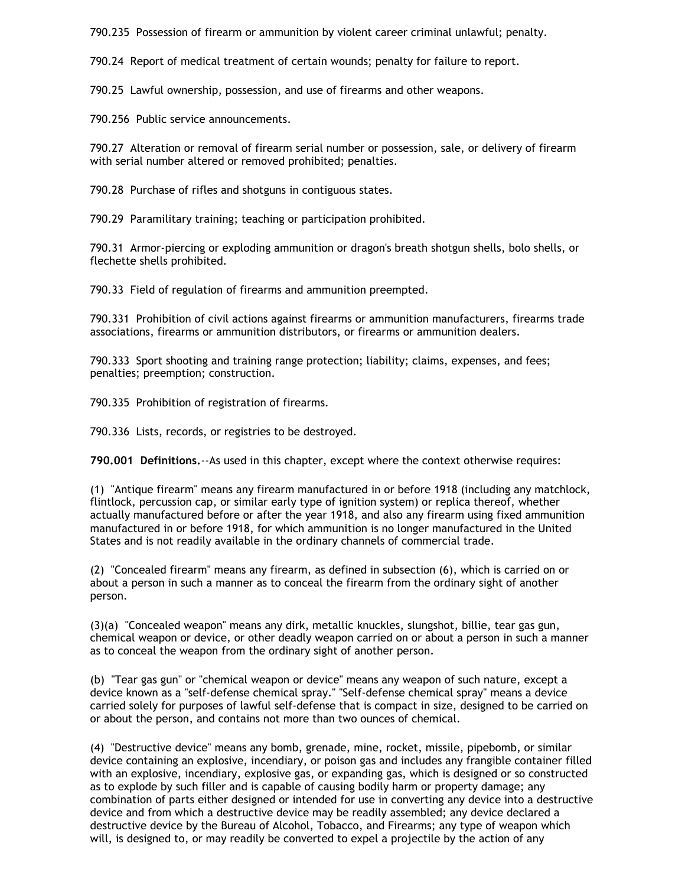790.235 Possession of firearm or ammunition by violent career criminal unlawful; penalty.

790.24 Report of medical treatment of certain wounds; penalty for failure to report.

790.25 Lawful ownership, possession, and use of firearms and other weapons.

790.256 Public service announcements.

790.27 Alteration or removal of firearm serial number or possession, sale, or delivery of firearm with serial number altered or removed prohibited; penalties.

790.28 Purchase of rifles and shotguns in contiguous states.

790.29 Paramilitary training; teaching or participation prohibited.

790.31 Armor-piercing or exploding ammunition or dragon's breath shotgun shells, bolo shells, or flechette shells prohibited.

790.33 Field of regulation of firearms and ammunition preempted.

790.331 Prohibition of civil actions against firearms or ammunition manufacturers, firearms trade associations, firearms or ammunition distributors, or firearms or ammunition dealers.

790.333 Sport shooting and training range protection; liability; claims, expenses, and fees; penalties; preemption; construction.

790.335 Prohibition of registration of firearms.

790.336 Lists, records, or registries to be destroyed.

**790.001 Definitions.**--As used in this chapter, except where the context otherwise requires:

(1) "Antique firearm" means any firearm manufactured in or before 1918 (including any matchlock, flintlock, percussion cap, or similar early type of ignition system) or replica thereof, whether actually manufactured before or after the year 1918, and also any firearm using fixed ammunition manufactured in or before 1918, for which ammunition is no longer manufactured in the United States and is not readily available in the ordinary channels of commercial trade.

(2) "Concealed firearm" means any firearm, as defined in subsection (6), which is carried on or about a person in such a manner as to conceal the firearm from the ordinary sight of another person.

(3)(a) "Concealed weapon" means any dirk, metallic knuckles, slungshot, billie, tear gas gun, chemical weapon or device, or other deadly weapon carried on or about a person in such a manner as to conceal the weapon from the ordinary sight of another person.

(b) "Tear gas gun" or "chemical weapon or device" means any weapon of such nature, except a device known as a "self-defense chemical spray." "Self-defense chemical spray" means a device carried solely for purposes of lawful self-defense that is compact in size, designed to be carried on or about the person, and contains not more than two ounces of chemical.

(4) "Destructive device" means any bomb, grenade, mine, rocket, missile, pipebomb, or similar device containing an explosive, incendiary, or poison gas and includes any frangible container filled with an explosive, incendiary, explosive gas, or expanding gas, which is designed or so constructed as to explode by such filler and is capable of causing bodily harm or property damage; any combination of parts either designed or intended for use in converting any device into a destructive device and from which a destructive device may be readily assembled; any device declared a destructive device by the Bureau of Alcohol, Tobacco, and Firearms; any type of weapon which will, is designed to, or may readily be converted to expel a projectile by the action of any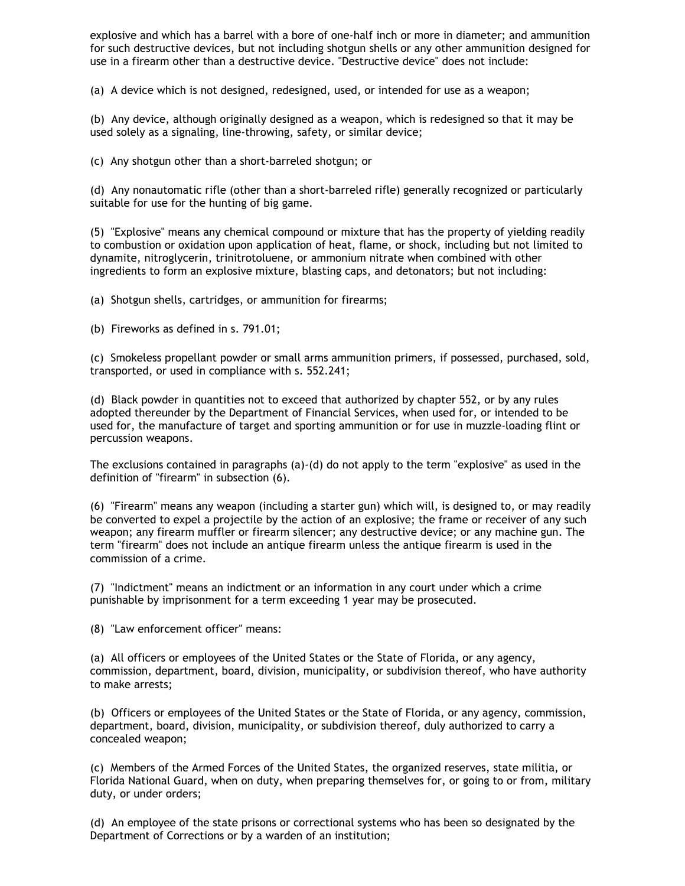explosive and which has a barrel with a bore of one-half inch or more in diameter; and ammunition for such destructive devices, but not including shotgun shells or any other ammunition designed for use in a firearm other than a destructive device. "Destructive device" does not include:

(a) A device which is not designed, redesigned, used, or intended for use as a weapon;

(b) Any device, although originally designed as a weapon, which is redesigned so that it may be used solely as a signaling, line-throwing, safety, or similar device;

(c) Any shotgun other than a short-barreled shotgun; or

(d) Any nonautomatic rifle (other than a short-barreled rifle) generally recognized or particularly suitable for use for the hunting of big game.

(5) "Explosive" means any chemical compound or mixture that has the property of yielding readily to combustion or oxidation upon application of heat, flame, or shock, including but not limited to dynamite, nitroglycerin, trinitrotoluene, or ammonium nitrate when combined with other ingredients to form an explosive mixture, blasting caps, and detonators; but not including:

(a) Shotgun shells, cartridges, or ammunition for firearms;

(b) Fireworks as defined in s. 791.01;

(c) Smokeless propellant powder or small arms ammunition primers, if possessed, purchased, sold, transported, or used in compliance with s. 552.241;

(d) Black powder in quantities not to exceed that authorized by chapter 552, or by any rules adopted thereunder by the Department of Financial Services, when used for, or intended to be used for, the manufacture of target and sporting ammunition or for use in muzzle-loading flint or percussion weapons.

The exclusions contained in paragraphs (a)-(d) do not apply to the term "explosive" as used in the definition of "firearm" in subsection (6).

(6) "Firearm" means any weapon (including a starter gun) which will, is designed to, or may readily be converted to expel a projectile by the action of an explosive; the frame or receiver of any such weapon; any firearm muffler or firearm silencer; any destructive device; or any machine gun. The term "firearm" does not include an antique firearm unless the antique firearm is used in the commission of a crime.

(7) "Indictment" means an indictment or an information in any court under which a crime punishable by imprisonment for a term exceeding 1 year may be prosecuted.

(8) "Law enforcement officer" means:

(a) All officers or employees of the United States or the State of Florida, or any agency, commission, department, board, division, municipality, or subdivision thereof, who have authority to make arrests;

(b) Officers or employees of the United States or the State of Florida, or any agency, commission, department, board, division, municipality, or subdivision thereof, duly authorized to carry a concealed weapon;

(c) Members of the Armed Forces of the United States, the organized reserves, state militia, or Florida National Guard, when on duty, when preparing themselves for, or going to or from, military duty, or under orders;

(d) An employee of the state prisons or correctional systems who has been so designated by the Department of Corrections or by a warden of an institution;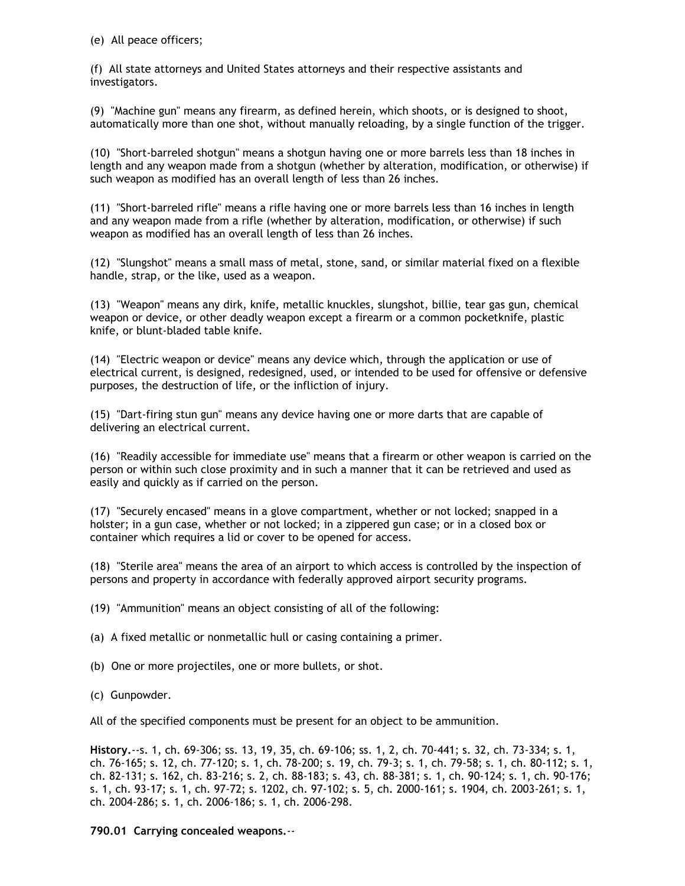(e) All peace officers;

(f) All state attorneys and United States attorneys and their respective assistants and investigators.

(9) "Machine gun" means any firearm, as defined herein, which shoots, or is designed to shoot, automatically more than one shot, without manually reloading, by a single function of the trigger.

(10) "Short-barreled shotgun" means a shotgun having one or more barrels less than 18 inches in length and any weapon made from a shotgun (whether by alteration, modification, or otherwise) if such weapon as modified has an overall length of less than 26 inches.

(11) "Short-barreled rifle" means a rifle having one or more barrels less than 16 inches in length and any weapon made from a rifle (whether by alteration, modification, or otherwise) if such weapon as modified has an overall length of less than 26 inches.

(12) "Slungshot" means a small mass of metal, stone, sand, or similar material fixed on a flexible handle, strap, or the like, used as a weapon.

(13) "Weapon" means any dirk, knife, metallic knuckles, slungshot, billie, tear gas gun, chemical weapon or device, or other deadly weapon except a firearm or a common pocketknife, plastic knife, or blunt-bladed table knife.

(14) "Electric weapon or device" means any device which, through the application or use of electrical current, is designed, redesigned, used, or intended to be used for offensive or defensive purposes, the destruction of life, or the infliction of injury.

(15) "Dart-firing stun gun" means any device having one or more darts that are capable of delivering an electrical current.

(16) "Readily accessible for immediate use" means that a firearm or other weapon is carried on the person or within such close proximity and in such a manner that it can be retrieved and used as easily and quickly as if carried on the person.

(17) "Securely encased" means in a glove compartment, whether or not locked; snapped in a holster; in a gun case, whether or not locked; in a zippered gun case; or in a closed box or container which requires a lid or cover to be opened for access.

(18) "Sterile area" means the area of an airport to which access is controlled by the inspection of persons and property in accordance with federally approved airport security programs.

(19) "Ammunition" means an object consisting of all of the following:

(a) A fixed metallic or nonmetallic hull or casing containing a primer.

- (b) One or more projectiles, one or more bullets, or shot.
- (c) Gunpowder.

All of the specified components must be present for an object to be ammunition.

**History.**--s. 1, ch. 69-306; ss. 13, 19, 35, ch. 69-106; ss. 1, 2, ch. 70-441; s. 32, ch. 73-334; s. 1, ch. 76-165; s. 12, ch. 77-120; s. 1, ch. 78-200; s. 19, ch. 79-3; s. 1, ch. 79-58; s. 1, ch. 80-112; s. 1, ch. 82-131; s. 162, ch. 83-216; s. 2, ch. 88-183; s. 43, ch. 88-381; s. 1, ch. 90-124; s. 1, ch. 90-176; s. 1, ch. 93-17; s. 1, ch. 97-72; s. 1202, ch. 97-102; s. 5, ch. 2000-161; s. 1904, ch. 2003-261; s. 1, ch. 2004-286; s. 1, ch. 2006-186; s. 1, ch. 2006-298.

**790.01 Carrying concealed weapons.**--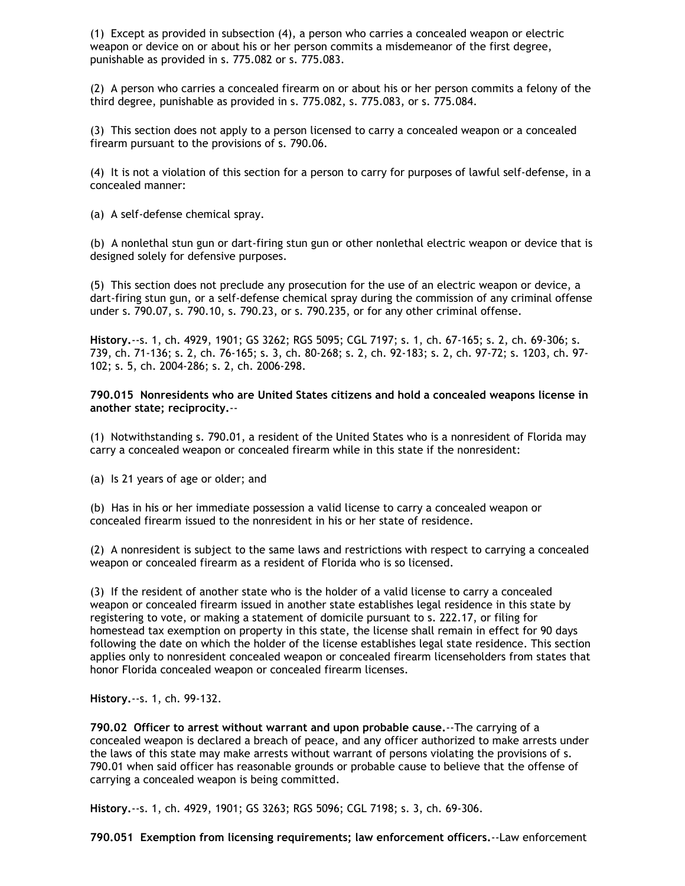(1) Except as provided in subsection (4), a person who carries a concealed weapon or electric weapon or device on or about his or her person commits a misdemeanor of the first degree, punishable as provided in s. 775.082 or s. 775.083.

(2) A person who carries a concealed firearm on or about his or her person commits a felony of the third degree, punishable as provided in s. 775.082, s. 775.083, or s. 775.084.

(3) This section does not apply to a person licensed to carry a concealed weapon or a concealed firearm pursuant to the provisions of s. 790.06.

(4) It is not a violation of this section for a person to carry for purposes of lawful self-defense, in a concealed manner:

(a) A self-defense chemical spray.

(b) A nonlethal stun gun or dart-firing stun gun or other nonlethal electric weapon or device that is designed solely for defensive purposes.

(5) This section does not preclude any prosecution for the use of an electric weapon or device, a dart-firing stun gun, or a self-defense chemical spray during the commission of any criminal offense under s. 790.07, s. 790.10, s. 790.23, or s. 790.235, or for any other criminal offense.

**History.**--s. 1, ch. 4929, 1901; GS 3262; RGS 5095; CGL 7197; s. 1, ch. 67-165; s. 2, ch. 69-306; s. 739, ch. 71-136; s. 2, ch. 76-165; s. 3, ch. 80-268; s. 2, ch. 92-183; s. 2, ch. 97-72; s. 1203, ch. 97- 102; s. 5, ch. 2004-286; s. 2, ch. 2006-298.

#### **790.015 Nonresidents who are United States citizens and hold a concealed weapons license in another state; reciprocity.**--

(1) Notwithstanding s. 790.01, a resident of the United States who is a nonresident of Florida may carry a concealed weapon or concealed firearm while in this state if the nonresident:

(a) Is 21 years of age or older; and

(b) Has in his or her immediate possession a valid license to carry a concealed weapon or concealed firearm issued to the nonresident in his or her state of residence.

(2) A nonresident is subject to the same laws and restrictions with respect to carrying a concealed weapon or concealed firearm as a resident of Florida who is so licensed.

(3) If the resident of another state who is the holder of a valid license to carry a concealed weapon or concealed firearm issued in another state establishes legal residence in this state by registering to vote, or making a statement of domicile pursuant to s. 222.17, or filing for homestead tax exemption on property in this state, the license shall remain in effect for 90 days following the date on which the holder of the license establishes legal state residence. This section applies only to nonresident concealed weapon or concealed firearm licenseholders from states that honor Florida concealed weapon or concealed firearm licenses.

**History.**--s. 1, ch. 99-132.

**790.02 Officer to arrest without warrant and upon probable cause.**--The carrying of a concealed weapon is declared a breach of peace, and any officer authorized to make arrests under the laws of this state may make arrests without warrant of persons violating the provisions of s. 790.01 when said officer has reasonable grounds or probable cause to believe that the offense of carrying a concealed weapon is being committed.

**History.**--s. 1, ch. 4929, 1901; GS 3263; RGS 5096; CGL 7198; s. 3, ch. 69-306.

**790.051 Exemption from licensing requirements; law enforcement officers.**--Law enforcement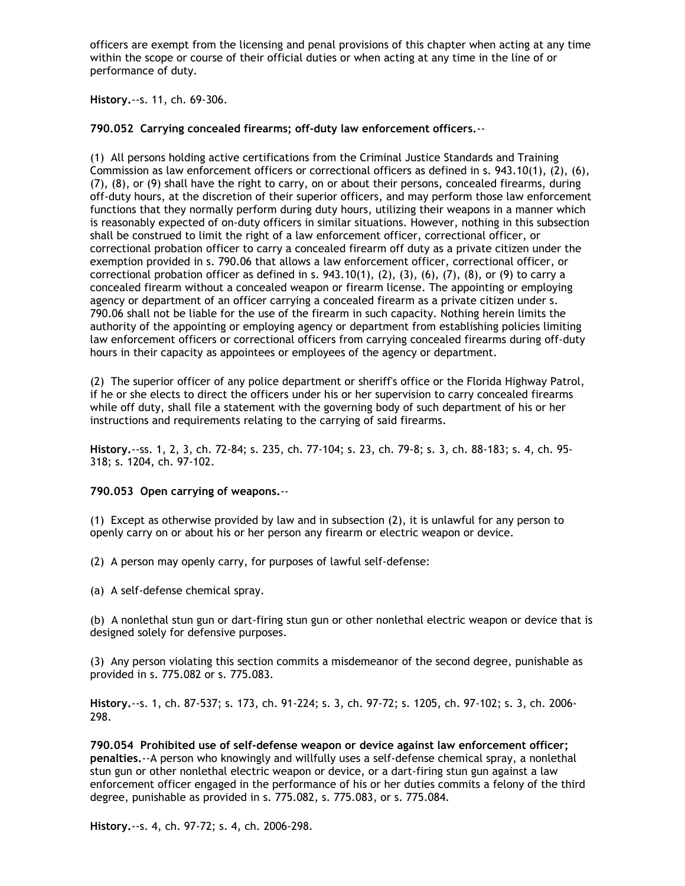officers are exempt from the licensing and penal provisions of this chapter when acting at any time within the scope or course of their official duties or when acting at any time in the line of or performance of duty.

**History.**--s. 11, ch. 69-306.

# **790.052 Carrying concealed firearms; off-duty law enforcement officers.**--

(1) All persons holding active certifications from the Criminal Justice Standards and Training Commission as law enforcement officers or correctional officers as defined in s. 943.10(1), (2), (6), (7), (8), or (9) shall have the right to carry, on or about their persons, concealed firearms, during off-duty hours, at the discretion of their superior officers, and may perform those law enforcement functions that they normally perform during duty hours, utilizing their weapons in a manner which is reasonably expected of on-duty officers in similar situations. However, nothing in this subsection shall be construed to limit the right of a law enforcement officer, correctional officer, or correctional probation officer to carry a concealed firearm off duty as a private citizen under the exemption provided in s. 790.06 that allows a law enforcement officer, correctional officer, or correctional probation officer as defined in s.  $943.10(1)$ ,  $(2)$ ,  $(3)$ ,  $(6)$ ,  $(7)$ ,  $(8)$ , or  $(9)$  to carry a concealed firearm without a concealed weapon or firearm license. The appointing or employing agency or department of an officer carrying a concealed firearm as a private citizen under s. 790.06 shall not be liable for the use of the firearm in such capacity. Nothing herein limits the authority of the appointing or employing agency or department from establishing policies limiting law enforcement officers or correctional officers from carrying concealed firearms during off-duty hours in their capacity as appointees or employees of the agency or department.

(2) The superior officer of any police department or sheriff's office or the Florida Highway Patrol, if he or she elects to direct the officers under his or her supervision to carry concealed firearms while off duty, shall file a statement with the governing body of such department of his or her instructions and requirements relating to the carrying of said firearms.

**History.**--ss. 1, 2, 3, ch. 72-84; s. 235, ch. 77-104; s. 23, ch. 79-8; s. 3, ch. 88-183; s. 4, ch. 95- 318; s. 1204, ch. 97-102.

# **790.053 Open carrying of weapons.**--

(1) Except as otherwise provided by law and in subsection (2), it is unlawful for any person to openly carry on or about his or her person any firearm or electric weapon or device.

(2) A person may openly carry, for purposes of lawful self-defense:

(a) A self-defense chemical spray.

(b) A nonlethal stun gun or dart-firing stun gun or other nonlethal electric weapon or device that is designed solely for defensive purposes.

(3) Any person violating this section commits a misdemeanor of the second degree, punishable as provided in s. 775.082 or s. 775.083.

**History.**--s. 1, ch. 87-537; s. 173, ch. 91-224; s. 3, ch. 97-72; s. 1205, ch. 97-102; s. 3, ch. 2006- 298.

**790.054 Prohibited use of self-defense weapon or device against law enforcement officer; penalties.**--A person who knowingly and willfully uses a self-defense chemical spray, a nonlethal stun gun or other nonlethal electric weapon or device, or a dart-firing stun gun against a law enforcement officer engaged in the performance of his or her duties commits a felony of the third degree, punishable as provided in s. 775.082, s. 775.083, or s. 775.084.

**History.**--s. 4, ch. 97-72; s. 4, ch. 2006-298.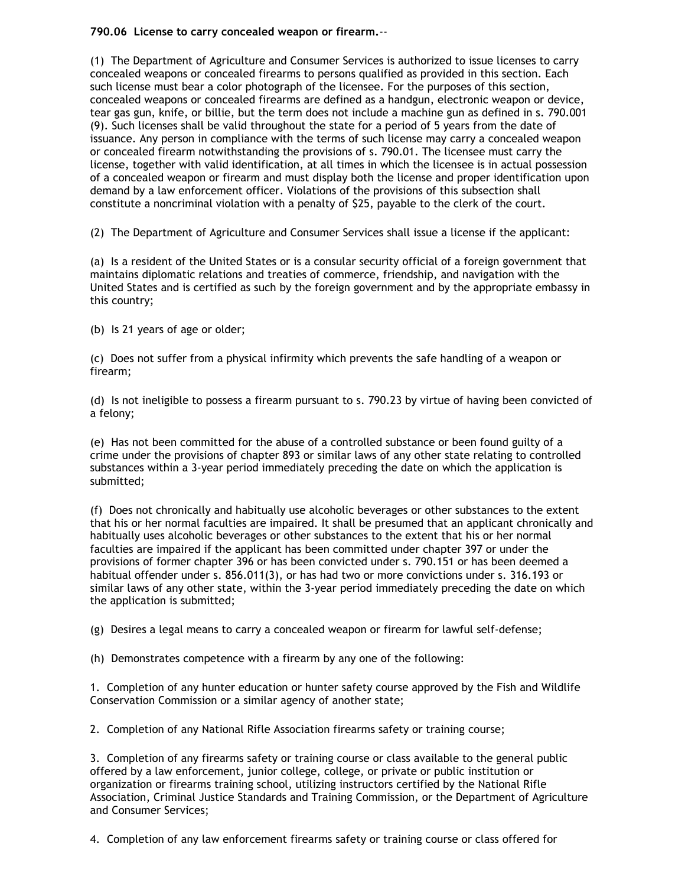# **790.06 License to carry concealed weapon or firearm.**--

(1) The Department of Agriculture and Consumer Services is authorized to issue licenses to carry concealed weapons or concealed firearms to persons qualified as provided in this section. Each such license must bear a color photograph of the licensee. For the purposes of this section, concealed weapons or concealed firearms are defined as a handgun, electronic weapon or device, tear gas gun, knife, or billie, but the term does not include a machine gun as defined in s. 790.001 (9). Such licenses shall be valid throughout the state for a period of 5 years from the date of issuance. Any person in compliance with the terms of such license may carry a concealed weapon or concealed firearm notwithstanding the provisions of s. 790.01. The licensee must carry the license, together with valid identification, at all times in which the licensee is in actual possession of a concealed weapon or firearm and must display both the license and proper identification upon demand by a law enforcement officer. Violations of the provisions of this subsection shall constitute a noncriminal violation with a penalty of \$25, payable to the clerk of the court.

(2) The Department of Agriculture and Consumer Services shall issue a license if the applicant:

(a) Is a resident of the United States or is a consular security official of a foreign government that maintains diplomatic relations and treaties of commerce, friendship, and navigation with the United States and is certified as such by the foreign government and by the appropriate embassy in this country;

(b) Is 21 years of age or older;

(c) Does not suffer from a physical infirmity which prevents the safe handling of a weapon or firearm;

(d) Is not ineligible to possess a firearm pursuant to s. 790.23 by virtue of having been convicted of a felony;

(e) Has not been committed for the abuse of a controlled substance or been found guilty of a crime under the provisions of chapter 893 or similar laws of any other state relating to controlled substances within a 3-year period immediately preceding the date on which the application is submitted;

(f) Does not chronically and habitually use alcoholic beverages or other substances to the extent that his or her normal faculties are impaired. It shall be presumed that an applicant chronically and habitually uses alcoholic beverages or other substances to the extent that his or her normal faculties are impaired if the applicant has been committed under chapter 397 or under the provisions of former chapter 396 or has been convicted under s. 790.151 or has been deemed a habitual offender under s. 856.011(3), or has had two or more convictions under s. 316.193 or similar laws of any other state, within the 3-year period immediately preceding the date on which the application is submitted;

(g) Desires a legal means to carry a concealed weapon or firearm for lawful self-defense;

(h) Demonstrates competence with a firearm by any one of the following:

1. Completion of any hunter education or hunter safety course approved by the Fish and Wildlife Conservation Commission or a similar agency of another state;

2. Completion of any National Rifle Association firearms safety or training course;

3. Completion of any firearms safety or training course or class available to the general public offered by a law enforcement, junior college, college, or private or public institution or organization or firearms training school, utilizing instructors certified by the National Rifle Association, Criminal Justice Standards and Training Commission, or the Department of Agriculture and Consumer Services;

4. Completion of any law enforcement firearms safety or training course or class offered for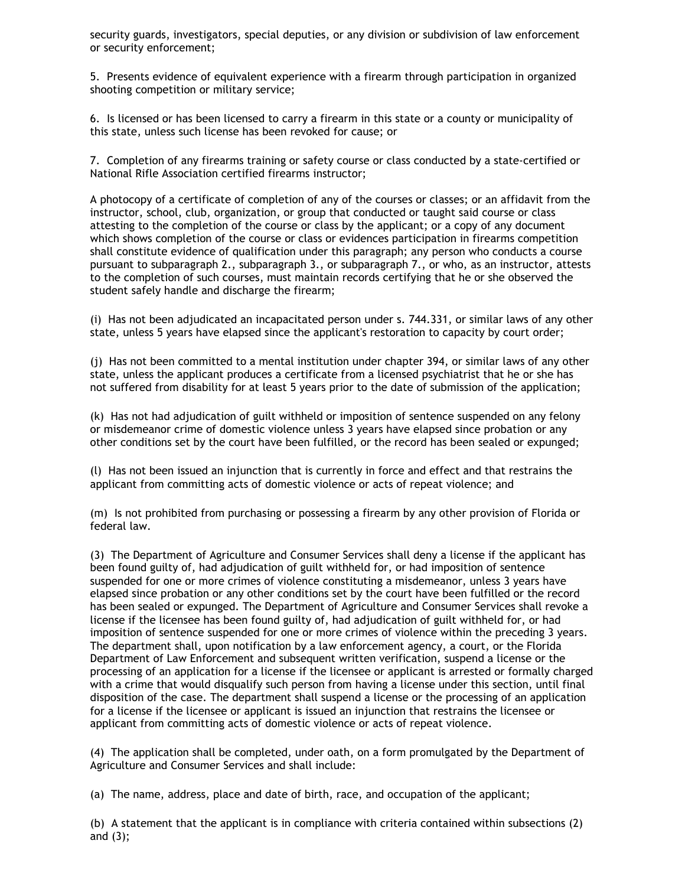security guards, investigators, special deputies, or any division or subdivision of law enforcement or security enforcement;

5. Presents evidence of equivalent experience with a firearm through participation in organized shooting competition or military service;

6. Is licensed or has been licensed to carry a firearm in this state or a county or municipality of this state, unless such license has been revoked for cause; or

7. Completion of any firearms training or safety course or class conducted by a state-certified or National Rifle Association certified firearms instructor;

A photocopy of a certificate of completion of any of the courses or classes; or an affidavit from the instructor, school, club, organization, or group that conducted or taught said course or class attesting to the completion of the course or class by the applicant; or a copy of any document which shows completion of the course or class or evidences participation in firearms competition shall constitute evidence of qualification under this paragraph; any person who conducts a course pursuant to subparagraph 2., subparagraph 3., or subparagraph 7., or who, as an instructor, attests to the completion of such courses, must maintain records certifying that he or she observed the student safely handle and discharge the firearm;

(i) Has not been adjudicated an incapacitated person under s. 744.331, or similar laws of any other state, unless 5 years have elapsed since the applicant's restoration to capacity by court order;

(j) Has not been committed to a mental institution under chapter 394, or similar laws of any other state, unless the applicant produces a certificate from a licensed psychiatrist that he or she has not suffered from disability for at least 5 years prior to the date of submission of the application;

(k) Has not had adjudication of guilt withheld or imposition of sentence suspended on any felony or misdemeanor crime of domestic violence unless 3 years have elapsed since probation or any other conditions set by the court have been fulfilled, or the record has been sealed or expunged;

(l) Has not been issued an injunction that is currently in force and effect and that restrains the applicant from committing acts of domestic violence or acts of repeat violence; and

(m) Is not prohibited from purchasing or possessing a firearm by any other provision of Florida or federal law.

(3) The Department of Agriculture and Consumer Services shall deny a license if the applicant has been found guilty of, had adjudication of guilt withheld for, or had imposition of sentence suspended for one or more crimes of violence constituting a misdemeanor, unless 3 years have elapsed since probation or any other conditions set by the court have been fulfilled or the record has been sealed or expunged. The Department of Agriculture and Consumer Services shall revoke a license if the licensee has been found guilty of, had adjudication of guilt withheld for, or had imposition of sentence suspended for one or more crimes of violence within the preceding 3 years. The department shall, upon notification by a law enforcement agency, a court, or the Florida Department of Law Enforcement and subsequent written verification, suspend a license or the processing of an application for a license if the licensee or applicant is arrested or formally charged with a crime that would disqualify such person from having a license under this section, until final disposition of the case. The department shall suspend a license or the processing of an application for a license if the licensee or applicant is issued an injunction that restrains the licensee or applicant from committing acts of domestic violence or acts of repeat violence.

(4) The application shall be completed, under oath, on a form promulgated by the Department of Agriculture and Consumer Services and shall include:

(a) The name, address, place and date of birth, race, and occupation of the applicant;

(b) A statement that the applicant is in compliance with criteria contained within subsections (2) and (3);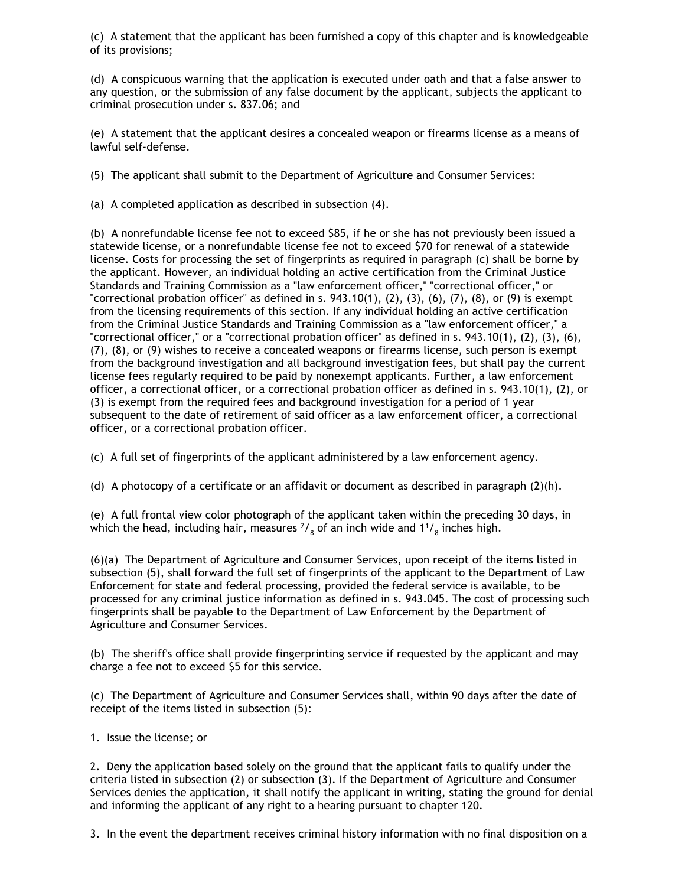(c) A statement that the applicant has been furnished a copy of this chapter and is knowledgeable of its provisions;

(d) A conspicuous warning that the application is executed under oath and that a false answer to any question, or the submission of any false document by the applicant, subjects the applicant to criminal prosecution under s. 837.06; and

(e) A statement that the applicant desires a concealed weapon or firearms license as a means of lawful self-defense.

(5) The applicant shall submit to the Department of Agriculture and Consumer Services:

(a) A completed application as described in subsection (4).

(b) A nonrefundable license fee not to exceed \$85, if he or she has not previously been issued a statewide license, or a nonrefundable license fee not to exceed \$70 for renewal of a statewide license. Costs for processing the set of fingerprints as required in paragraph (c) shall be borne by the applicant. However, an individual holding an active certification from the Criminal Justice Standards and Training Commission as a "law enforcement officer," "correctional officer," or "correctional probation officer" as defined in s.  $943.10(1)$ ,  $(2)$ ,  $(3)$ ,  $(6)$ ,  $(7)$ ,  $(8)$ , or  $(9)$  is exempt from the licensing requirements of this section. If any individual holding an active certification from the Criminal Justice Standards and Training Commission as a "law enforcement officer," a "correctional officer," or a "correctional probation officer" as defined in s. 943.10(1), (2), (3), (6), (7), (8), or (9) wishes to receive a concealed weapons or firearms license, such person is exempt from the background investigation and all background investigation fees, but shall pay the current license fees regularly required to be paid by nonexempt applicants. Further, a law enforcement officer, a correctional officer, or a correctional probation officer as defined in s. 943.10(1), (2), or (3) is exempt from the required fees and background investigation for a period of 1 year subsequent to the date of retirement of said officer as a law enforcement officer, a correctional officer, or a correctional probation officer.

(c) A full set of fingerprints of the applicant administered by a law enforcement agency.

(d) A photocopy of a certificate or an affidavit or document as described in paragraph (2)(h).

(e) A full frontal view color photograph of the applicant taken within the preceding 30 days, in which the head, including hair, measures  $^{7}/_8$  of an inch wide and  $1^{1}/_8$  inches high.

(6)(a) The Department of Agriculture and Consumer Services, upon receipt of the items listed in subsection (5), shall forward the full set of fingerprints of the applicant to the Department of Law Enforcement for state and federal processing, provided the federal service is available, to be processed for any criminal justice information as defined in s. 943.045. The cost of processing such fingerprints shall be payable to the Department of Law Enforcement by the Department of Agriculture and Consumer Services.

(b) The sheriff's office shall provide fingerprinting service if requested by the applicant and may charge a fee not to exceed \$5 for this service.

(c) The Department of Agriculture and Consumer Services shall, within 90 days after the date of receipt of the items listed in subsection (5):

1. Issue the license; or

2. Deny the application based solely on the ground that the applicant fails to qualify under the criteria listed in subsection (2) or subsection (3). If the Department of Agriculture and Consumer Services denies the application, it shall notify the applicant in writing, stating the ground for denial and informing the applicant of any right to a hearing pursuant to chapter 120.

3. In the event the department receives criminal history information with no final disposition on a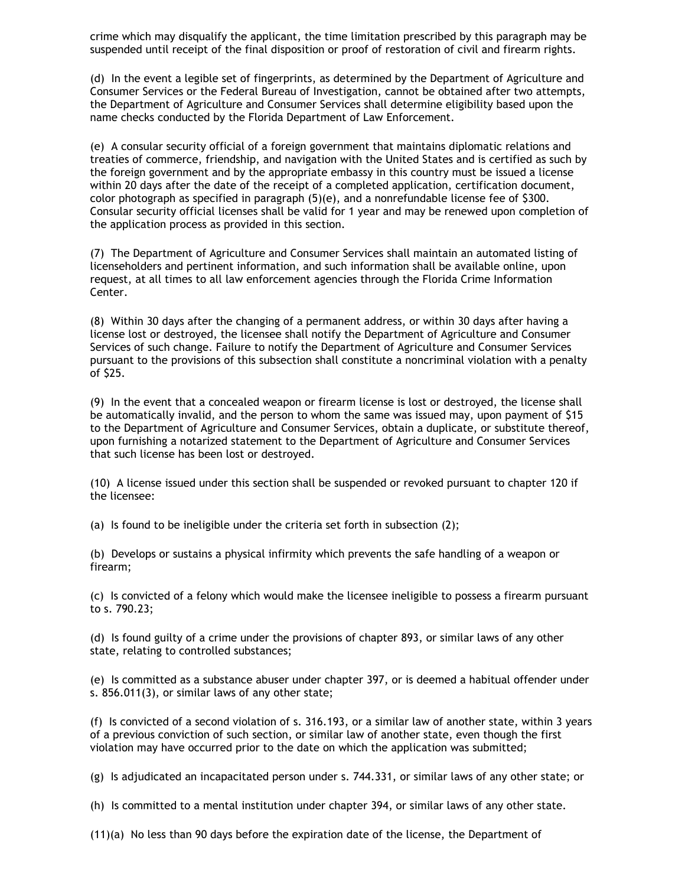crime which may disqualify the applicant, the time limitation prescribed by this paragraph may be suspended until receipt of the final disposition or proof of restoration of civil and firearm rights.

(d) In the event a legible set of fingerprints, as determined by the Department of Agriculture and Consumer Services or the Federal Bureau of Investigation, cannot be obtained after two attempts, the Department of Agriculture and Consumer Services shall determine eligibility based upon the name checks conducted by the Florida Department of Law Enforcement.

(e) A consular security official of a foreign government that maintains diplomatic relations and treaties of commerce, friendship, and navigation with the United States and is certified as such by the foreign government and by the appropriate embassy in this country must be issued a license within 20 days after the date of the receipt of a completed application, certification document, color photograph as specified in paragraph (5)(e), and a nonrefundable license fee of \$300. Consular security official licenses shall be valid for 1 year and may be renewed upon completion of the application process as provided in this section.

(7) The Department of Agriculture and Consumer Services shall maintain an automated listing of licenseholders and pertinent information, and such information shall be available online, upon request, at all times to all law enforcement agencies through the Florida Crime Information Center.

(8) Within 30 days after the changing of a permanent address, or within 30 days after having a license lost or destroyed, the licensee shall notify the Department of Agriculture and Consumer Services of such change. Failure to notify the Department of Agriculture and Consumer Services pursuant to the provisions of this subsection shall constitute a noncriminal violation with a penalty of \$25.

(9) In the event that a concealed weapon or firearm license is lost or destroyed, the license shall be automatically invalid, and the person to whom the same was issued may, upon payment of \$15 to the Department of Agriculture and Consumer Services, obtain a duplicate, or substitute thereof, upon furnishing a notarized statement to the Department of Agriculture and Consumer Services that such license has been lost or destroyed.

(10) A license issued under this section shall be suspended or revoked pursuant to chapter 120 if the licensee:

(a) Is found to be ineligible under the criteria set forth in subsection (2);

(b) Develops or sustains a physical infirmity which prevents the safe handling of a weapon or firearm;

(c) Is convicted of a felony which would make the licensee ineligible to possess a firearm pursuant to s. 790.23;

(d) Is found guilty of a crime under the provisions of chapter 893, or similar laws of any other state, relating to controlled substances;

(e) Is committed as a substance abuser under chapter 397, or is deemed a habitual offender under s. 856.011(3), or similar laws of any other state;

(f) Is convicted of a second violation of s. 316.193, or a similar law of another state, within 3 years of a previous conviction of such section, or similar law of another state, even though the first violation may have occurred prior to the date on which the application was submitted;

(g) Is adjudicated an incapacitated person under s. 744.331, or similar laws of any other state; or

(h) Is committed to a mental institution under chapter 394, or similar laws of any other state.

(11)(a) No less than 90 days before the expiration date of the license, the Department of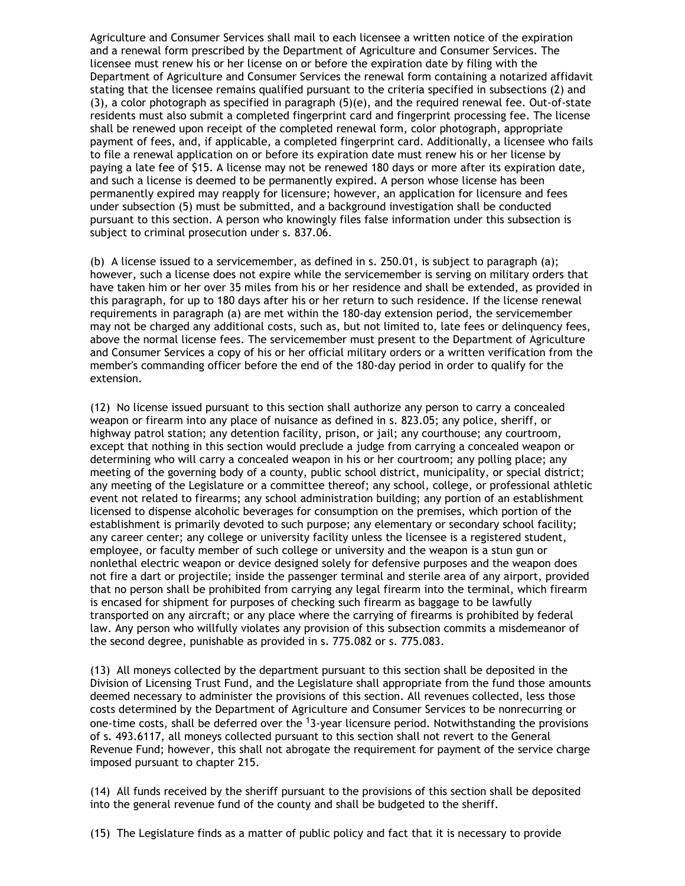Agriculture and Consumer Services shall mail to each licensee a written notice of the expiration and a renewal form prescribed by the Department of Agriculture and Consumer Services. The licensee must renew his or her license on or before the expiration date by filing with the Department of Agriculture and Consumer Services the renewal form containing a notarized affidavit stating that the licensee remains qualified pursuant to the criteria specified in subsections (2) and (3), a color photograph as specified in paragraph (5)(e), and the required renewal fee. Out-of-state residents must also submit a completed fingerprint card and fingerprint processing fee. The license shall be renewed upon receipt of the completed renewal form, color photograph, appropriate payment of fees, and, if applicable, a completed fingerprint card. Additionally, a licensee who fails to file a renewal application on or before its expiration date must renew his or her license by paying a late fee of \$15. A license may not be renewed 180 days or more after its expiration date, and such a license is deemed to be permanently expired. A person whose license has been permanently expired may reapply for licensure; however, an application for licensure and fees under subsection (5) must be submitted, and a background investigation shall be conducted pursuant to this section. A person who knowingly files false information under this subsection is subject to criminal prosecution under s. 837.06.

(b) A license issued to a servicemember, as defined in s. 250.01, is subject to paragraph (a); however, such a license does not expire while the servicemember is serving on military orders that have taken him or her over 35 miles from his or her residence and shall be extended, as provided in this paragraph, for up to 180 days after his or her return to such residence. If the license renewal requirements in paragraph (a) are met within the 180-day extension period, the servicemember may not be charged any additional costs, such as, but not limited to, late fees or delinquency fees, above the normal license fees. The servicemember must present to the Department of Agriculture and Consumer Services a copy of his or her official military orders or a written verification from the member's commanding officer before the end of the 180-day period in order to qualify for the extension.

(12) No license issued pursuant to this section shall authorize any person to carry a concealed weapon or firearm into any place of nuisance as defined in s. 823.05; any police, sheriff, or highway patrol station; any detention facility, prison, or jail; any courthouse; any courtroom, except that nothing in this section would preclude a judge from carrying a concealed weapon or determining who will carry a concealed weapon in his or her courtroom; any polling place; any meeting of the governing body of a county, public school district, municipality, or special district; any meeting of the Legislature or a committee thereof; any school, college, or professional athletic event not related to firearms; any school administration building; any portion of an establishment licensed to dispense alcoholic beverages for consumption on the premises, which portion of the establishment is primarily devoted to such purpose; any elementary or secondary school facility; any career center; any college or university facility unless the licensee is a registered student, employee, or faculty member of such college or university and the weapon is a stun gun or nonlethal electric weapon or device designed solely for defensive purposes and the weapon does not fire a dart or projectile; inside the passenger terminal and sterile area of any airport, provided that no person shall be prohibited from carrying any legal firearm into the terminal, which firearm is encased for shipment for purposes of checking such firearm as baggage to be lawfully transported on any aircraft; or any place where the carrying of firearms is prohibited by federal law. Any person who willfully violates any provision of this subsection commits a misdemeanor of the second degree, punishable as provided in s. 775.082 or s. 775.083.

(13) All moneys collected by the department pursuant to this section shall be deposited in the Division of Licensing Trust Fund, and the Legislature shall appropriate from the fund those amounts deemed necessary to administer the provisions of this section. All revenues collected, less those costs determined by the Department of Agriculture and Consumer Services to be nonrecurring or one-time costs, shall be deferred over the  $13$ -year licensure period. Notwithstanding the provisions of s. 493.6117, all moneys collected pursuant to this section shall not revert to the General Revenue Fund; however, this shall not abrogate the requirement for payment of the service charge imposed pursuant to chapter 215.

(14) All funds received by the sheriff pursuant to the provisions of this section shall be deposited into the general revenue fund of the county and shall be budgeted to the sheriff.

(15) The Legislature finds as a matter of public policy and fact that it is necessary to provide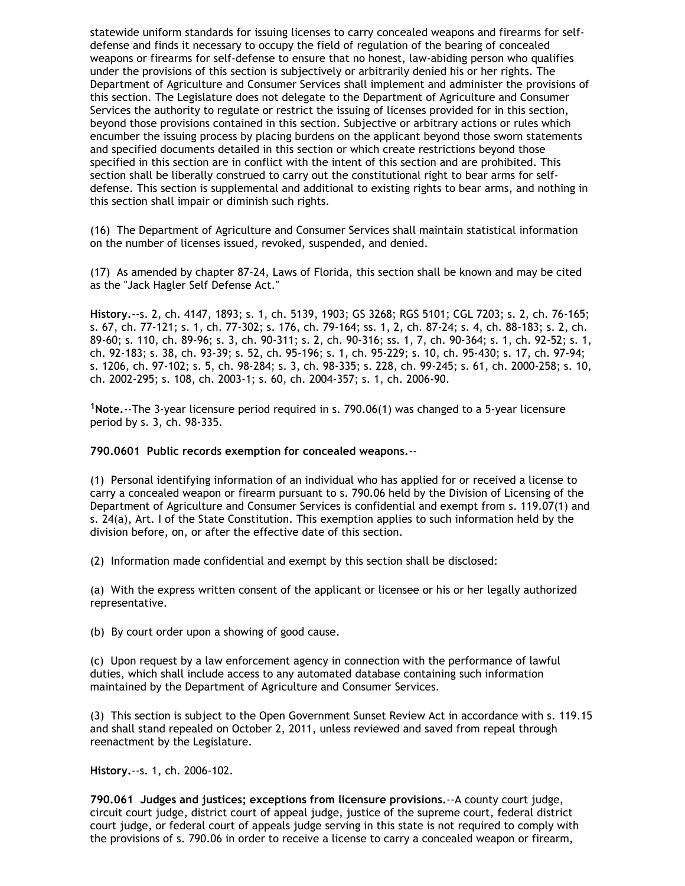statewide uniform standards for issuing licenses to carry concealed weapons and firearms for selfdefense and finds it necessary to occupy the field of regulation of the bearing of concealed weapons or firearms for self-defense to ensure that no honest, law-abiding person who qualifies under the provisions of this section is subjectively or arbitrarily denied his or her rights. The Department of Agriculture and Consumer Services shall implement and administer the provisions of this section. The Legislature does not delegate to the Department of Agriculture and Consumer Services the authority to regulate or restrict the issuing of licenses provided for in this section, beyond those provisions contained in this section. Subjective or arbitrary actions or rules which encumber the issuing process by placing burdens on the applicant beyond those sworn statements and specified documents detailed in this section or which create restrictions beyond those specified in this section are in conflict with the intent of this section and are prohibited. This section shall be liberally construed to carry out the constitutional right to bear arms for selfdefense. This section is supplemental and additional to existing rights to bear arms, and nothing in this section shall impair or diminish such rights.

(16) The Department of Agriculture and Consumer Services shall maintain statistical information on the number of licenses issued, revoked, suspended, and denied.

(17) As amended by chapter 87-24, Laws of Florida, this section shall be known and may be cited as the "Jack Hagler Self Defense Act."

**History.**--s. 2, ch. 4147, 1893; s. 1, ch. 5139, 1903; GS 3268; RGS 5101; CGL 7203; s. 2, ch. 76-165; s. 67, ch. 77-121; s. 1, ch. 77-302; s. 176, ch. 79-164; ss. 1, 2, ch. 87-24; s. 4, ch. 88-183; s. 2, ch. 89-60; s. 110, ch. 89-96; s. 3, ch. 90-311; s. 2, ch. 90-316; ss. 1, 7, ch. 90-364; s. 1, ch. 92-52; s. 1, ch. 92-183; s. 38, ch. 93-39; s. 52, ch. 95-196; s. 1, ch. 95-229; s. 10, ch. 95-430; s. 17, ch. 97-94; s. 1206, ch. 97-102; s. 5, ch. 98-284; s. 3, ch. 98-335; s. 228, ch. 99-245; s. 61, ch. 2000-258; s. 10, ch. 2002-295; s. 108, ch. 2003-1; s. 60, ch. 2004-357; s. 1, ch. 2006-90.

**1Note.**--The 3-year licensure period required in s. 790.06(1) was changed to a 5-year licensure period by s. 3, ch. 98-335.

#### **790.0601 Public records exemption for concealed weapons.**--

(1) Personal identifying information of an individual who has applied for or received a license to carry a concealed weapon or firearm pursuant to s. 790.06 held by the Division of Licensing of the Department of Agriculture and Consumer Services is confidential and exempt from s. 119.07(1) and s. 24(a), Art. I of the State Constitution. This exemption applies to such information held by the division before, on, or after the effective date of this section.

(2) Information made confidential and exempt by this section shall be disclosed:

(a) With the express written consent of the applicant or licensee or his or her legally authorized representative.

(b) By court order upon a showing of good cause.

(c) Upon request by a law enforcement agency in connection with the performance of lawful duties, which shall include access to any automated database containing such information maintained by the Department of Agriculture and Consumer Services.

(3) This section is subject to the Open Government Sunset Review Act in accordance with s. 119.15 and shall stand repealed on October 2, 2011, unless reviewed and saved from repeal through reenactment by the Legislature.

**History.**--s. 1, ch. 2006-102.

**790.061 Judges and justices; exceptions from licensure provisions.**--A county court judge, circuit court judge, district court of appeal judge, justice of the supreme court, federal district court judge, or federal court of appeals judge serving in this state is not required to comply with the provisions of s. 790.06 in order to receive a license to carry a concealed weapon or firearm,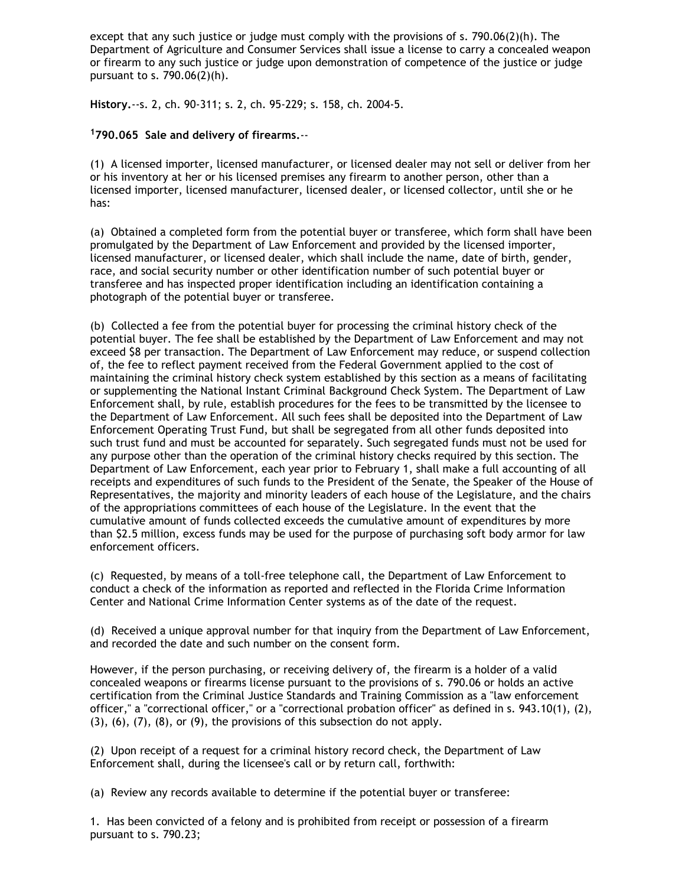except that any such justice or judge must comply with the provisions of s. 790.06(2)(h). The Department of Agriculture and Consumer Services shall issue a license to carry a concealed weapon or firearm to any such justice or judge upon demonstration of competence of the justice or judge pursuant to s. 790.06(2)(h).

**History.**--s. 2, ch. 90-311; s. 2, ch. 95-229; s. 158, ch. 2004-5.

# **1790.065 Sale and delivery of firearms.**--

(1) A licensed importer, licensed manufacturer, or licensed dealer may not sell or deliver from her or his inventory at her or his licensed premises any firearm to another person, other than a licensed importer, licensed manufacturer, licensed dealer, or licensed collector, until she or he has:

(a) Obtained a completed form from the potential buyer or transferee, which form shall have been promulgated by the Department of Law Enforcement and provided by the licensed importer, licensed manufacturer, or licensed dealer, which shall include the name, date of birth, gender, race, and social security number or other identification number of such potential buyer or transferee and has inspected proper identification including an identification containing a photograph of the potential buyer or transferee.

(b) Collected a fee from the potential buyer for processing the criminal history check of the potential buyer. The fee shall be established by the Department of Law Enforcement and may not exceed \$8 per transaction. The Department of Law Enforcement may reduce, or suspend collection of, the fee to reflect payment received from the Federal Government applied to the cost of maintaining the criminal history check system established by this section as a means of facilitating or supplementing the National Instant Criminal Background Check System. The Department of Law Enforcement shall, by rule, establish procedures for the fees to be transmitted by the licensee to the Department of Law Enforcement. All such fees shall be deposited into the Department of Law Enforcement Operating Trust Fund, but shall be segregated from all other funds deposited into such trust fund and must be accounted for separately. Such segregated funds must not be used for any purpose other than the operation of the criminal history checks required by this section. The Department of Law Enforcement, each year prior to February 1, shall make a full accounting of all receipts and expenditures of such funds to the President of the Senate, the Speaker of the House of Representatives, the majority and minority leaders of each house of the Legislature, and the chairs of the appropriations committees of each house of the Legislature. In the event that the cumulative amount of funds collected exceeds the cumulative amount of expenditures by more than \$2.5 million, excess funds may be used for the purpose of purchasing soft body armor for law enforcement officers.

(c) Requested, by means of a toll-free telephone call, the Department of Law Enforcement to conduct a check of the information as reported and reflected in the Florida Crime Information Center and National Crime Information Center systems as of the date of the request.

(d) Received a unique approval number for that inquiry from the Department of Law Enforcement, and recorded the date and such number on the consent form.

However, if the person purchasing, or receiving delivery of, the firearm is a holder of a valid concealed weapons or firearms license pursuant to the provisions of s. 790.06 or holds an active certification from the Criminal Justice Standards and Training Commission as a "law enforcement officer," a "correctional officer," or a "correctional probation officer" as defined in s. 943.10(1), (2),  $(3)$ ,  $(6)$ ,  $(7)$ ,  $(8)$ , or  $(9)$ , the provisions of this subsection do not apply.

(2) Upon receipt of a request for a criminal history record check, the Department of Law Enforcement shall, during the licensee's call or by return call, forthwith:

(a) Review any records available to determine if the potential buyer or transferee:

1. Has been convicted of a felony and is prohibited from receipt or possession of a firearm pursuant to s. 790.23;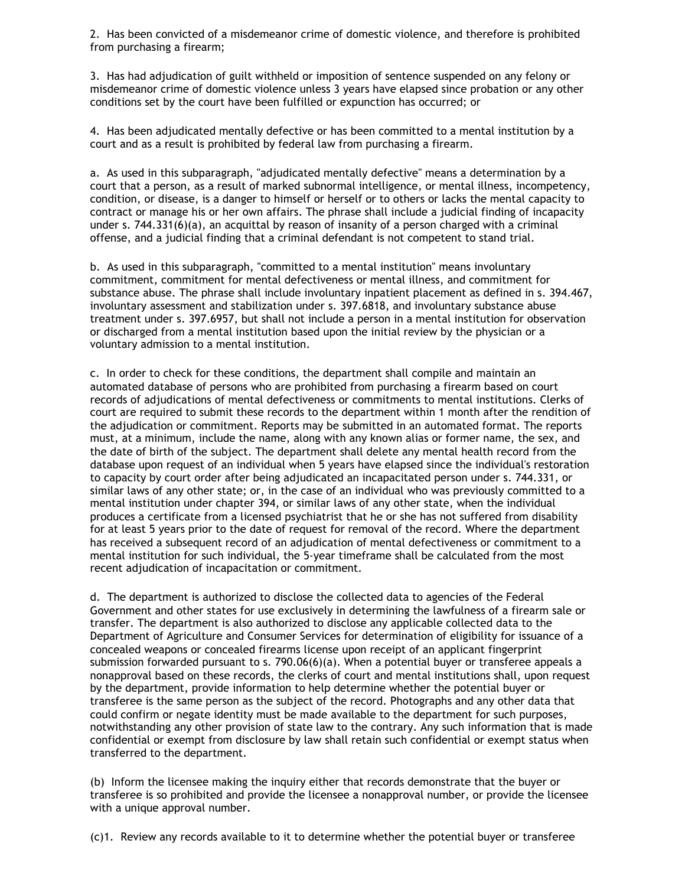2. Has been convicted of a misdemeanor crime of domestic violence, and therefore is prohibited from purchasing a firearm;

3. Has had adjudication of guilt withheld or imposition of sentence suspended on any felony or misdemeanor crime of domestic violence unless 3 years have elapsed since probation or any other conditions set by the court have been fulfilled or expunction has occurred; or

4. Has been adjudicated mentally defective or has been committed to a mental institution by a court and as a result is prohibited by federal law from purchasing a firearm.

a. As used in this subparagraph, "adjudicated mentally defective" means a determination by a court that a person, as a result of marked subnormal intelligence, or mental illness, incompetency, condition, or disease, is a danger to himself or herself or to others or lacks the mental capacity to contract or manage his or her own affairs. The phrase shall include a judicial finding of incapacity under s. 744.331(6)(a), an acquittal by reason of insanity of a person charged with a criminal offense, and a judicial finding that a criminal defendant is not competent to stand trial.

b. As used in this subparagraph, "committed to a mental institution" means involuntary commitment, commitment for mental defectiveness or mental illness, and commitment for substance abuse. The phrase shall include involuntary inpatient placement as defined in s. 394.467, involuntary assessment and stabilization under s. 397.6818, and involuntary substance abuse treatment under s. 397.6957, but shall not include a person in a mental institution for observation or discharged from a mental institution based upon the initial review by the physician or a voluntary admission to a mental institution.

c. In order to check for these conditions, the department shall compile and maintain an automated database of persons who are prohibited from purchasing a firearm based on court records of adjudications of mental defectiveness or commitments to mental institutions. Clerks of court are required to submit these records to the department within 1 month after the rendition of the adjudication or commitment. Reports may be submitted in an automated format. The reports must, at a minimum, include the name, along with any known alias or former name, the sex, and the date of birth of the subject. The department shall delete any mental health record from the database upon request of an individual when 5 years have elapsed since the individual's restoration to capacity by court order after being adjudicated an incapacitated person under s. 744.331, or similar laws of any other state; or, in the case of an individual who was previously committed to a mental institution under chapter 394, or similar laws of any other state, when the individual produces a certificate from a licensed psychiatrist that he or she has not suffered from disability for at least 5 years prior to the date of request for removal of the record. Where the department has received a subsequent record of an adjudication of mental defectiveness or commitment to a mental institution for such individual, the 5-year timeframe shall be calculated from the most recent adjudication of incapacitation or commitment.

d. The department is authorized to disclose the collected data to agencies of the Federal Government and other states for use exclusively in determining the lawfulness of a firearm sale or transfer. The department is also authorized to disclose any applicable collected data to the Department of Agriculture and Consumer Services for determination of eligibility for issuance of a concealed weapons or concealed firearms license upon receipt of an applicant fingerprint submission forwarded pursuant to s. 790.06(6)(a). When a potential buyer or transferee appeals a nonapproval based on these records, the clerks of court and mental institutions shall, upon request by the department, provide information to help determine whether the potential buyer or transferee is the same person as the subject of the record. Photographs and any other data that could confirm or negate identity must be made available to the department for such purposes, notwithstanding any other provision of state law to the contrary. Any such information that is made confidential or exempt from disclosure by law shall retain such confidential or exempt status when transferred to the department.

(b) Inform the licensee making the inquiry either that records demonstrate that the buyer or transferee is so prohibited and provide the licensee a nonapproval number, or provide the licensee with a unique approval number.

(c)1. Review any records available to it to determine whether the potential buyer or transferee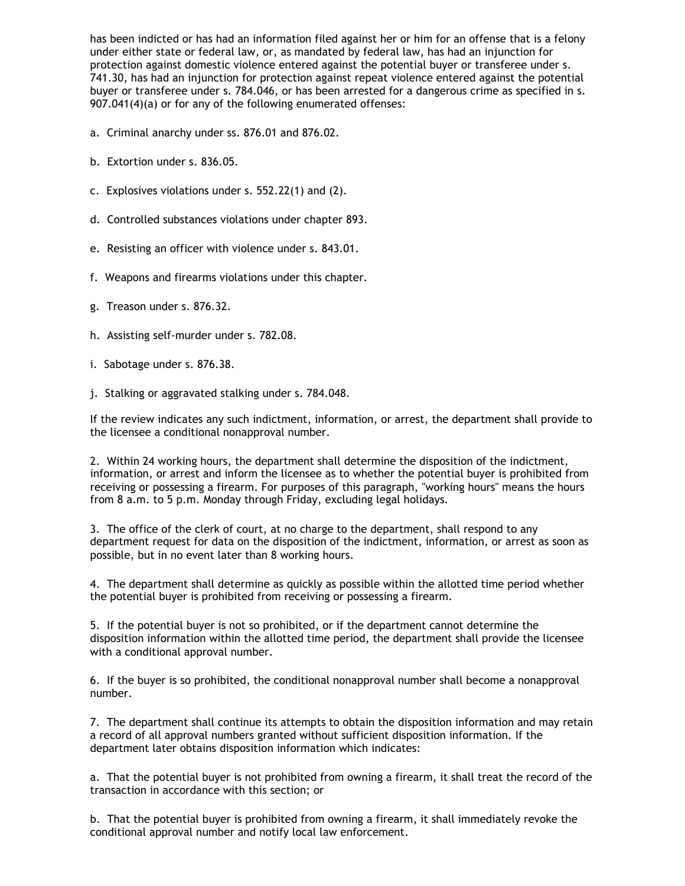has been indicted or has had an information filed against her or him for an offense that is a felony under either state or federal law, or, as mandated by federal law, has had an injunction for protection against domestic violence entered against the potential buyer or transferee under s. 741.30, has had an injunction for protection against repeat violence entered against the potential buyer or transferee under s. 784.046, or has been arrested for a dangerous crime as specified in s. 907.041(4)(a) or for any of the following enumerated offenses:

- a. Criminal anarchy under ss. 876.01 and 876.02.
- b. Extortion under s. 836.05.
- c. Explosives violations under s. 552.22(1) and (2).
- d. Controlled substances violations under chapter 893.
- e. Resisting an officer with violence under s. 843.01.
- f. Weapons and firearms violations under this chapter.
- g. Treason under s. 876.32.
- h. Assisting self-murder under s. 782.08.
- i. Sabotage under s. 876.38.
- j. Stalking or aggravated stalking under s. 784.048.

If the review indicates any such indictment, information, or arrest, the department shall provide to the licensee a conditional nonapproval number.

2. Within 24 working hours, the department shall determine the disposition of the indictment, information, or arrest and inform the licensee as to whether the potential buyer is prohibited from receiving or possessing a firearm. For purposes of this paragraph, "working hours" means the hours from 8 a.m. to 5 p.m. Monday through Friday, excluding legal holidays.

3. The office of the clerk of court, at no charge to the department, shall respond to any department request for data on the disposition of the indictment, information, or arrest as soon as possible, but in no event later than 8 working hours.

4. The department shall determine as quickly as possible within the allotted time period whether the potential buyer is prohibited from receiving or possessing a firearm.

5. If the potential buyer is not so prohibited, or if the department cannot determine the disposition information within the allotted time period, the department shall provide the licensee with a conditional approval number.

6. If the buyer is so prohibited, the conditional nonapproval number shall become a nonapproval number.

7. The department shall continue its attempts to obtain the disposition information and may retain a record of all approval numbers granted without sufficient disposition information. If the department later obtains disposition information which indicates:

a. That the potential buyer is not prohibited from owning a firearm, it shall treat the record of the transaction in accordance with this section; or

b. That the potential buyer is prohibited from owning a firearm, it shall immediately revoke the conditional approval number and notify local law enforcement.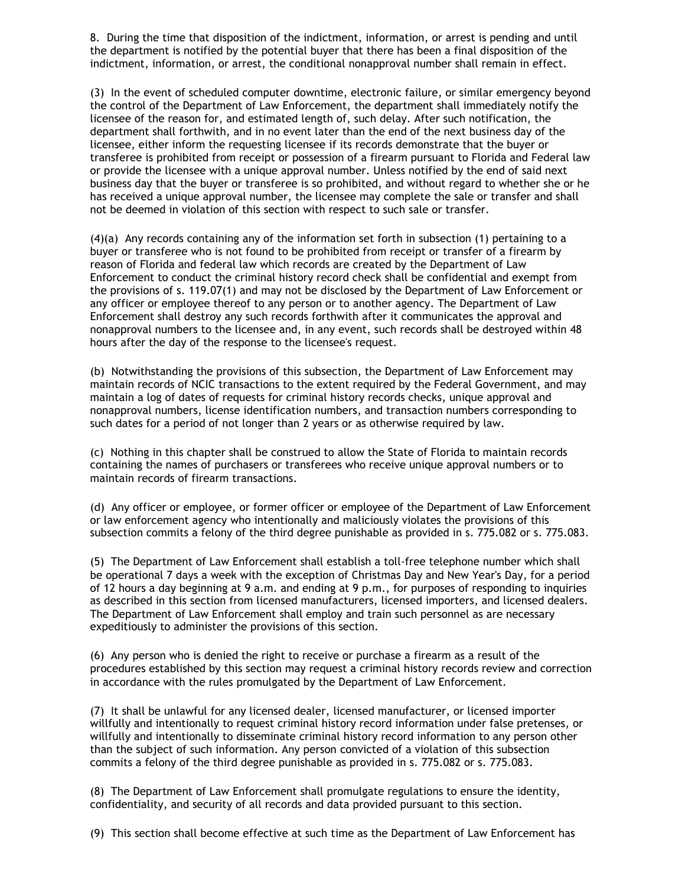8. During the time that disposition of the indictment, information, or arrest is pending and until the department is notified by the potential buyer that there has been a final disposition of the indictment, information, or arrest, the conditional nonapproval number shall remain in effect.

(3) In the event of scheduled computer downtime, electronic failure, or similar emergency beyond the control of the Department of Law Enforcement, the department shall immediately notify the licensee of the reason for, and estimated length of, such delay. After such notification, the department shall forthwith, and in no event later than the end of the next business day of the licensee, either inform the requesting licensee if its records demonstrate that the buyer or transferee is prohibited from receipt or possession of a firearm pursuant to Florida and Federal law or provide the licensee with a unique approval number. Unless notified by the end of said next business day that the buyer or transferee is so prohibited, and without regard to whether she or he has received a unique approval number, the licensee may complete the sale or transfer and shall not be deemed in violation of this section with respect to such sale or transfer.

(4)(a) Any records containing any of the information set forth in subsection (1) pertaining to a buyer or transferee who is not found to be prohibited from receipt or transfer of a firearm by reason of Florida and federal law which records are created by the Department of Law Enforcement to conduct the criminal history record check shall be confidential and exempt from the provisions of s. 119.07(1) and may not be disclosed by the Department of Law Enforcement or any officer or employee thereof to any person or to another agency. The Department of Law Enforcement shall destroy any such records forthwith after it communicates the approval and nonapproval numbers to the licensee and, in any event, such records shall be destroyed within 48 hours after the day of the response to the licensee's request.

(b) Notwithstanding the provisions of this subsection, the Department of Law Enforcement may maintain records of NCIC transactions to the extent required by the Federal Government, and may maintain a log of dates of requests for criminal history records checks, unique approval and nonapproval numbers, license identification numbers, and transaction numbers corresponding to such dates for a period of not longer than 2 years or as otherwise required by law.

(c) Nothing in this chapter shall be construed to allow the State of Florida to maintain records containing the names of purchasers or transferees who receive unique approval numbers or to maintain records of firearm transactions.

(d) Any officer or employee, or former officer or employee of the Department of Law Enforcement or law enforcement agency who intentionally and maliciously violates the provisions of this subsection commits a felony of the third degree punishable as provided in s. 775.082 or s. 775.083.

(5) The Department of Law Enforcement shall establish a toll-free telephone number which shall be operational 7 days a week with the exception of Christmas Day and New Year's Day, for a period of 12 hours a day beginning at 9 a.m. and ending at 9 p.m., for purposes of responding to inquiries as described in this section from licensed manufacturers, licensed importers, and licensed dealers. The Department of Law Enforcement shall employ and train such personnel as are necessary expeditiously to administer the provisions of this section.

(6) Any person who is denied the right to receive or purchase a firearm as a result of the procedures established by this section may request a criminal history records review and correction in accordance with the rules promulgated by the Department of Law Enforcement.

(7) It shall be unlawful for any licensed dealer, licensed manufacturer, or licensed importer willfully and intentionally to request criminal history record information under false pretenses, or willfully and intentionally to disseminate criminal history record information to any person other than the subject of such information. Any person convicted of a violation of this subsection commits a felony of the third degree punishable as provided in s. 775.082 or s. 775.083.

(8) The Department of Law Enforcement shall promulgate regulations to ensure the identity, confidentiality, and security of all records and data provided pursuant to this section.

(9) This section shall become effective at such time as the Department of Law Enforcement has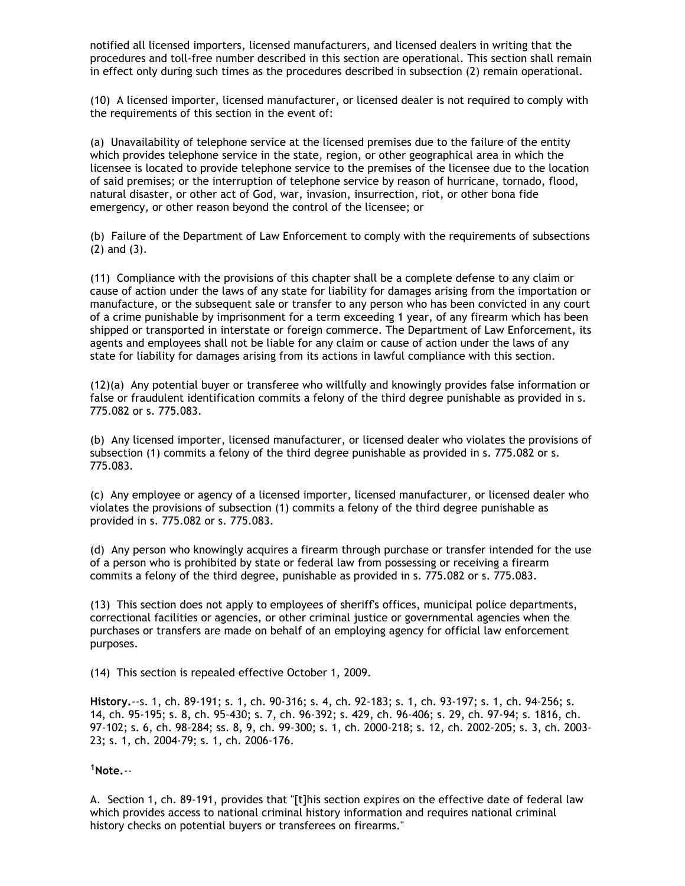notified all licensed importers, licensed manufacturers, and licensed dealers in writing that the procedures and toll-free number described in this section are operational. This section shall remain in effect only during such times as the procedures described in subsection (2) remain operational.

(10) A licensed importer, licensed manufacturer, or licensed dealer is not required to comply with the requirements of this section in the event of:

(a) Unavailability of telephone service at the licensed premises due to the failure of the entity which provides telephone service in the state, region, or other geographical area in which the licensee is located to provide telephone service to the premises of the licensee due to the location of said premises; or the interruption of telephone service by reason of hurricane, tornado, flood, natural disaster, or other act of God, war, invasion, insurrection, riot, or other bona fide emergency, or other reason beyond the control of the licensee; or

(b) Failure of the Department of Law Enforcement to comply with the requirements of subsections (2) and (3).

(11) Compliance with the provisions of this chapter shall be a complete defense to any claim or cause of action under the laws of any state for liability for damages arising from the importation or manufacture, or the subsequent sale or transfer to any person who has been convicted in any court of a crime punishable by imprisonment for a term exceeding 1 year, of any firearm which has been shipped or transported in interstate or foreign commerce. The Department of Law Enforcement, its agents and employees shall not be liable for any claim or cause of action under the laws of any state for liability for damages arising from its actions in lawful compliance with this section.

(12)(a) Any potential buyer or transferee who willfully and knowingly provides false information or false or fraudulent identification commits a felony of the third degree punishable as provided in s. 775.082 or s. 775.083.

(b) Any licensed importer, licensed manufacturer, or licensed dealer who violates the provisions of subsection (1) commits a felony of the third degree punishable as provided in s. 775.082 or s. 775.083.

(c) Any employee or agency of a licensed importer, licensed manufacturer, or licensed dealer who violates the provisions of subsection (1) commits a felony of the third degree punishable as provided in s. 775.082 or s. 775.083.

(d) Any person who knowingly acquires a firearm through purchase or transfer intended for the use of a person who is prohibited by state or federal law from possessing or receiving a firearm commits a felony of the third degree, punishable as provided in s. 775.082 or s. 775.083.

(13) This section does not apply to employees of sheriff's offices, municipal police departments, correctional facilities or agencies, or other criminal justice or governmental agencies when the purchases or transfers are made on behalf of an employing agency for official law enforcement purposes.

(14) This section is repealed effective October 1, 2009.

**History.**--s. 1, ch. 89-191; s. 1, ch. 90-316; s. 4, ch. 92-183; s. 1, ch. 93-197; s. 1, ch. 94-256; s. 14, ch. 95-195; s. 8, ch. 95-430; s. 7, ch. 96-392; s. 429, ch. 96-406; s. 29, ch. 97-94; s. 1816, ch. 97-102; s. 6, ch. 98-284; ss. 8, 9, ch. 99-300; s. 1, ch. 2000-218; s. 12, ch. 2002-205; s. 3, ch. 2003- 23; s. 1, ch. 2004-79; s. 1, ch. 2006-176.

**1Note.**--

A. Section 1, ch. 89-191, provides that "[t]his section expires on the effective date of federal law which provides access to national criminal history information and requires national criminal history checks on potential buyers or transferees on firearms."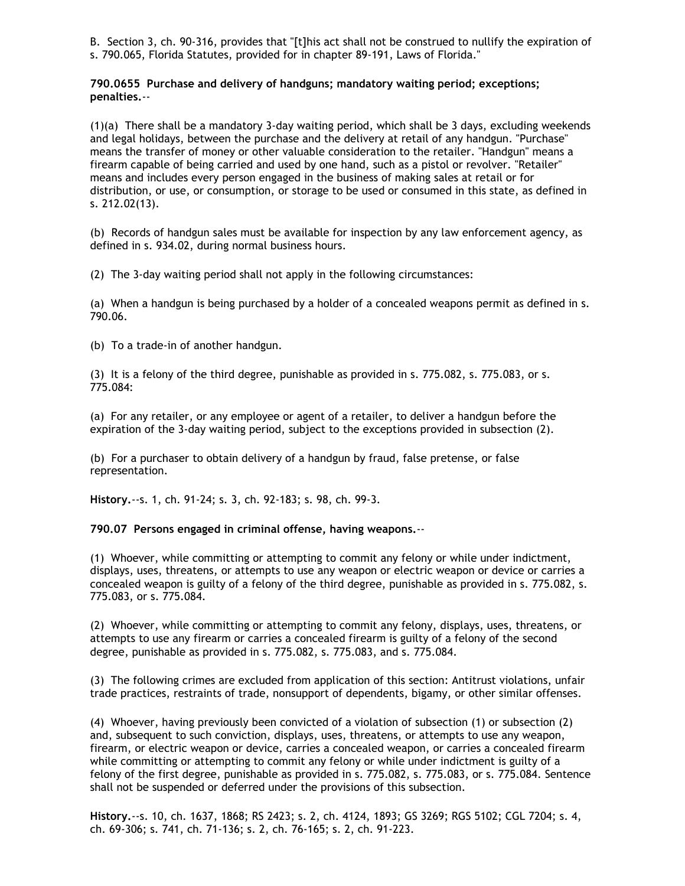B. Section 3, ch. 90-316, provides that "[t]his act shall not be construed to nullify the expiration of s. 790.065, Florida Statutes, provided for in chapter 89-191, Laws of Florida."

**790.0655 Purchase and delivery of handguns; mandatory waiting period; exceptions; penalties.**--

(1)(a) There shall be a mandatory 3-day waiting period, which shall be 3 days, excluding weekends and legal holidays, between the purchase and the delivery at retail of any handgun. "Purchase" means the transfer of money or other valuable consideration to the retailer. "Handgun" means a firearm capable of being carried and used by one hand, such as a pistol or revolver. "Retailer" means and includes every person engaged in the business of making sales at retail or for distribution, or use, or consumption, or storage to be used or consumed in this state, as defined in s. 212.02(13).

(b) Records of handgun sales must be available for inspection by any law enforcement agency, as defined in s. 934.02, during normal business hours.

(2) The 3-day waiting period shall not apply in the following circumstances:

(a) When a handgun is being purchased by a holder of a concealed weapons permit as defined in s. 790.06.

(b) To a trade-in of another handgun.

(3) It is a felony of the third degree, punishable as provided in s. 775.082, s. 775.083, or s. 775.084:

(a) For any retailer, or any employee or agent of a retailer, to deliver a handgun before the expiration of the 3-day waiting period, subject to the exceptions provided in subsection (2).

(b) For a purchaser to obtain delivery of a handgun by fraud, false pretense, or false representation.

**History.**--s. 1, ch. 91-24; s. 3, ch. 92-183; s. 98, ch. 99-3.

#### **790.07 Persons engaged in criminal offense, having weapons.**--

(1) Whoever, while committing or attempting to commit any felony or while under indictment, displays, uses, threatens, or attempts to use any weapon or electric weapon or device or carries a concealed weapon is guilty of a felony of the third degree, punishable as provided in s. 775.082, s. 775.083, or s. 775.084.

(2) Whoever, while committing or attempting to commit any felony, displays, uses, threatens, or attempts to use any firearm or carries a concealed firearm is guilty of a felony of the second degree, punishable as provided in s. 775.082, s. 775.083, and s. 775.084.

(3) The following crimes are excluded from application of this section: Antitrust violations, unfair trade practices, restraints of trade, nonsupport of dependents, bigamy, or other similar offenses.

(4) Whoever, having previously been convicted of a violation of subsection (1) or subsection (2) and, subsequent to such conviction, displays, uses, threatens, or attempts to use any weapon, firearm, or electric weapon or device, carries a concealed weapon, or carries a concealed firearm while committing or attempting to commit any felony or while under indictment is guilty of a felony of the first degree, punishable as provided in s. 775.082, s. 775.083, or s. 775.084. Sentence shall not be suspended or deferred under the provisions of this subsection.

**History.**--s. 10, ch. 1637, 1868; RS 2423; s. 2, ch. 4124, 1893; GS 3269; RGS 5102; CGL 7204; s. 4, ch. 69-306; s. 741, ch. 71-136; s. 2, ch. 76-165; s. 2, ch. 91-223.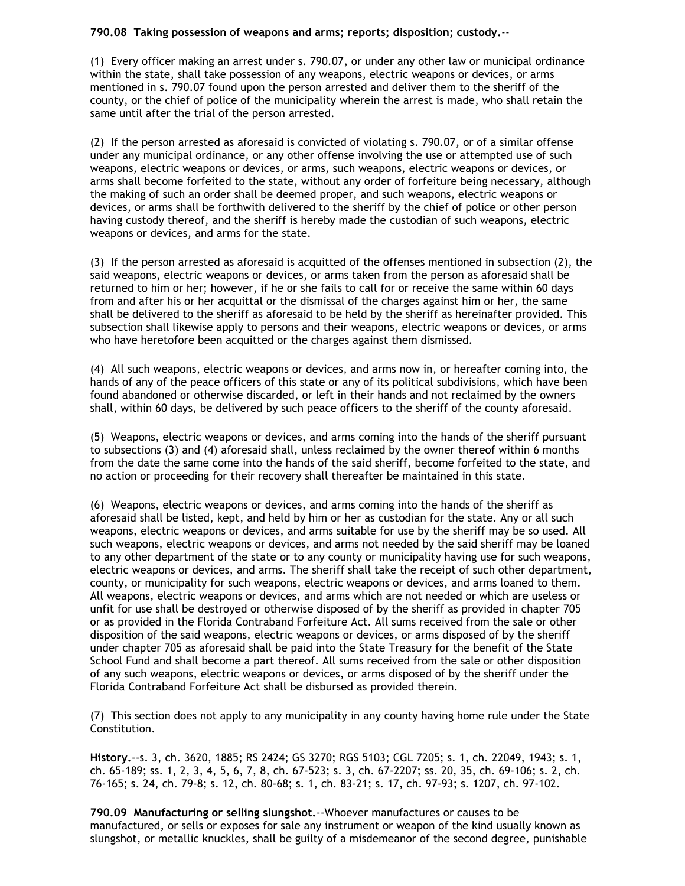# **790.08 Taking possession of weapons and arms; reports; disposition; custody.**--

(1) Every officer making an arrest under s. 790.07, or under any other law or municipal ordinance within the state, shall take possession of any weapons, electric weapons or devices, or arms mentioned in s. 790.07 found upon the person arrested and deliver them to the sheriff of the county, or the chief of police of the municipality wherein the arrest is made, who shall retain the same until after the trial of the person arrested.

(2) If the person arrested as aforesaid is convicted of violating s. 790.07, or of a similar offense under any municipal ordinance, or any other offense involving the use or attempted use of such weapons, electric weapons or devices, or arms, such weapons, electric weapons or devices, or arms shall become forfeited to the state, without any order of forfeiture being necessary, although the making of such an order shall be deemed proper, and such weapons, electric weapons or devices, or arms shall be forthwith delivered to the sheriff by the chief of police or other person having custody thereof, and the sheriff is hereby made the custodian of such weapons, electric weapons or devices, and arms for the state.

(3) If the person arrested as aforesaid is acquitted of the offenses mentioned in subsection (2), the said weapons, electric weapons or devices, or arms taken from the person as aforesaid shall be returned to him or her; however, if he or she fails to call for or receive the same within 60 days from and after his or her acquittal or the dismissal of the charges against him or her, the same shall be delivered to the sheriff as aforesaid to be held by the sheriff as hereinafter provided. This subsection shall likewise apply to persons and their weapons, electric weapons or devices, or arms who have heretofore been acquitted or the charges against them dismissed.

(4) All such weapons, electric weapons or devices, and arms now in, or hereafter coming into, the hands of any of the peace officers of this state or any of its political subdivisions, which have been found abandoned or otherwise discarded, or left in their hands and not reclaimed by the owners shall, within 60 days, be delivered by such peace officers to the sheriff of the county aforesaid.

(5) Weapons, electric weapons or devices, and arms coming into the hands of the sheriff pursuant to subsections (3) and (4) aforesaid shall, unless reclaimed by the owner thereof within 6 months from the date the same come into the hands of the said sheriff, become forfeited to the state, and no action or proceeding for their recovery shall thereafter be maintained in this state.

(6) Weapons, electric weapons or devices, and arms coming into the hands of the sheriff as aforesaid shall be listed, kept, and held by him or her as custodian for the state. Any or all such weapons, electric weapons or devices, and arms suitable for use by the sheriff may be so used. All such weapons, electric weapons or devices, and arms not needed by the said sheriff may be loaned to any other department of the state or to any county or municipality having use for such weapons, electric weapons or devices, and arms. The sheriff shall take the receipt of such other department, county, or municipality for such weapons, electric weapons or devices, and arms loaned to them. All weapons, electric weapons or devices, and arms which are not needed or which are useless or unfit for use shall be destroyed or otherwise disposed of by the sheriff as provided in chapter 705 or as provided in the Florida Contraband Forfeiture Act. All sums received from the sale or other disposition of the said weapons, electric weapons or devices, or arms disposed of by the sheriff under chapter 705 as aforesaid shall be paid into the State Treasury for the benefit of the State School Fund and shall become a part thereof. All sums received from the sale or other disposition of any such weapons, electric weapons or devices, or arms disposed of by the sheriff under the Florida Contraband Forfeiture Act shall be disbursed as provided therein.

(7) This section does not apply to any municipality in any county having home rule under the State Constitution.

**History.**--s. 3, ch. 3620, 1885; RS 2424; GS 3270; RGS 5103; CGL 7205; s. 1, ch. 22049, 1943; s. 1, ch. 65-189; ss. 1, 2, 3, 4, 5, 6, 7, 8, ch. 67-523; s. 3, ch. 67-2207; ss. 20, 35, ch. 69-106; s. 2, ch. 76-165; s. 24, ch. 79-8; s. 12, ch. 80-68; s. 1, ch. 83-21; s. 17, ch. 97-93; s. 1207, ch. 97-102.

**790.09 Manufacturing or selling slungshot.**--Whoever manufactures or causes to be manufactured, or sells or exposes for sale any instrument or weapon of the kind usually known as slungshot, or metallic knuckles, shall be guilty of a misdemeanor of the second degree, punishable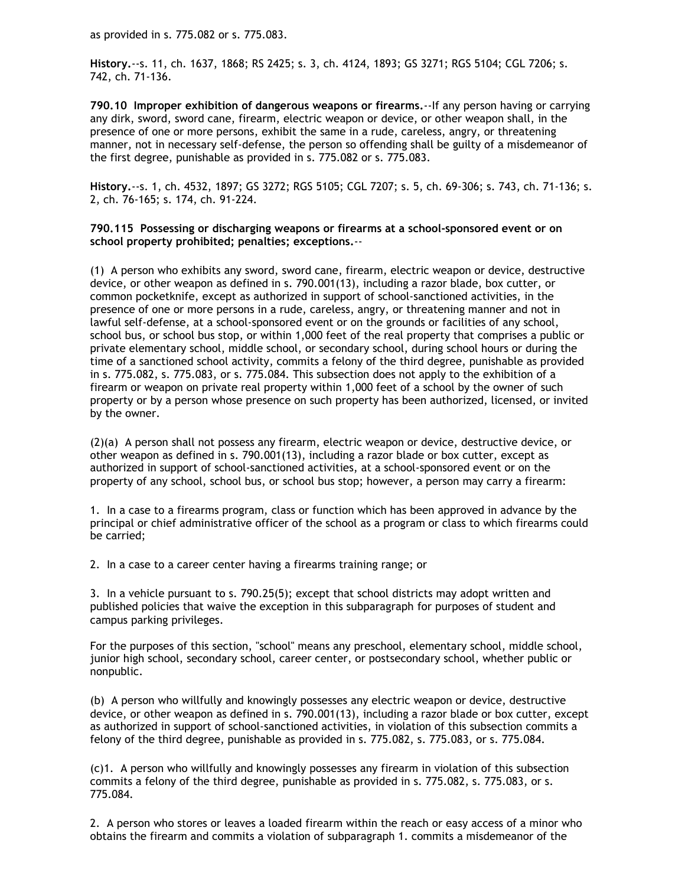as provided in s. 775.082 or s. 775.083.

**History.**--s. 11, ch. 1637, 1868; RS 2425; s. 3, ch. 4124, 1893; GS 3271; RGS 5104; CGL 7206; s. 742, ch. 71-136.

**790.10 Improper exhibition of dangerous weapons or firearms.**--If any person having or carrying any dirk, sword, sword cane, firearm, electric weapon or device, or other weapon shall, in the presence of one or more persons, exhibit the same in a rude, careless, angry, or threatening manner, not in necessary self-defense, the person so offending shall be guilty of a misdemeanor of the first degree, punishable as provided in s. 775.082 or s. 775.083.

**History.**--s. 1, ch. 4532, 1897; GS 3272; RGS 5105; CGL 7207; s. 5, ch. 69-306; s. 743, ch. 71-136; s. 2, ch. 76-165; s. 174, ch. 91-224.

#### **790.115 Possessing or discharging weapons or firearms at a school-sponsored event or on school property prohibited; penalties; exceptions.**--

(1) A person who exhibits any sword, sword cane, firearm, electric weapon or device, destructive device, or other weapon as defined in s. 790.001(13), including a razor blade, box cutter, or common pocketknife, except as authorized in support of school-sanctioned activities, in the presence of one or more persons in a rude, careless, angry, or threatening manner and not in lawful self-defense, at a school-sponsored event or on the grounds or facilities of any school, school bus, or school bus stop, or within 1,000 feet of the real property that comprises a public or private elementary school, middle school, or secondary school, during school hours or during the time of a sanctioned school activity, commits a felony of the third degree, punishable as provided in s. 775.082, s. 775.083, or s. 775.084. This subsection does not apply to the exhibition of a firearm or weapon on private real property within 1,000 feet of a school by the owner of such property or by a person whose presence on such property has been authorized, licensed, or invited by the owner.

(2)(a) A person shall not possess any firearm, electric weapon or device, destructive device, or other weapon as defined in s. 790.001(13), including a razor blade or box cutter, except as authorized in support of school-sanctioned activities, at a school-sponsored event or on the property of any school, school bus, or school bus stop; however, a person may carry a firearm:

1. In a case to a firearms program, class or function which has been approved in advance by the principal or chief administrative officer of the school as a program or class to which firearms could be carried;

2. In a case to a career center having a firearms training range; or

3. In a vehicle pursuant to s. 790.25(5); except that school districts may adopt written and published policies that waive the exception in this subparagraph for purposes of student and campus parking privileges.

For the purposes of this section, "school" means any preschool, elementary school, middle school, junior high school, secondary school, career center, or postsecondary school, whether public or nonpublic.

(b) A person who willfully and knowingly possesses any electric weapon or device, destructive device, or other weapon as defined in s. 790.001(13), including a razor blade or box cutter, except as authorized in support of school-sanctioned activities, in violation of this subsection commits a felony of the third degree, punishable as provided in s. 775.082, s. 775.083, or s. 775.084.

(c)1. A person who willfully and knowingly possesses any firearm in violation of this subsection commits a felony of the third degree, punishable as provided in s. 775.082, s. 775.083, or s. 775.084.

2. A person who stores or leaves a loaded firearm within the reach or easy access of a minor who obtains the firearm and commits a violation of subparagraph 1. commits a misdemeanor of the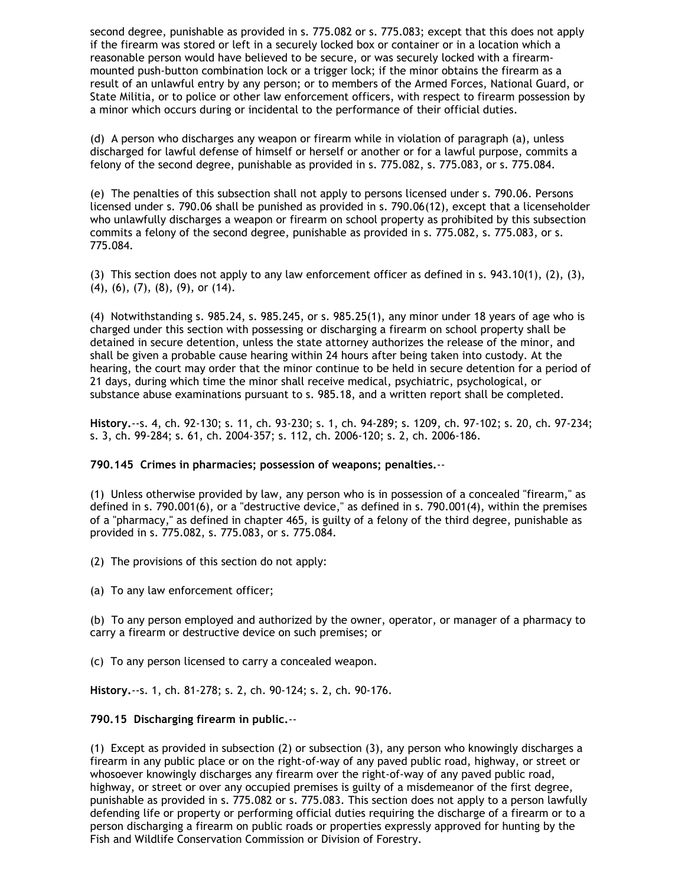second degree, punishable as provided in s. 775.082 or s. 775.083; except that this does not apply if the firearm was stored or left in a securely locked box or container or in a location which a reasonable person would have believed to be secure, or was securely locked with a firearmmounted push-button combination lock or a trigger lock; if the minor obtains the firearm as a result of an unlawful entry by any person; or to members of the Armed Forces, National Guard, or State Militia, or to police or other law enforcement officers, with respect to firearm possession by a minor which occurs during or incidental to the performance of their official duties.

(d) A person who discharges any weapon or firearm while in violation of paragraph (a), unless discharged for lawful defense of himself or herself or another or for a lawful purpose, commits a felony of the second degree, punishable as provided in s. 775.082, s. 775.083, or s. 775.084.

(e) The penalties of this subsection shall not apply to persons licensed under s. 790.06. Persons licensed under s. 790.06 shall be punished as provided in s. 790.06(12), except that a licenseholder who unlawfully discharges a weapon or firearm on school property as prohibited by this subsection commits a felony of the second degree, punishable as provided in s. 775.082, s. 775.083, or s. 775.084.

(3) This section does not apply to any law enforcement officer as defined in s.  $943.10(1)$ ,  $(2)$ ,  $(3)$ , (4), (6), (7), (8), (9), or (14).

(4) Notwithstanding s. 985.24, s. 985.245, or s. 985.25(1), any minor under 18 years of age who is charged under this section with possessing or discharging a firearm on school property shall be detained in secure detention, unless the state attorney authorizes the release of the minor, and shall be given a probable cause hearing within 24 hours after being taken into custody. At the hearing, the court may order that the minor continue to be held in secure detention for a period of 21 days, during which time the minor shall receive medical, psychiatric, psychological, or substance abuse examinations pursuant to s. 985.18, and a written report shall be completed.

**History.**--s. 4, ch. 92-130; s. 11, ch. 93-230; s. 1, ch. 94-289; s. 1209, ch. 97-102; s. 20, ch. 97-234; s. 3, ch. 99-284; s. 61, ch. 2004-357; s. 112, ch. 2006-120; s. 2, ch. 2006-186.

### **790.145 Crimes in pharmacies; possession of weapons; penalties.**--

(1) Unless otherwise provided by law, any person who is in possession of a concealed "firearm," as defined in s. 790.001(6), or a "destructive device," as defined in s. 790.001(4), within the premises of a "pharmacy," as defined in chapter 465, is guilty of a felony of the third degree, punishable as provided in s. 775.082, s. 775.083, or s. 775.084.

(2) The provisions of this section do not apply:

(a) To any law enforcement officer;

(b) To any person employed and authorized by the owner, operator, or manager of a pharmacy to carry a firearm or destructive device on such premises; or

(c) To any person licensed to carry a concealed weapon.

**History.**--s. 1, ch. 81-278; s. 2, ch. 90-124; s. 2, ch. 90-176.

# **790.15 Discharging firearm in public.**--

(1) Except as provided in subsection (2) or subsection (3), any person who knowingly discharges a firearm in any public place or on the right-of-way of any paved public road, highway, or street or whosoever knowingly discharges any firearm over the right-of-way of any paved public road, highway, or street or over any occupied premises is guilty of a misdemeanor of the first degree, punishable as provided in s. 775.082 or s. 775.083. This section does not apply to a person lawfully defending life or property or performing official duties requiring the discharge of a firearm or to a person discharging a firearm on public roads or properties expressly approved for hunting by the Fish and Wildlife Conservation Commission or Division of Forestry.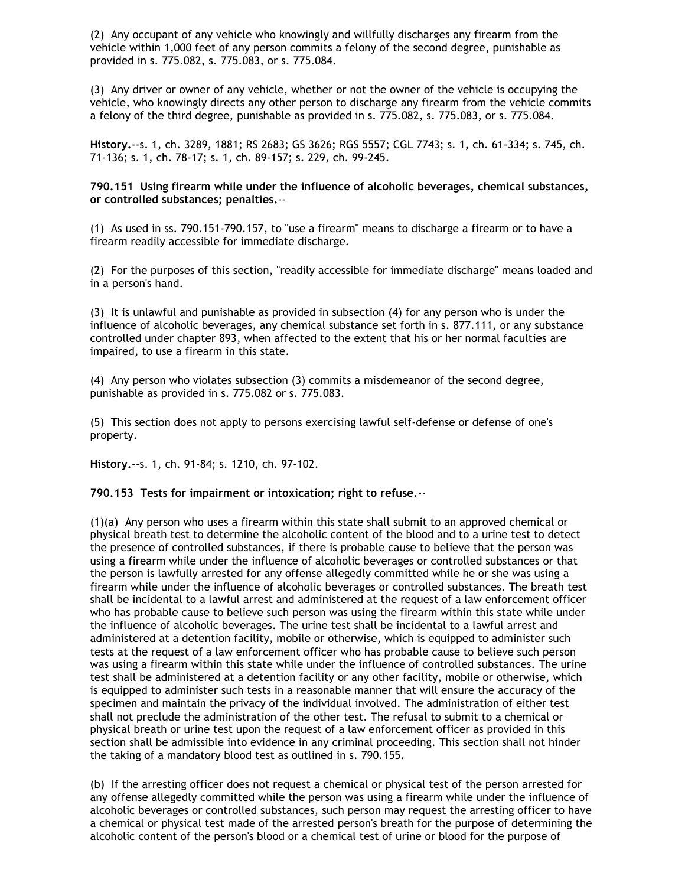(2) Any occupant of any vehicle who knowingly and willfully discharges any firearm from the vehicle within 1,000 feet of any person commits a felony of the second degree, punishable as provided in s. 775.082, s. 775.083, or s. 775.084.

(3) Any driver or owner of any vehicle, whether or not the owner of the vehicle is occupying the vehicle, who knowingly directs any other person to discharge any firearm from the vehicle commits a felony of the third degree, punishable as provided in s. 775.082, s. 775.083, or s. 775.084.

**History.**--s. 1, ch. 3289, 1881; RS 2683; GS 3626; RGS 5557; CGL 7743; s. 1, ch. 61-334; s. 745, ch. 71-136; s. 1, ch. 78-17; s. 1, ch. 89-157; s. 229, ch. 99-245.

#### **790.151 Using firearm while under the influence of alcoholic beverages, chemical substances, or controlled substances; penalties.**--

(1) As used in ss. 790.151-790.157, to "use a firearm" means to discharge a firearm or to have a firearm readily accessible for immediate discharge.

(2) For the purposes of this section, "readily accessible for immediate discharge" means loaded and in a person's hand.

(3) It is unlawful and punishable as provided in subsection (4) for any person who is under the influence of alcoholic beverages, any chemical substance set forth in s. 877.111, or any substance controlled under chapter 893, when affected to the extent that his or her normal faculties are impaired, to use a firearm in this state.

(4) Any person who violates subsection (3) commits a misdemeanor of the second degree, punishable as provided in s. 775.082 or s. 775.083.

(5) This section does not apply to persons exercising lawful self-defense or defense of one's property.

**History.**--s. 1, ch. 91-84; s. 1210, ch. 97-102.

**790.153 Tests for impairment or intoxication; right to refuse.**--

(1)(a) Any person who uses a firearm within this state shall submit to an approved chemical or physical breath test to determine the alcoholic content of the blood and to a urine test to detect the presence of controlled substances, if there is probable cause to believe that the person was using a firearm while under the influence of alcoholic beverages or controlled substances or that the person is lawfully arrested for any offense allegedly committed while he or she was using a firearm while under the influence of alcoholic beverages or controlled substances. The breath test shall be incidental to a lawful arrest and administered at the request of a law enforcement officer who has probable cause to believe such person was using the firearm within this state while under the influence of alcoholic beverages. The urine test shall be incidental to a lawful arrest and administered at a detention facility, mobile or otherwise, which is equipped to administer such tests at the request of a law enforcement officer who has probable cause to believe such person was using a firearm within this state while under the influence of controlled substances. The urine test shall be administered at a detention facility or any other facility, mobile or otherwise, which is equipped to administer such tests in a reasonable manner that will ensure the accuracy of the specimen and maintain the privacy of the individual involved. The administration of either test shall not preclude the administration of the other test. The refusal to submit to a chemical or physical breath or urine test upon the request of a law enforcement officer as provided in this section shall be admissible into evidence in any criminal proceeding. This section shall not hinder the taking of a mandatory blood test as outlined in s. 790.155.

(b) If the arresting officer does not request a chemical or physical test of the person arrested for any offense allegedly committed while the person was using a firearm while under the influence of alcoholic beverages or controlled substances, such person may request the arresting officer to have a chemical or physical test made of the arrested person's breath for the purpose of determining the alcoholic content of the person's blood or a chemical test of urine or blood for the purpose of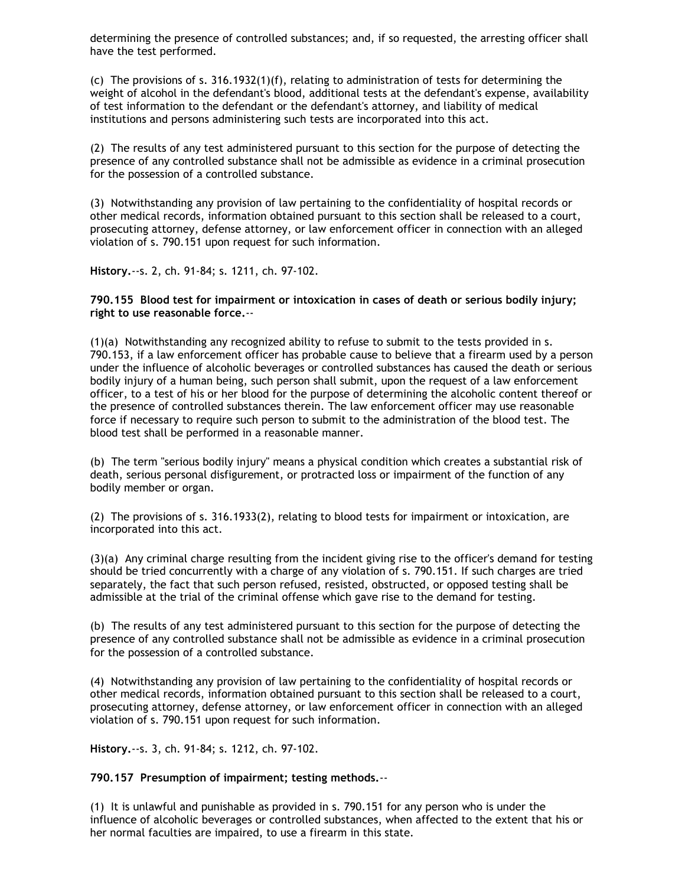determining the presence of controlled substances; and, if so requested, the arresting officer shall have the test performed.

(c) The provisions of s. 316.1932(1)(f), relating to administration of tests for determining the weight of alcohol in the defendant's blood, additional tests at the defendant's expense, availability of test information to the defendant or the defendant's attorney, and liability of medical institutions and persons administering such tests are incorporated into this act.

(2) The results of any test administered pursuant to this section for the purpose of detecting the presence of any controlled substance shall not be admissible as evidence in a criminal prosecution for the possession of a controlled substance.

(3) Notwithstanding any provision of law pertaining to the confidentiality of hospital records or other medical records, information obtained pursuant to this section shall be released to a court, prosecuting attorney, defense attorney, or law enforcement officer in connection with an alleged violation of s. 790.151 upon request for such information.

**History.**--s. 2, ch. 91-84; s. 1211, ch. 97-102.

# **790.155 Blood test for impairment or intoxication in cases of death or serious bodily injury; right to use reasonable force.**--

(1)(a) Notwithstanding any recognized ability to refuse to submit to the tests provided in s. 790.153, if a law enforcement officer has probable cause to believe that a firearm used by a person under the influence of alcoholic beverages or controlled substances has caused the death or serious bodily injury of a human being, such person shall submit, upon the request of a law enforcement officer, to a test of his or her blood for the purpose of determining the alcoholic content thereof or the presence of controlled substances therein. The law enforcement officer may use reasonable force if necessary to require such person to submit to the administration of the blood test. The blood test shall be performed in a reasonable manner.

(b) The term "serious bodily injury" means a physical condition which creates a substantial risk of death, serious personal disfigurement, or protracted loss or impairment of the function of any bodily member or organ.

(2) The provisions of s. 316.1933(2), relating to blood tests for impairment or intoxication, are incorporated into this act.

(3)(a) Any criminal charge resulting from the incident giving rise to the officer's demand for testing should be tried concurrently with a charge of any violation of s. 790.151. If such charges are tried separately, the fact that such person refused, resisted, obstructed, or opposed testing shall be admissible at the trial of the criminal offense which gave rise to the demand for testing.

(b) The results of any test administered pursuant to this section for the purpose of detecting the presence of any controlled substance shall not be admissible as evidence in a criminal prosecution for the possession of a controlled substance.

(4) Notwithstanding any provision of law pertaining to the confidentiality of hospital records or other medical records, information obtained pursuant to this section shall be released to a court, prosecuting attorney, defense attorney, or law enforcement officer in connection with an alleged violation of s. 790.151 upon request for such information.

**History.**--s. 3, ch. 91-84; s. 1212, ch. 97-102.

# **790.157 Presumption of impairment; testing methods.**--

(1) It is unlawful and punishable as provided in s. 790.151 for any person who is under the influence of alcoholic beverages or controlled substances, when affected to the extent that his or her normal faculties are impaired, to use a firearm in this state.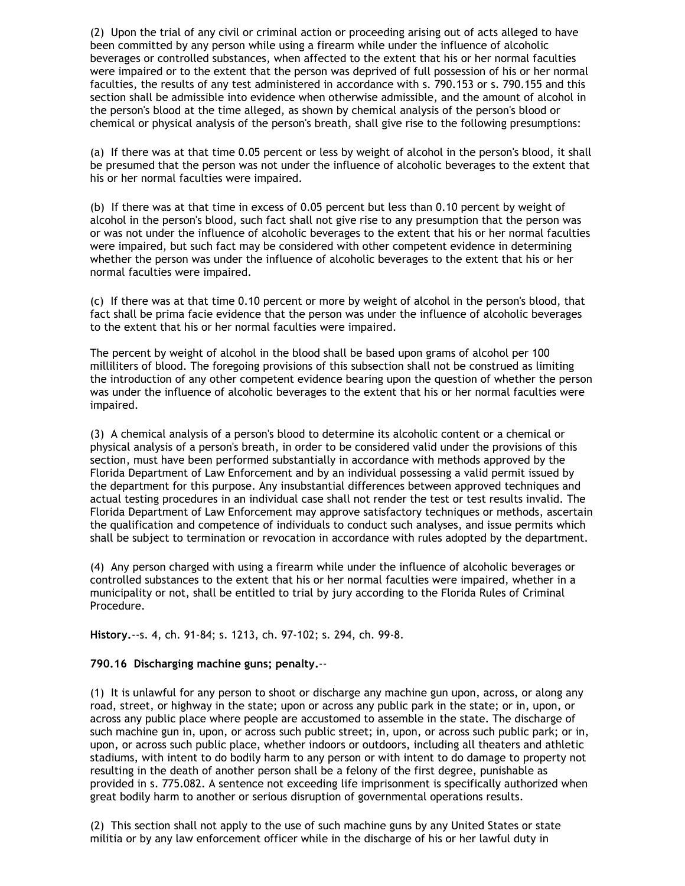(2) Upon the trial of any civil or criminal action or proceeding arising out of acts alleged to have been committed by any person while using a firearm while under the influence of alcoholic beverages or controlled substances, when affected to the extent that his or her normal faculties were impaired or to the extent that the person was deprived of full possession of his or her normal faculties, the results of any test administered in accordance with s. 790.153 or s. 790.155 and this section shall be admissible into evidence when otherwise admissible, and the amount of alcohol in the person's blood at the time alleged, as shown by chemical analysis of the person's blood or chemical or physical analysis of the person's breath, shall give rise to the following presumptions:

(a) If there was at that time 0.05 percent or less by weight of alcohol in the person's blood, it shall be presumed that the person was not under the influence of alcoholic beverages to the extent that his or her normal faculties were impaired.

(b) If there was at that time in excess of 0.05 percent but less than 0.10 percent by weight of alcohol in the person's blood, such fact shall not give rise to any presumption that the person was or was not under the influence of alcoholic beverages to the extent that his or her normal faculties were impaired, but such fact may be considered with other competent evidence in determining whether the person was under the influence of alcoholic beverages to the extent that his or her normal faculties were impaired.

(c) If there was at that time 0.10 percent or more by weight of alcohol in the person's blood, that fact shall be prima facie evidence that the person was under the influence of alcoholic beverages to the extent that his or her normal faculties were impaired.

The percent by weight of alcohol in the blood shall be based upon grams of alcohol per 100 milliliters of blood. The foregoing provisions of this subsection shall not be construed as limiting the introduction of any other competent evidence bearing upon the question of whether the person was under the influence of alcoholic beverages to the extent that his or her normal faculties were impaired.

(3) A chemical analysis of a person's blood to determine its alcoholic content or a chemical or physical analysis of a person's breath, in order to be considered valid under the provisions of this section, must have been performed substantially in accordance with methods approved by the Florida Department of Law Enforcement and by an individual possessing a valid permit issued by the department for this purpose. Any insubstantial differences between approved techniques and actual testing procedures in an individual case shall not render the test or test results invalid. The Florida Department of Law Enforcement may approve satisfactory techniques or methods, ascertain the qualification and competence of individuals to conduct such analyses, and issue permits which shall be subject to termination or revocation in accordance with rules adopted by the department.

(4) Any person charged with using a firearm while under the influence of alcoholic beverages or controlled substances to the extent that his or her normal faculties were impaired, whether in a municipality or not, shall be entitled to trial by jury according to the Florida Rules of Criminal Procedure.

**History.**--s. 4, ch. 91-84; s. 1213, ch. 97-102; s. 294, ch. 99-8.

### **790.16 Discharging machine guns; penalty.**--

(1) It is unlawful for any person to shoot or discharge any machine gun upon, across, or along any road, street, or highway in the state; upon or across any public park in the state; or in, upon, or across any public place where people are accustomed to assemble in the state. The discharge of such machine gun in, upon, or across such public street; in, upon, or across such public park; or in, upon, or across such public place, whether indoors or outdoors, including all theaters and athletic stadiums, with intent to do bodily harm to any person or with intent to do damage to property not resulting in the death of another person shall be a felony of the first degree, punishable as provided in s. 775.082. A sentence not exceeding life imprisonment is specifically authorized when great bodily harm to another or serious disruption of governmental operations results.

(2) This section shall not apply to the use of such machine guns by any United States or state militia or by any law enforcement officer while in the discharge of his or her lawful duty in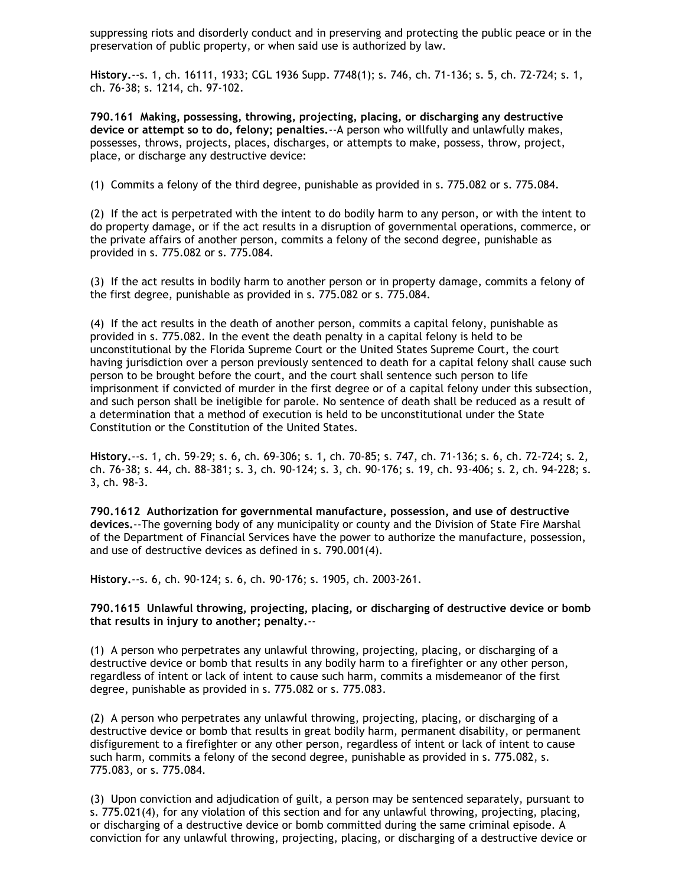suppressing riots and disorderly conduct and in preserving and protecting the public peace or in the preservation of public property, or when said use is authorized by law.

**History.**--s. 1, ch. 16111, 1933; CGL 1936 Supp. 7748(1); s. 746, ch. 71-136; s. 5, ch. 72-724; s. 1, ch. 76-38; s. 1214, ch. 97-102.

**790.161 Making, possessing, throwing, projecting, placing, or discharging any destructive device or attempt so to do, felony; penalties.**--A person who willfully and unlawfully makes, possesses, throws, projects, places, discharges, or attempts to make, possess, throw, project, place, or discharge any destructive device:

(1) Commits a felony of the third degree, punishable as provided in s. 775.082 or s. 775.084.

(2) If the act is perpetrated with the intent to do bodily harm to any person, or with the intent to do property damage, or if the act results in a disruption of governmental operations, commerce, or the private affairs of another person, commits a felony of the second degree, punishable as provided in s. 775.082 or s. 775.084.

(3) If the act results in bodily harm to another person or in property damage, commits a felony of the first degree, punishable as provided in s. 775.082 or s. 775.084.

(4) If the act results in the death of another person, commits a capital felony, punishable as provided in s. 775.082. In the event the death penalty in a capital felony is held to be unconstitutional by the Florida Supreme Court or the United States Supreme Court, the court having jurisdiction over a person previously sentenced to death for a capital felony shall cause such person to be brought before the court, and the court shall sentence such person to life imprisonment if convicted of murder in the first degree or of a capital felony under this subsection, and such person shall be ineligible for parole. No sentence of death shall be reduced as a result of a determination that a method of execution is held to be unconstitutional under the State Constitution or the Constitution of the United States.

**History.**--s. 1, ch. 59-29; s. 6, ch. 69-306; s. 1, ch. 70-85; s. 747, ch. 71-136; s. 6, ch. 72-724; s. 2, ch. 76-38; s. 44, ch. 88-381; s. 3, ch. 90-124; s. 3, ch. 90-176; s. 19, ch. 93-406; s. 2, ch. 94-228; s. 3, ch. 98-3.

**790.1612 Authorization for governmental manufacture, possession, and use of destructive devices.**--The governing body of any municipality or county and the Division of State Fire Marshal of the Department of Financial Services have the power to authorize the manufacture, possession, and use of destructive devices as defined in s. 790.001(4).

**History.**--s. 6, ch. 90-124; s. 6, ch. 90-176; s. 1905, ch. 2003-261.

#### **790.1615 Unlawful throwing, projecting, placing, or discharging of destructive device or bomb that results in injury to another; penalty.**--

(1) A person who perpetrates any unlawful throwing, projecting, placing, or discharging of a destructive device or bomb that results in any bodily harm to a firefighter or any other person, regardless of intent or lack of intent to cause such harm, commits a misdemeanor of the first degree, punishable as provided in s. 775.082 or s. 775.083.

(2) A person who perpetrates any unlawful throwing, projecting, placing, or discharging of a destructive device or bomb that results in great bodily harm, permanent disability, or permanent disfigurement to a firefighter or any other person, regardless of intent or lack of intent to cause such harm, commits a felony of the second degree, punishable as provided in s. 775.082, s. 775.083, or s. 775.084.

(3) Upon conviction and adjudication of guilt, a person may be sentenced separately, pursuant to s. 775.021(4), for any violation of this section and for any unlawful throwing, projecting, placing, or discharging of a destructive device or bomb committed during the same criminal episode. A conviction for any unlawful throwing, projecting, placing, or discharging of a destructive device or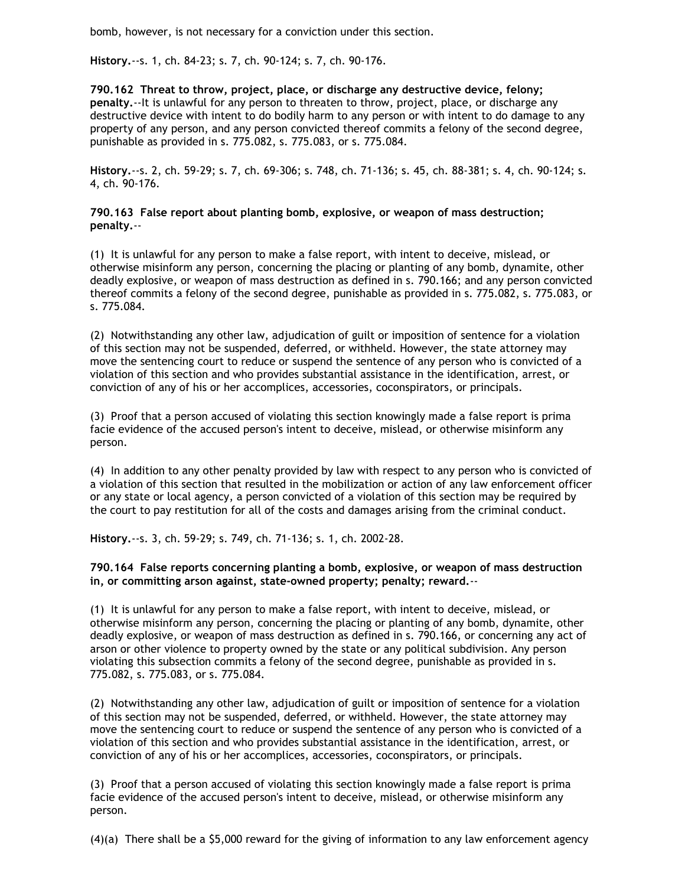bomb, however, is not necessary for a conviction under this section.

**History.**--s. 1, ch. 84-23; s. 7, ch. 90-124; s. 7, ch. 90-176.

**790.162 Threat to throw, project, place, or discharge any destructive device, felony; penalty.**--It is unlawful for any person to threaten to throw, project, place, or discharge any destructive device with intent to do bodily harm to any person or with intent to do damage to any property of any person, and any person convicted thereof commits a felony of the second degree, punishable as provided in s. 775.082, s. 775.083, or s. 775.084.

**History.**--s. 2, ch. 59-29; s. 7, ch. 69-306; s. 748, ch. 71-136; s. 45, ch. 88-381; s. 4, ch. 90-124; s. 4, ch. 90-176.

# **790.163 False report about planting bomb, explosive, or weapon of mass destruction; penalty.**--

(1) It is unlawful for any person to make a false report, with intent to deceive, mislead, or otherwise misinform any person, concerning the placing or planting of any bomb, dynamite, other deadly explosive, or weapon of mass destruction as defined in s. 790.166; and any person convicted thereof commits a felony of the second degree, punishable as provided in s. 775.082, s. 775.083, or s. 775.084.

(2) Notwithstanding any other law, adjudication of guilt or imposition of sentence for a violation of this section may not be suspended, deferred, or withheld. However, the state attorney may move the sentencing court to reduce or suspend the sentence of any person who is convicted of a violation of this section and who provides substantial assistance in the identification, arrest, or conviction of any of his or her accomplices, accessories, coconspirators, or principals.

(3) Proof that a person accused of violating this section knowingly made a false report is prima facie evidence of the accused person's intent to deceive, mislead, or otherwise misinform any person.

(4) In addition to any other penalty provided by law with respect to any person who is convicted of a violation of this section that resulted in the mobilization or action of any law enforcement officer or any state or local agency, a person convicted of a violation of this section may be required by the court to pay restitution for all of the costs and damages arising from the criminal conduct.

**History.**--s. 3, ch. 59-29; s. 749, ch. 71-136; s. 1, ch. 2002-28.

# **790.164 False reports concerning planting a bomb, explosive, or weapon of mass destruction in, or committing arson against, state-owned property; penalty; reward.**--

(1) It is unlawful for any person to make a false report, with intent to deceive, mislead, or otherwise misinform any person, concerning the placing or planting of any bomb, dynamite, other deadly explosive, or weapon of mass destruction as defined in s. 790.166, or concerning any act of arson or other violence to property owned by the state or any political subdivision. Any person violating this subsection commits a felony of the second degree, punishable as provided in s. 775.082, s. 775.083, or s. 775.084.

(2) Notwithstanding any other law, adjudication of guilt or imposition of sentence for a violation of this section may not be suspended, deferred, or withheld. However, the state attorney may move the sentencing court to reduce or suspend the sentence of any person who is convicted of a violation of this section and who provides substantial assistance in the identification, arrest, or conviction of any of his or her accomplices, accessories, coconspirators, or principals.

(3) Proof that a person accused of violating this section knowingly made a false report is prima facie evidence of the accused person's intent to deceive, mislead, or otherwise misinform any person.

(4)(a) There shall be a \$5,000 reward for the giving of information to any law enforcement agency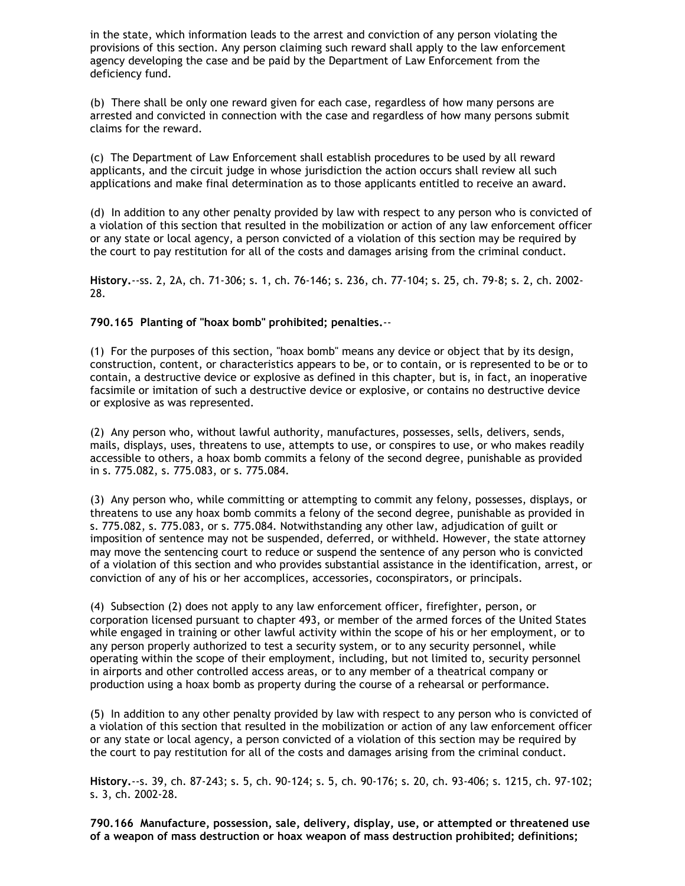in the state, which information leads to the arrest and conviction of any person violating the provisions of this section. Any person claiming such reward shall apply to the law enforcement agency developing the case and be paid by the Department of Law Enforcement from the deficiency fund.

(b) There shall be only one reward given for each case, regardless of how many persons are arrested and convicted in connection with the case and regardless of how many persons submit claims for the reward.

(c) The Department of Law Enforcement shall establish procedures to be used by all reward applicants, and the circuit judge in whose jurisdiction the action occurs shall review all such applications and make final determination as to those applicants entitled to receive an award.

(d) In addition to any other penalty provided by law with respect to any person who is convicted of a violation of this section that resulted in the mobilization or action of any law enforcement officer or any state or local agency, a person convicted of a violation of this section may be required by the court to pay restitution for all of the costs and damages arising from the criminal conduct.

**History.**--ss. 2, 2A, ch. 71-306; s. 1, ch. 76-146; s. 236, ch. 77-104; s. 25, ch. 79-8; s. 2, ch. 2002- 28.

# **790.165 Planting of "hoax bomb" prohibited; penalties.**--

(1) For the purposes of this section, "hoax bomb" means any device or object that by its design, construction, content, or characteristics appears to be, or to contain, or is represented to be or to contain, a destructive device or explosive as defined in this chapter, but is, in fact, an inoperative facsimile or imitation of such a destructive device or explosive, or contains no destructive device or explosive as was represented.

(2) Any person who, without lawful authority, manufactures, possesses, sells, delivers, sends, mails, displays, uses, threatens to use, attempts to use, or conspires to use, or who makes readily accessible to others, a hoax bomb commits a felony of the second degree, punishable as provided in s. 775.082, s. 775.083, or s. 775.084.

(3) Any person who, while committing or attempting to commit any felony, possesses, displays, or threatens to use any hoax bomb commits a felony of the second degree, punishable as provided in s. 775.082, s. 775.083, or s. 775.084. Notwithstanding any other law, adjudication of guilt or imposition of sentence may not be suspended, deferred, or withheld. However, the state attorney may move the sentencing court to reduce or suspend the sentence of any person who is convicted of a violation of this section and who provides substantial assistance in the identification, arrest, or conviction of any of his or her accomplices, accessories, coconspirators, or principals.

(4) Subsection (2) does not apply to any law enforcement officer, firefighter, person, or corporation licensed pursuant to chapter 493, or member of the armed forces of the United States while engaged in training or other lawful activity within the scope of his or her employment, or to any person properly authorized to test a security system, or to any security personnel, while operating within the scope of their employment, including, but not limited to, security personnel in airports and other controlled access areas, or to any member of a theatrical company or production using a hoax bomb as property during the course of a rehearsal or performance.

(5) In addition to any other penalty provided by law with respect to any person who is convicted of a violation of this section that resulted in the mobilization or action of any law enforcement officer or any state or local agency, a person convicted of a violation of this section may be required by the court to pay restitution for all of the costs and damages arising from the criminal conduct.

**History.**--s. 39, ch. 87-243; s. 5, ch. 90-124; s. 5, ch. 90-176; s. 20, ch. 93-406; s. 1215, ch. 97-102; s. 3, ch. 2002-28.

**790.166 Manufacture, possession, sale, delivery, display, use, or attempted or threatened use of a weapon of mass destruction or hoax weapon of mass destruction prohibited; definitions;**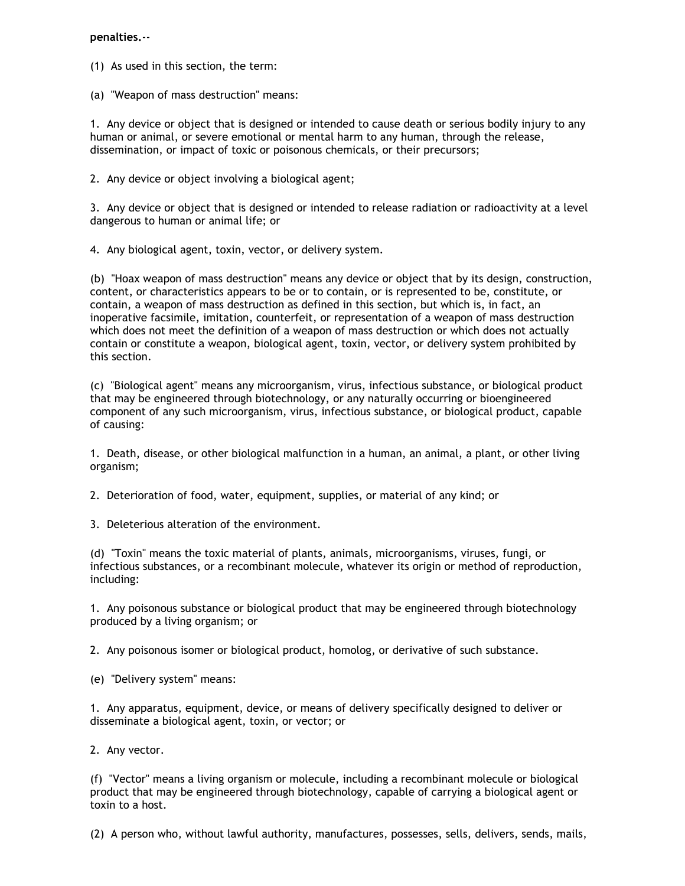#### **penalties.**--

(1) As used in this section, the term:

(a) "Weapon of mass destruction" means:

1. Any device or object that is designed or intended to cause death or serious bodily injury to any human or animal, or severe emotional or mental harm to any human, through the release, dissemination, or impact of toxic or poisonous chemicals, or their precursors;

2. Any device or object involving a biological agent;

3. Any device or object that is designed or intended to release radiation or radioactivity at a level dangerous to human or animal life; or

4. Any biological agent, toxin, vector, or delivery system.

(b) "Hoax weapon of mass destruction" means any device or object that by its design, construction, content, or characteristics appears to be or to contain, or is represented to be, constitute, or contain, a weapon of mass destruction as defined in this section, but which is, in fact, an inoperative facsimile, imitation, counterfeit, or representation of a weapon of mass destruction which does not meet the definition of a weapon of mass destruction or which does not actually contain or constitute a weapon, biological agent, toxin, vector, or delivery system prohibited by this section.

(c) "Biological agent" means any microorganism, virus, infectious substance, or biological product that may be engineered through biotechnology, or any naturally occurring or bioengineered component of any such microorganism, virus, infectious substance, or biological product, capable of causing:

1. Death, disease, or other biological malfunction in a human, an animal, a plant, or other living organism;

2. Deterioration of food, water, equipment, supplies, or material of any kind; or

3. Deleterious alteration of the environment.

(d) "Toxin" means the toxic material of plants, animals, microorganisms, viruses, fungi, or infectious substances, or a recombinant molecule, whatever its origin or method of reproduction, including:

1. Any poisonous substance or biological product that may be engineered through biotechnology produced by a living organism; or

2. Any poisonous isomer or biological product, homolog, or derivative of such substance.

(e) "Delivery system" means:

1. Any apparatus, equipment, device, or means of delivery specifically designed to deliver or disseminate a biological agent, toxin, or vector; or

2. Any vector.

(f) "Vector" means a living organism or molecule, including a recombinant molecule or biological product that may be engineered through biotechnology, capable of carrying a biological agent or toxin to a host.

(2) A person who, without lawful authority, manufactures, possesses, sells, delivers, sends, mails,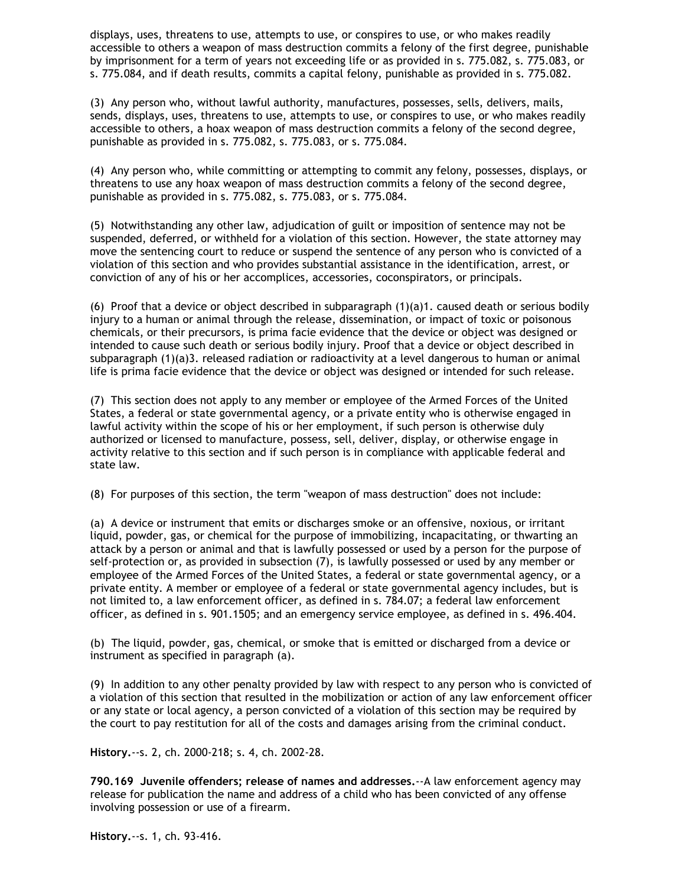displays, uses, threatens to use, attempts to use, or conspires to use, or who makes readily accessible to others a weapon of mass destruction commits a felony of the first degree, punishable by imprisonment for a term of years not exceeding life or as provided in s. 775.082, s. 775.083, or s. 775.084, and if death results, commits a capital felony, punishable as provided in s. 775.082.

(3) Any person who, without lawful authority, manufactures, possesses, sells, delivers, mails, sends, displays, uses, threatens to use, attempts to use, or conspires to use, or who makes readily accessible to others, a hoax weapon of mass destruction commits a felony of the second degree, punishable as provided in s. 775.082, s. 775.083, or s. 775.084.

(4) Any person who, while committing or attempting to commit any felony, possesses, displays, or threatens to use any hoax weapon of mass destruction commits a felony of the second degree, punishable as provided in s. 775.082, s. 775.083, or s. 775.084.

(5) Notwithstanding any other law, adjudication of guilt or imposition of sentence may not be suspended, deferred, or withheld for a violation of this section. However, the state attorney may move the sentencing court to reduce or suspend the sentence of any person who is convicted of a violation of this section and who provides substantial assistance in the identification, arrest, or conviction of any of his or her accomplices, accessories, coconspirators, or principals.

(6) Proof that a device or object described in subparagraph  $(1)(a)1$ . caused death or serious bodily injury to a human or animal through the release, dissemination, or impact of toxic or poisonous chemicals, or their precursors, is prima facie evidence that the device or object was designed or intended to cause such death or serious bodily injury. Proof that a device or object described in subparagraph (1)(a)3. released radiation or radioactivity at a level dangerous to human or animal life is prima facie evidence that the device or object was designed or intended for such release.

(7) This section does not apply to any member or employee of the Armed Forces of the United States, a federal or state governmental agency, or a private entity who is otherwise engaged in lawful activity within the scope of his or her employment, if such person is otherwise duly authorized or licensed to manufacture, possess, sell, deliver, display, or otherwise engage in activity relative to this section and if such person is in compliance with applicable federal and state law.

(8) For purposes of this section, the term "weapon of mass destruction" does not include:

(a) A device or instrument that emits or discharges smoke or an offensive, noxious, or irritant liquid, powder, gas, or chemical for the purpose of immobilizing, incapacitating, or thwarting an attack by a person or animal and that is lawfully possessed or used by a person for the purpose of self-protection or, as provided in subsection (7), is lawfully possessed or used by any member or employee of the Armed Forces of the United States, a federal or state governmental agency, or a private entity. A member or employee of a federal or state governmental agency includes, but is not limited to, a law enforcement officer, as defined in s. 784.07; a federal law enforcement officer, as defined in s. 901.1505; and an emergency service employee, as defined in s. 496.404.

(b) The liquid, powder, gas, chemical, or smoke that is emitted or discharged from a device or instrument as specified in paragraph (a).

(9) In addition to any other penalty provided by law with respect to any person who is convicted of a violation of this section that resulted in the mobilization or action of any law enforcement officer or any state or local agency, a person convicted of a violation of this section may be required by the court to pay restitution for all of the costs and damages arising from the criminal conduct.

**History.**--s. 2, ch. 2000-218; s. 4, ch. 2002-28.

**790.169 Juvenile offenders; release of names and addresses.**--A law enforcement agency may release for publication the name and address of a child who has been convicted of any offense involving possession or use of a firearm.

**History.**--s. 1, ch. 93-416.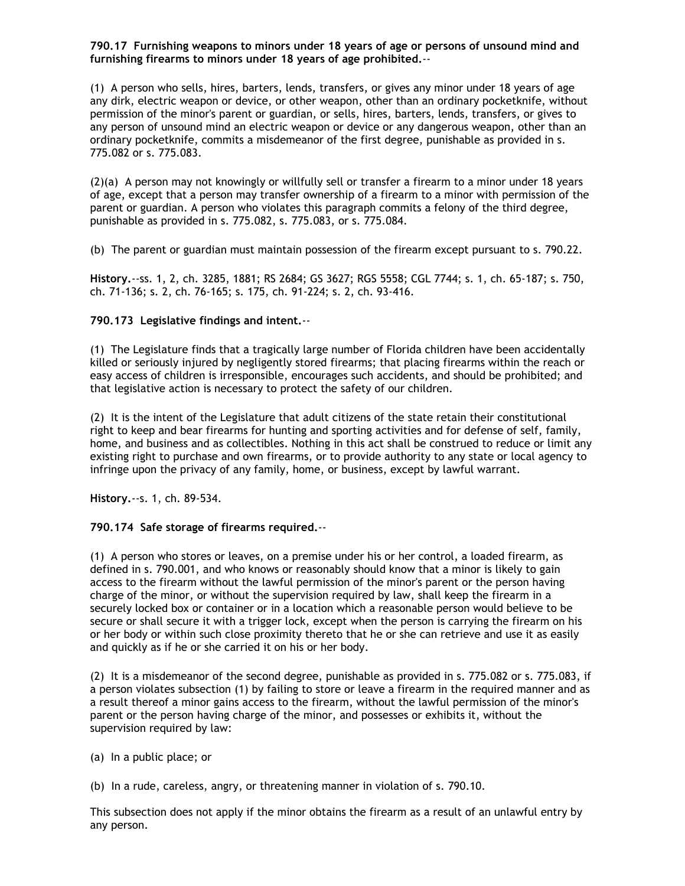#### **790.17 Furnishing weapons to minors under 18 years of age or persons of unsound mind and furnishing firearms to minors under 18 years of age prohibited.**--

(1) A person who sells, hires, barters, lends, transfers, or gives any minor under 18 years of age any dirk, electric weapon or device, or other weapon, other than an ordinary pocketknife, without permission of the minor's parent or guardian, or sells, hires, barters, lends, transfers, or gives to any person of unsound mind an electric weapon or device or any dangerous weapon, other than an ordinary pocketknife, commits a misdemeanor of the first degree, punishable as provided in s. 775.082 or s. 775.083.

(2)(a) A person may not knowingly or willfully sell or transfer a firearm to a minor under 18 years of age, except that a person may transfer ownership of a firearm to a minor with permission of the parent or guardian. A person who violates this paragraph commits a felony of the third degree, punishable as provided in s. 775.082, s. 775.083, or s. 775.084.

(b) The parent or guardian must maintain possession of the firearm except pursuant to s. 790.22.

**History.**--ss. 1, 2, ch. 3285, 1881; RS 2684; GS 3627; RGS 5558; CGL 7744; s. 1, ch. 65-187; s. 750, ch. 71-136; s. 2, ch. 76-165; s. 175, ch. 91-224; s. 2, ch. 93-416.

# **790.173 Legislative findings and intent.**--

(1) The Legislature finds that a tragically large number of Florida children have been accidentally killed or seriously injured by negligently stored firearms; that placing firearms within the reach or easy access of children is irresponsible, encourages such accidents, and should be prohibited; and that legislative action is necessary to protect the safety of our children.

(2) It is the intent of the Legislature that adult citizens of the state retain their constitutional right to keep and bear firearms for hunting and sporting activities and for defense of self, family, home, and business and as collectibles. Nothing in this act shall be construed to reduce or limit any existing right to purchase and own firearms, or to provide authority to any state or local agency to infringe upon the privacy of any family, home, or business, except by lawful warrant.

**History.**--s. 1, ch. 89-534.

# **790.174 Safe storage of firearms required.**--

(1) A person who stores or leaves, on a premise under his or her control, a loaded firearm, as defined in s. 790.001, and who knows or reasonably should know that a minor is likely to gain access to the firearm without the lawful permission of the minor's parent or the person having charge of the minor, or without the supervision required by law, shall keep the firearm in a securely locked box or container or in a location which a reasonable person would believe to be secure or shall secure it with a trigger lock, except when the person is carrying the firearm on his or her body or within such close proximity thereto that he or she can retrieve and use it as easily and quickly as if he or she carried it on his or her body.

(2) It is a misdemeanor of the second degree, punishable as provided in s. 775.082 or s. 775.083, if a person violates subsection (1) by failing to store or leave a firearm in the required manner and as a result thereof a minor gains access to the firearm, without the lawful permission of the minor's parent or the person having charge of the minor, and possesses or exhibits it, without the supervision required by law:

(a) In a public place; or

(b) In a rude, careless, angry, or threatening manner in violation of s. 790.10.

This subsection does not apply if the minor obtains the firearm as a result of an unlawful entry by any person.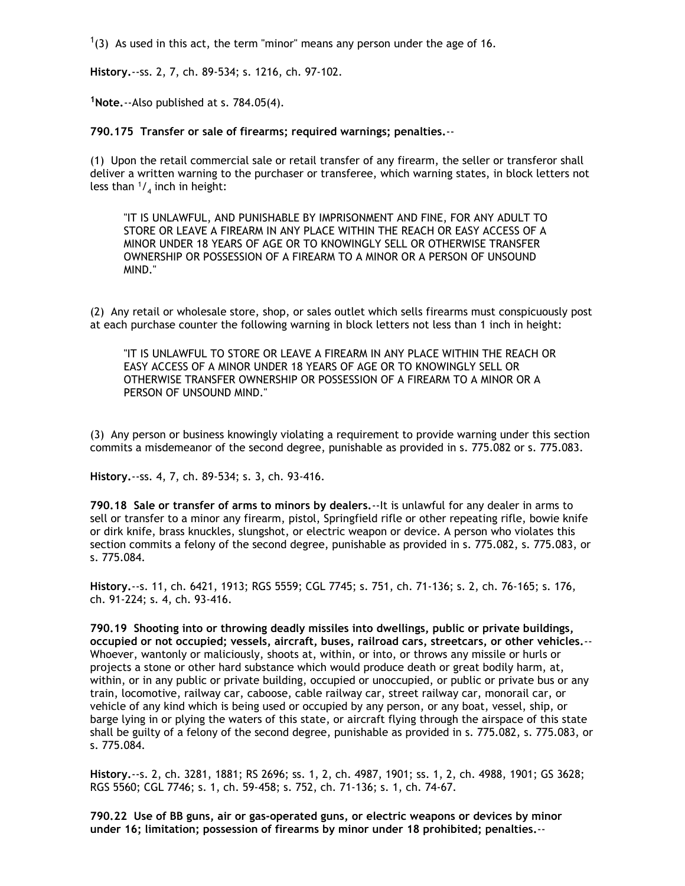$1(3)$  As used in this act, the term "minor" means any person under the age of 16.

**History.**--ss. 2, 7, ch. 89-534; s. 1216, ch. 97-102.

**1Note.**--Also published at s. 784.05(4).

**790.175 Transfer or sale of firearms; required warnings; penalties.**--

(1) Upon the retail commercial sale or retail transfer of any firearm, the seller or transferor shall deliver a written warning to the purchaser or transferee, which warning states, in block letters not less than  $1/4$  inch in height:

"IT IS UNLAWFUL, AND PUNISHABLE BY IMPRISONMENT AND FINE, FOR ANY ADULT TO STORE OR LEAVE A FIREARM IN ANY PLACE WITHIN THE REACH OR EASY ACCESS OF A MINOR UNDER 18 YEARS OF AGE OR TO KNOWINGLY SELL OR OTHERWISE TRANSFER OWNERSHIP OR POSSESSION OF A FIREARM TO A MINOR OR A PERSON OF UNSOUND MIND."

(2) Any retail or wholesale store, shop, or sales outlet which sells firearms must conspicuously post at each purchase counter the following warning in block letters not less than 1 inch in height:

"IT IS UNLAWFUL TO STORE OR LEAVE A FIREARM IN ANY PLACE WITHIN THE REACH OR EASY ACCESS OF A MINOR UNDER 18 YEARS OF AGE OR TO KNOWINGLY SELL OR OTHERWISE TRANSFER OWNERSHIP OR POSSESSION OF A FIREARM TO A MINOR OR A PERSON OF UNSOUND MIND."

(3) Any person or business knowingly violating a requirement to provide warning under this section commits a misdemeanor of the second degree, punishable as provided in s. 775.082 or s. 775.083.

**History.**--ss. 4, 7, ch. 89-534; s. 3, ch. 93-416.

**790.18 Sale or transfer of arms to minors by dealers.**--It is unlawful for any dealer in arms to sell or transfer to a minor any firearm, pistol, Springfield rifle or other repeating rifle, bowie knife or dirk knife, brass knuckles, slungshot, or electric weapon or device. A person who violates this section commits a felony of the second degree, punishable as provided in s. 775.082, s. 775.083, or s. 775.084.

**History.**--s. 11, ch. 6421, 1913; RGS 5559; CGL 7745; s. 751, ch. 71-136; s. 2, ch. 76-165; s. 176, ch. 91-224; s. 4, ch. 93-416.

**790.19 Shooting into or throwing deadly missiles into dwellings, public or private buildings, occupied or not occupied; vessels, aircraft, buses, railroad cars, streetcars, or other vehicles.**-- Whoever, wantonly or maliciously, shoots at, within, or into, or throws any missile or hurls or projects a stone or other hard substance which would produce death or great bodily harm, at, within, or in any public or private building, occupied or unoccupied, or public or private bus or any train, locomotive, railway car, caboose, cable railway car, street railway car, monorail car, or vehicle of any kind which is being used or occupied by any person, or any boat, vessel, ship, or barge lying in or plying the waters of this state, or aircraft flying through the airspace of this state shall be guilty of a felony of the second degree, punishable as provided in s. 775.082, s. 775.083, or s. 775.084.

**History.**--s. 2, ch. 3281, 1881; RS 2696; ss. 1, 2, ch. 4987, 1901; ss. 1, 2, ch. 4988, 1901; GS 3628; RGS 5560; CGL 7746; s. 1, ch. 59-458; s. 752, ch. 71-136; s. 1, ch. 74-67.

**790.22 Use of BB guns, air or gas-operated guns, or electric weapons or devices by minor under 16; limitation; possession of firearms by minor under 18 prohibited; penalties.**--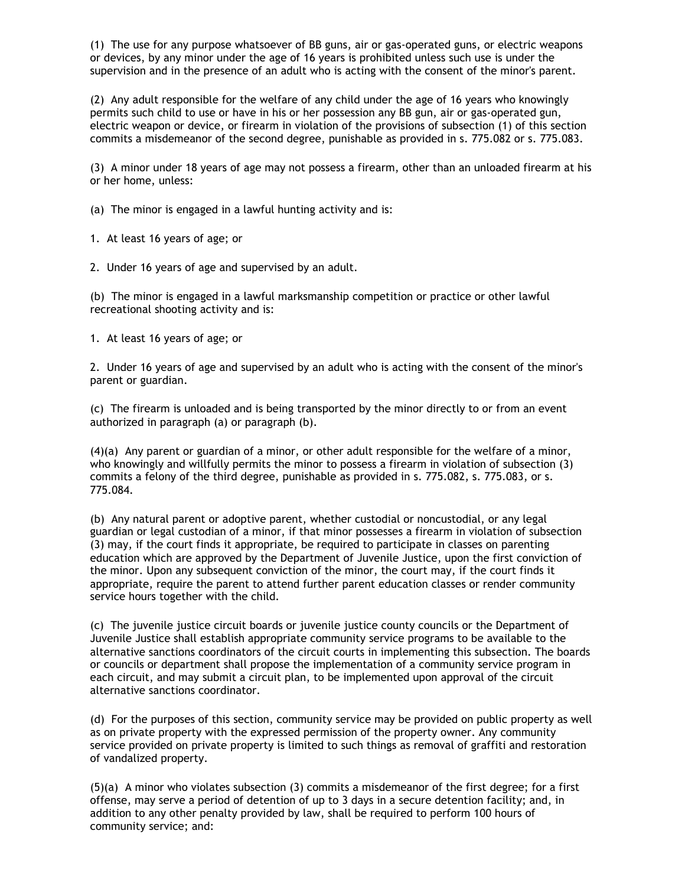(1) The use for any purpose whatsoever of BB guns, air or gas-operated guns, or electric weapons or devices, by any minor under the age of 16 years is prohibited unless such use is under the supervision and in the presence of an adult who is acting with the consent of the minor's parent.

(2) Any adult responsible for the welfare of any child under the age of 16 years who knowingly permits such child to use or have in his or her possession any BB gun, air or gas-operated gun, electric weapon or device, or firearm in violation of the provisions of subsection (1) of this section commits a misdemeanor of the second degree, punishable as provided in s. 775.082 or s. 775.083.

(3) A minor under 18 years of age may not possess a firearm, other than an unloaded firearm at his or her home, unless:

(a) The minor is engaged in a lawful hunting activity and is:

1. At least 16 years of age; or

2. Under 16 years of age and supervised by an adult.

(b) The minor is engaged in a lawful marksmanship competition or practice or other lawful recreational shooting activity and is:

1. At least 16 years of age; or

2. Under 16 years of age and supervised by an adult who is acting with the consent of the minor's parent or guardian.

(c) The firearm is unloaded and is being transported by the minor directly to or from an event authorized in paragraph (a) or paragraph (b).

(4)(a) Any parent or guardian of a minor, or other adult responsible for the welfare of a minor, who knowingly and willfully permits the minor to possess a firearm in violation of subsection (3) commits a felony of the third degree, punishable as provided in s. 775.082, s. 775.083, or s. 775.084.

(b) Any natural parent or adoptive parent, whether custodial or noncustodial, or any legal guardian or legal custodian of a minor, if that minor possesses a firearm in violation of subsection (3) may, if the court finds it appropriate, be required to participate in classes on parenting education which are approved by the Department of Juvenile Justice, upon the first conviction of the minor. Upon any subsequent conviction of the minor, the court may, if the court finds it appropriate, require the parent to attend further parent education classes or render community service hours together with the child.

(c) The juvenile justice circuit boards or juvenile justice county councils or the Department of Juvenile Justice shall establish appropriate community service programs to be available to the alternative sanctions coordinators of the circuit courts in implementing this subsection. The boards or councils or department shall propose the implementation of a community service program in each circuit, and may submit a circuit plan, to be implemented upon approval of the circuit alternative sanctions coordinator.

(d) For the purposes of this section, community service may be provided on public property as well as on private property with the expressed permission of the property owner. Any community service provided on private property is limited to such things as removal of graffiti and restoration of vandalized property.

(5)(a) A minor who violates subsection (3) commits a misdemeanor of the first degree; for a first offense, may serve a period of detention of up to 3 days in a secure detention facility; and, in addition to any other penalty provided by law, shall be required to perform 100 hours of community service; and: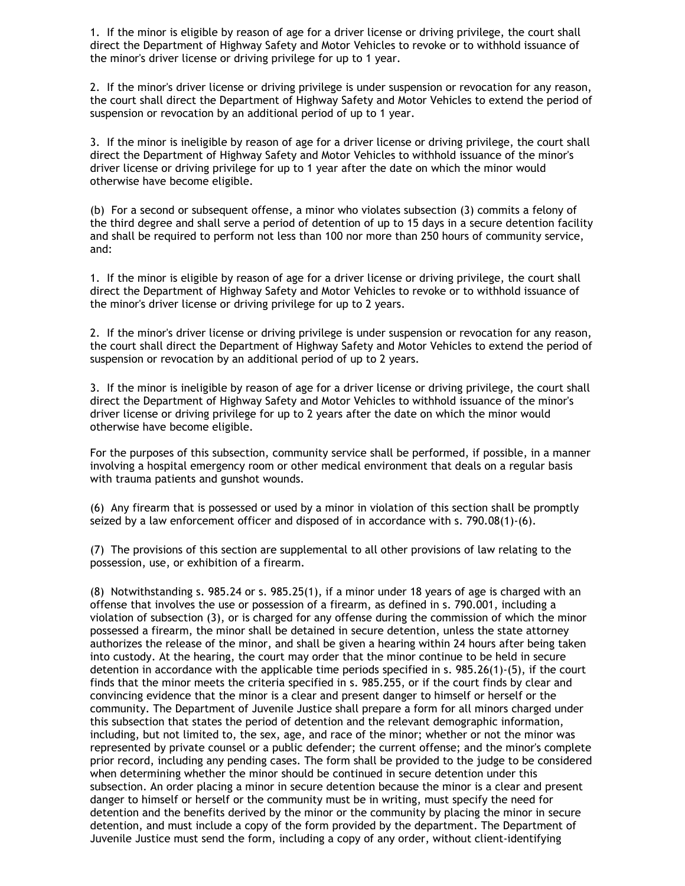1. If the minor is eligible by reason of age for a driver license or driving privilege, the court shall direct the Department of Highway Safety and Motor Vehicles to revoke or to withhold issuance of the minor's driver license or driving privilege for up to 1 year.

2. If the minor's driver license or driving privilege is under suspension or revocation for any reason, the court shall direct the Department of Highway Safety and Motor Vehicles to extend the period of suspension or revocation by an additional period of up to 1 year.

3. If the minor is ineligible by reason of age for a driver license or driving privilege, the court shall direct the Department of Highway Safety and Motor Vehicles to withhold issuance of the minor's driver license or driving privilege for up to 1 year after the date on which the minor would otherwise have become eligible.

(b) For a second or subsequent offense, a minor who violates subsection (3) commits a felony of the third degree and shall serve a period of detention of up to 15 days in a secure detention facility and shall be required to perform not less than 100 nor more than 250 hours of community service, and:

1. If the minor is eligible by reason of age for a driver license or driving privilege, the court shall direct the Department of Highway Safety and Motor Vehicles to revoke or to withhold issuance of the minor's driver license or driving privilege for up to 2 years.

2. If the minor's driver license or driving privilege is under suspension or revocation for any reason, the court shall direct the Department of Highway Safety and Motor Vehicles to extend the period of suspension or revocation by an additional period of up to 2 years.

3. If the minor is ineligible by reason of age for a driver license or driving privilege, the court shall direct the Department of Highway Safety and Motor Vehicles to withhold issuance of the minor's driver license or driving privilege for up to 2 years after the date on which the minor would otherwise have become eligible.

For the purposes of this subsection, community service shall be performed, if possible, in a manner involving a hospital emergency room or other medical environment that deals on a regular basis with trauma patients and gunshot wounds.

(6) Any firearm that is possessed or used by a minor in violation of this section shall be promptly seized by a law enforcement officer and disposed of in accordance with s. 790.08(1)-(6).

(7) The provisions of this section are supplemental to all other provisions of law relating to the possession, use, or exhibition of a firearm.

(8) Notwithstanding s. 985.24 or s. 985.25(1), if a minor under 18 years of age is charged with an offense that involves the use or possession of a firearm, as defined in s. 790.001, including a violation of subsection (3), or is charged for any offense during the commission of which the minor possessed a firearm, the minor shall be detained in secure detention, unless the state attorney authorizes the release of the minor, and shall be given a hearing within 24 hours after being taken into custody. At the hearing, the court may order that the minor continue to be held in secure detention in accordance with the applicable time periods specified in s. 985.26(1)-(5), if the court finds that the minor meets the criteria specified in s. 985.255, or if the court finds by clear and convincing evidence that the minor is a clear and present danger to himself or herself or the community. The Department of Juvenile Justice shall prepare a form for all minors charged under this subsection that states the period of detention and the relevant demographic information, including, but not limited to, the sex, age, and race of the minor; whether or not the minor was represented by private counsel or a public defender; the current offense; and the minor's complete prior record, including any pending cases. The form shall be provided to the judge to be considered when determining whether the minor should be continued in secure detention under this subsection. An order placing a minor in secure detention because the minor is a clear and present danger to himself or herself or the community must be in writing, must specify the need for detention and the benefits derived by the minor or the community by placing the minor in secure detention, and must include a copy of the form provided by the department. The Department of Juvenile Justice must send the form, including a copy of any order, without client-identifying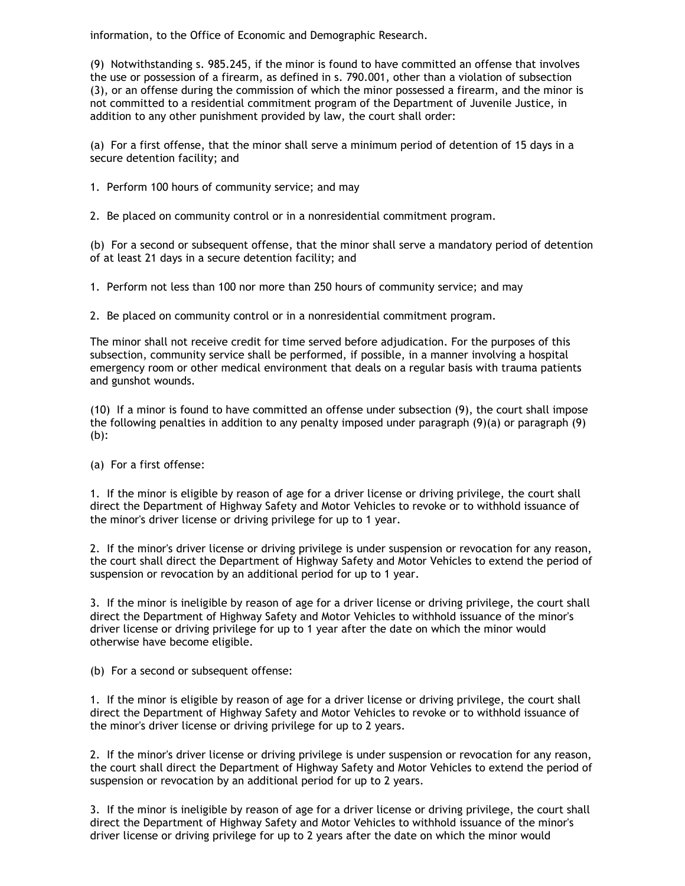information, to the Office of Economic and Demographic Research.

(9) Notwithstanding s. 985.245, if the minor is found to have committed an offense that involves the use or possession of a firearm, as defined in s. 790.001, other than a violation of subsection (3), or an offense during the commission of which the minor possessed a firearm, and the minor is not committed to a residential commitment program of the Department of Juvenile Justice, in addition to any other punishment provided by law, the court shall order:

(a) For a first offense, that the minor shall serve a minimum period of detention of 15 days in a secure detention facility; and

1. Perform 100 hours of community service; and may

2. Be placed on community control or in a nonresidential commitment program.

(b) For a second or subsequent offense, that the minor shall serve a mandatory period of detention of at least 21 days in a secure detention facility; and

1. Perform not less than 100 nor more than 250 hours of community service; and may

2. Be placed on community control or in a nonresidential commitment program.

The minor shall not receive credit for time served before adjudication. For the purposes of this subsection, community service shall be performed, if possible, in a manner involving a hospital emergency room or other medical environment that deals on a regular basis with trauma patients and gunshot wounds.

(10) If a minor is found to have committed an offense under subsection (9), the court shall impose the following penalties in addition to any penalty imposed under paragraph (9)(a) or paragraph (9) (b):

(a) For a first offense:

1. If the minor is eligible by reason of age for a driver license or driving privilege, the court shall direct the Department of Highway Safety and Motor Vehicles to revoke or to withhold issuance of the minor's driver license or driving privilege for up to 1 year.

2. If the minor's driver license or driving privilege is under suspension or revocation for any reason, the court shall direct the Department of Highway Safety and Motor Vehicles to extend the period of suspension or revocation by an additional period for up to 1 year.

3. If the minor is ineligible by reason of age for a driver license or driving privilege, the court shall direct the Department of Highway Safety and Motor Vehicles to withhold issuance of the minor's driver license or driving privilege for up to 1 year after the date on which the minor would otherwise have become eligible.

(b) For a second or subsequent offense:

1. If the minor is eligible by reason of age for a driver license or driving privilege, the court shall direct the Department of Highway Safety and Motor Vehicles to revoke or to withhold issuance of the minor's driver license or driving privilege for up to 2 years.

2. If the minor's driver license or driving privilege is under suspension or revocation for any reason, the court shall direct the Department of Highway Safety and Motor Vehicles to extend the period of suspension or revocation by an additional period for up to 2 years.

3. If the minor is ineligible by reason of age for a driver license or driving privilege, the court shall direct the Department of Highway Safety and Motor Vehicles to withhold issuance of the minor's driver license or driving privilege for up to 2 years after the date on which the minor would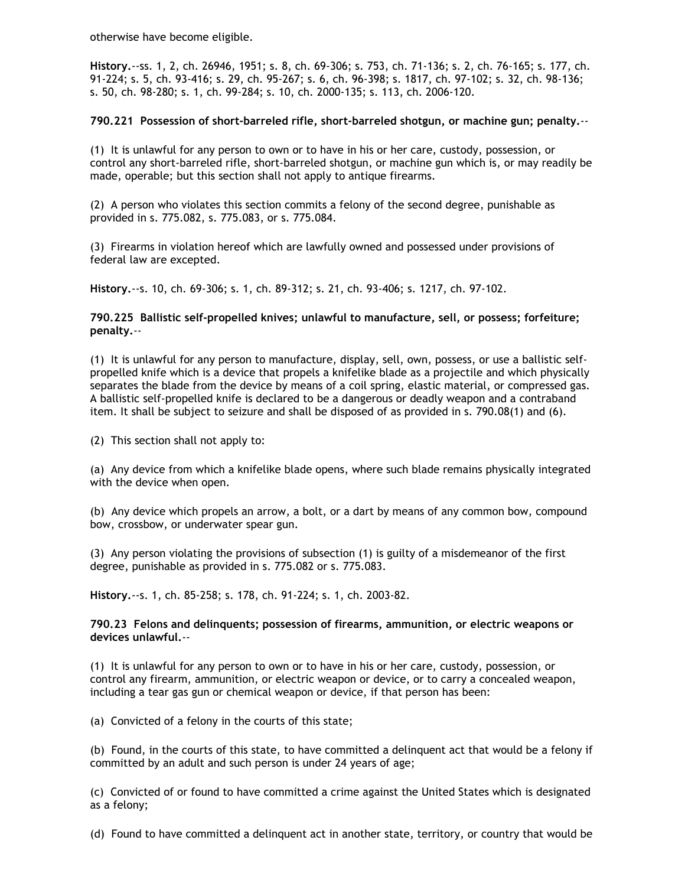otherwise have become eligible.

**History.**--ss. 1, 2, ch. 26946, 1951; s. 8, ch. 69-306; s. 753, ch. 71-136; s. 2, ch. 76-165; s. 177, ch. 91-224; s. 5, ch. 93-416; s. 29, ch. 95-267; s. 6, ch. 96-398; s. 1817, ch. 97-102; s. 32, ch. 98-136; s. 50, ch. 98-280; s. 1, ch. 99-284; s. 10, ch. 2000-135; s. 113, ch. 2006-120.

# **790.221 Possession of short-barreled rifle, short-barreled shotgun, or machine gun; penalty.**--

(1) It is unlawful for any person to own or to have in his or her care, custody, possession, or control any short-barreled rifle, short-barreled shotgun, or machine gun which is, or may readily be made, operable; but this section shall not apply to antique firearms.

(2) A person who violates this section commits a felony of the second degree, punishable as provided in s. 775.082, s. 775.083, or s. 775.084.

(3) Firearms in violation hereof which are lawfully owned and possessed under provisions of federal law are excepted.

**History.**--s. 10, ch. 69-306; s. 1, ch. 89-312; s. 21, ch. 93-406; s. 1217, ch. 97-102.

# **790.225 Ballistic self-propelled knives; unlawful to manufacture, sell, or possess; forfeiture; penalty.**--

(1) It is unlawful for any person to manufacture, display, sell, own, possess, or use a ballistic selfpropelled knife which is a device that propels a knifelike blade as a projectile and which physically separates the blade from the device by means of a coil spring, elastic material, or compressed gas. A ballistic self-propelled knife is declared to be a dangerous or deadly weapon and a contraband item. It shall be subject to seizure and shall be disposed of as provided in s. 790.08(1) and (6).

(2) This section shall not apply to:

(a) Any device from which a knifelike blade opens, where such blade remains physically integrated with the device when open.

(b) Any device which propels an arrow, a bolt, or a dart by means of any common bow, compound bow, crossbow, or underwater spear gun.

(3) Any person violating the provisions of subsection (1) is guilty of a misdemeanor of the first degree, punishable as provided in s. 775.082 or s. 775.083.

**History.**--s. 1, ch. 85-258; s. 178, ch. 91-224; s. 1, ch. 2003-82.

### **790.23 Felons and delinquents; possession of firearms, ammunition, or electric weapons or devices unlawful.**--

(1) It is unlawful for any person to own or to have in his or her care, custody, possession, or control any firearm, ammunition, or electric weapon or device, or to carry a concealed weapon, including a tear gas gun or chemical weapon or device, if that person has been:

(a) Convicted of a felony in the courts of this state;

(b) Found, in the courts of this state, to have committed a delinquent act that would be a felony if committed by an adult and such person is under 24 years of age;

(c) Convicted of or found to have committed a crime against the United States which is designated as a felony;

(d) Found to have committed a delinquent act in another state, territory, or country that would be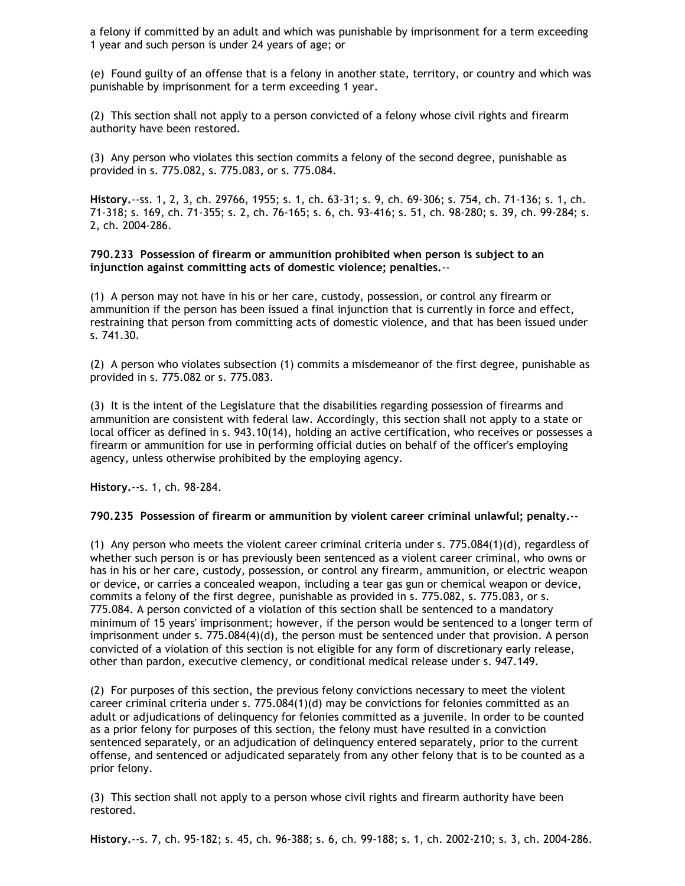a felony if committed by an adult and which was punishable by imprisonment for a term exceeding 1 year and such person is under 24 years of age; or

(e) Found guilty of an offense that is a felony in another state, territory, or country and which was punishable by imprisonment for a term exceeding 1 year.

(2) This section shall not apply to a person convicted of a felony whose civil rights and firearm authority have been restored.

(3) Any person who violates this section commits a felony of the second degree, punishable as provided in s. 775.082, s. 775.083, or s. 775.084.

**History.**--ss. 1, 2, 3, ch. 29766, 1955; s. 1, ch. 63-31; s. 9, ch. 69-306; s. 754, ch. 71-136; s. 1, ch. 71-318; s. 169, ch. 71-355; s. 2, ch. 76-165; s. 6, ch. 93-416; s. 51, ch. 98-280; s. 39, ch. 99-284; s. 2, ch. 2004-286.

**790.233 Possession of firearm or ammunition prohibited when person is subject to an injunction against committing acts of domestic violence; penalties.**--

(1) A person may not have in his or her care, custody, possession, or control any firearm or ammunition if the person has been issued a final injunction that is currently in force and effect, restraining that person from committing acts of domestic violence, and that has been issued under s. 741.30.

(2) A person who violates subsection (1) commits a misdemeanor of the first degree, punishable as provided in s. 775.082 or s. 775.083.

(3) It is the intent of the Legislature that the disabilities regarding possession of firearms and ammunition are consistent with federal law. Accordingly, this section shall not apply to a state or local officer as defined in s. 943.10(14), holding an active certification, who receives or possesses a firearm or ammunition for use in performing official duties on behalf of the officer's employing agency, unless otherwise prohibited by the employing agency.

**History.**--s. 1, ch. 98-284.

**790.235 Possession of firearm or ammunition by violent career criminal unlawful; penalty.**--

(1) Any person who meets the violent career criminal criteria under s. 775.084(1)(d), regardless of whether such person is or has previously been sentenced as a violent career criminal, who owns or has in his or her care, custody, possession, or control any firearm, ammunition, or electric weapon or device, or carries a concealed weapon, including a tear gas gun or chemical weapon or device, commits a felony of the first degree, punishable as provided in s. 775.082, s. 775.083, or s. 775.084. A person convicted of a violation of this section shall be sentenced to a mandatory minimum of 15 years' imprisonment; however, if the person would be sentenced to a longer term of imprisonment under s. 775.084(4)(d), the person must be sentenced under that provision. A person convicted of a violation of this section is not eligible for any form of discretionary early release, other than pardon, executive clemency, or conditional medical release under s. 947.149.

(2) For purposes of this section, the previous felony convictions necessary to meet the violent career criminal criteria under s. 775.084(1)(d) may be convictions for felonies committed as an adult or adjudications of delinquency for felonies committed as a juvenile. In order to be counted as a prior felony for purposes of this section, the felony must have resulted in a conviction sentenced separately, or an adjudication of delinquency entered separately, prior to the current offense, and sentenced or adjudicated separately from any other felony that is to be counted as a prior felony.

(3) This section shall not apply to a person whose civil rights and firearm authority have been restored.

**History.**--s. 7, ch. 95-182; s. 45, ch. 96-388; s. 6, ch. 99-188; s. 1, ch. 2002-210; s. 3, ch. 2004-286.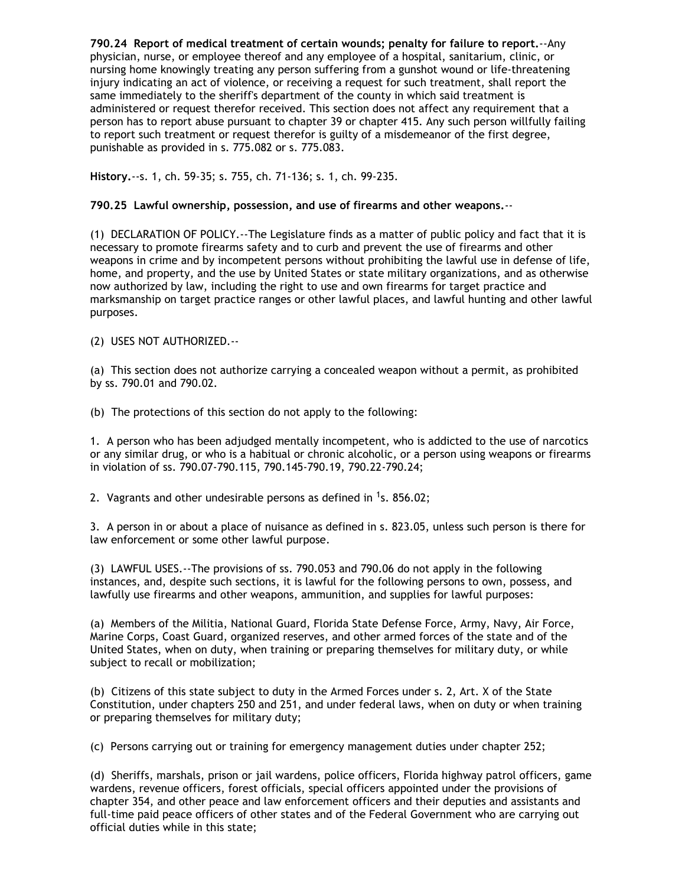**790.24 Report of medical treatment of certain wounds; penalty for failure to report.**--Any physician, nurse, or employee thereof and any employee of a hospital, sanitarium, clinic, or nursing home knowingly treating any person suffering from a gunshot wound or life-threatening injury indicating an act of violence, or receiving a request for such treatment, shall report the same immediately to the sheriff's department of the county in which said treatment is administered or request therefor received. This section does not affect any requirement that a person has to report abuse pursuant to chapter 39 or chapter 415. Any such person willfully failing to report such treatment or request therefor is guilty of a misdemeanor of the first degree, punishable as provided in s. 775.082 or s. 775.083.

**History.**--s. 1, ch. 59-35; s. 755, ch. 71-136; s. 1, ch. 99-235.

# **790.25 Lawful ownership, possession, and use of firearms and other weapons.**--

(1) DECLARATION OF POLICY.--The Legislature finds as a matter of public policy and fact that it is necessary to promote firearms safety and to curb and prevent the use of firearms and other weapons in crime and by incompetent persons without prohibiting the lawful use in defense of life, home, and property, and the use by United States or state military organizations, and as otherwise now authorized by law, including the right to use and own firearms for target practice and marksmanship on target practice ranges or other lawful places, and lawful hunting and other lawful purposes.

(2) USES NOT AUTHORIZED.--

(a) This section does not authorize carrying a concealed weapon without a permit, as prohibited by ss. 790.01 and 790.02.

(b) The protections of this section do not apply to the following:

1. A person who has been adjudged mentally incompetent, who is addicted to the use of narcotics or any similar drug, or who is a habitual or chronic alcoholic, or a person using weapons or firearms in violation of ss. 790.07-790.115, 790.145-790.19, 790.22-790.24;

2. Vagrants and other undesirable persons as defined in  $1$ s. 856.02;

3. A person in or about a place of nuisance as defined in s. 823.05, unless such person is there for law enforcement or some other lawful purpose.

(3) LAWFUL USES.--The provisions of ss. 790.053 and 790.06 do not apply in the following instances, and, despite such sections, it is lawful for the following persons to own, possess, and lawfully use firearms and other weapons, ammunition, and supplies for lawful purposes:

(a) Members of the Militia, National Guard, Florida State Defense Force, Army, Navy, Air Force, Marine Corps, Coast Guard, organized reserves, and other armed forces of the state and of the United States, when on duty, when training or preparing themselves for military duty, or while subject to recall or mobilization;

(b) Citizens of this state subject to duty in the Armed Forces under s. 2, Art. X of the State Constitution, under chapters 250 and 251, and under federal laws, when on duty or when training or preparing themselves for military duty;

(c) Persons carrying out or training for emergency management duties under chapter 252;

(d) Sheriffs, marshals, prison or jail wardens, police officers, Florida highway patrol officers, game wardens, revenue officers, forest officials, special officers appointed under the provisions of chapter 354, and other peace and law enforcement officers and their deputies and assistants and full-time paid peace officers of other states and of the Federal Government who are carrying out official duties while in this state;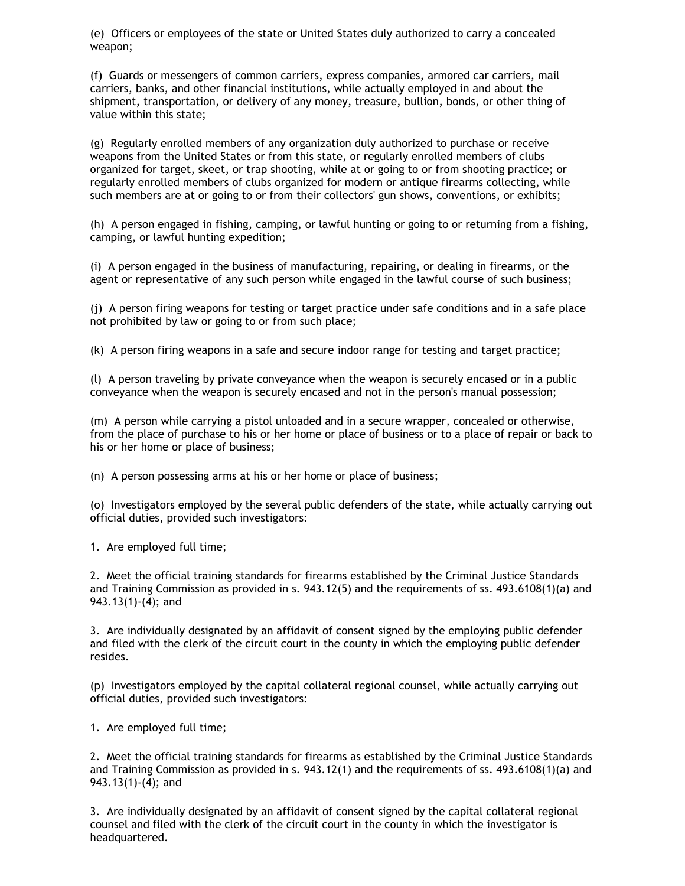(e) Officers or employees of the state or United States duly authorized to carry a concealed weapon;

(f) Guards or messengers of common carriers, express companies, armored car carriers, mail carriers, banks, and other financial institutions, while actually employed in and about the shipment, transportation, or delivery of any money, treasure, bullion, bonds, or other thing of value within this state;

(g) Regularly enrolled members of any organization duly authorized to purchase or receive weapons from the United States or from this state, or regularly enrolled members of clubs organized for target, skeet, or trap shooting, while at or going to or from shooting practice; or regularly enrolled members of clubs organized for modern or antique firearms collecting, while such members are at or going to or from their collectors' gun shows, conventions, or exhibits;

(h) A person engaged in fishing, camping, or lawful hunting or going to or returning from a fishing, camping, or lawful hunting expedition;

(i) A person engaged in the business of manufacturing, repairing, or dealing in firearms, or the agent or representative of any such person while engaged in the lawful course of such business;

(j) A person firing weapons for testing or target practice under safe conditions and in a safe place not prohibited by law or going to or from such place;

(k) A person firing weapons in a safe and secure indoor range for testing and target practice;

(l) A person traveling by private conveyance when the weapon is securely encased or in a public conveyance when the weapon is securely encased and not in the person's manual possession;

(m) A person while carrying a pistol unloaded and in a secure wrapper, concealed or otherwise, from the place of purchase to his or her home or place of business or to a place of repair or back to his or her home or place of business;

(n) A person possessing arms at his or her home or place of business;

(o) Investigators employed by the several public defenders of the state, while actually carrying out official duties, provided such investigators:

1. Are employed full time;

2. Meet the official training standards for firearms established by the Criminal Justice Standards and Training Commission as provided in s. 943.12(5) and the requirements of ss. 493.6108(1)(a) and 943.13(1)-(4); and

3. Are individually designated by an affidavit of consent signed by the employing public defender and filed with the clerk of the circuit court in the county in which the employing public defender resides.

(p) Investigators employed by the capital collateral regional counsel, while actually carrying out official duties, provided such investigators:

1. Are employed full time;

2. Meet the official training standards for firearms as established by the Criminal Justice Standards and Training Commission as provided in s. 943.12(1) and the requirements of ss. 493.6108(1)(a) and 943.13(1)-(4); and

3. Are individually designated by an affidavit of consent signed by the capital collateral regional counsel and filed with the clerk of the circuit court in the county in which the investigator is headquartered.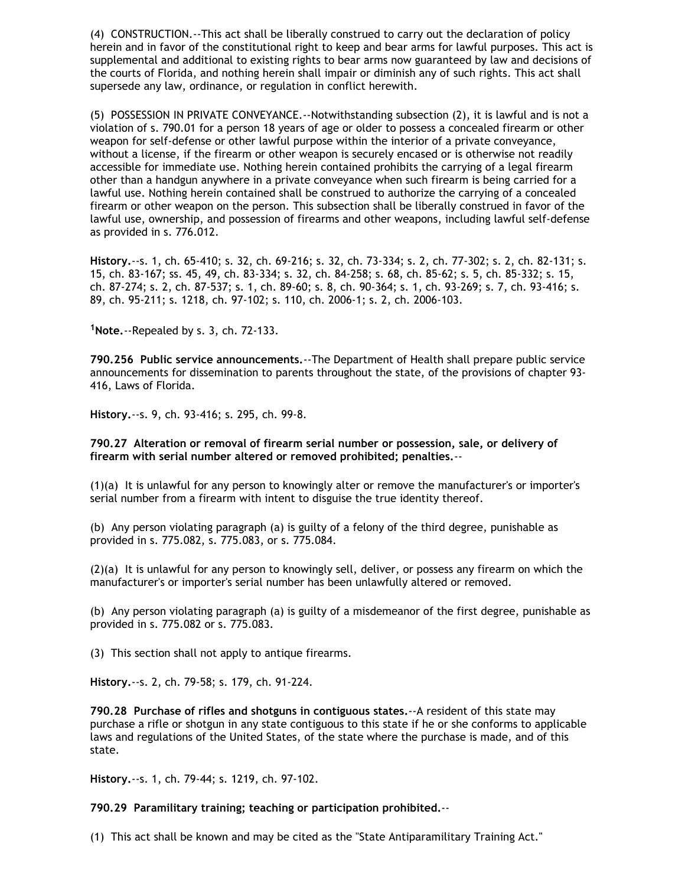(4) CONSTRUCTION.--This act shall be liberally construed to carry out the declaration of policy herein and in favor of the constitutional right to keep and bear arms for lawful purposes. This act is supplemental and additional to existing rights to bear arms now guaranteed by law and decisions of the courts of Florida, and nothing herein shall impair or diminish any of such rights. This act shall supersede any law, ordinance, or regulation in conflict herewith.

(5) POSSESSION IN PRIVATE CONVEYANCE.--Notwithstanding subsection (2), it is lawful and is not a violation of s. 790.01 for a person 18 years of age or older to possess a concealed firearm or other weapon for self-defense or other lawful purpose within the interior of a private conveyance, without a license, if the firearm or other weapon is securely encased or is otherwise not readily accessible for immediate use. Nothing herein contained prohibits the carrying of a legal firearm other than a handgun anywhere in a private conveyance when such firearm is being carried for a lawful use. Nothing herein contained shall be construed to authorize the carrying of a concealed firearm or other weapon on the person. This subsection shall be liberally construed in favor of the lawful use, ownership, and possession of firearms and other weapons, including lawful self-defense as provided in s. 776.012.

**History.**--s. 1, ch. 65-410; s. 32, ch. 69-216; s. 32, ch. 73-334; s. 2, ch. 77-302; s. 2, ch. 82-131; s. 15, ch. 83-167; ss. 45, 49, ch. 83-334; s. 32, ch. 84-258; s. 68, ch. 85-62; s. 5, ch. 85-332; s. 15, ch. 87-274; s. 2, ch. 87-537; s. 1, ch. 89-60; s. 8, ch. 90-364; s. 1, ch. 93-269; s. 7, ch. 93-416; s. 89, ch. 95-211; s. 1218, ch. 97-102; s. 110, ch. 2006-1; s. 2, ch. 2006-103.

**1Note.**--Repealed by s. 3, ch. 72-133.

**790.256 Public service announcements.**--The Department of Health shall prepare public service announcements for dissemination to parents throughout the state, of the provisions of chapter 93- 416, Laws of Florida.

**History.**--s. 9, ch. 93-416; s. 295, ch. 99-8.

**790.27 Alteration or removal of firearm serial number or possession, sale, or delivery of firearm with serial number altered or removed prohibited; penalties.**--

(1)(a) It is unlawful for any person to knowingly alter or remove the manufacturer's or importer's serial number from a firearm with intent to disguise the true identity thereof.

(b) Any person violating paragraph (a) is guilty of a felony of the third degree, punishable as provided in s. 775.082, s. 775.083, or s. 775.084.

(2)(a) It is unlawful for any person to knowingly sell, deliver, or possess any firearm on which the manufacturer's or importer's serial number has been unlawfully altered or removed.

(b) Any person violating paragraph (a) is guilty of a misdemeanor of the first degree, punishable as provided in s. 775.082 or s. 775.083.

(3) This section shall not apply to antique firearms.

**History.**--s. 2, ch. 79-58; s. 179, ch. 91-224.

**790.28 Purchase of rifles and shotguns in contiguous states.**--A resident of this state may purchase a rifle or shotgun in any state contiguous to this state if he or she conforms to applicable laws and regulations of the United States, of the state where the purchase is made, and of this state.

**History.**--s. 1, ch. 79-44; s. 1219, ch. 97-102.

**790.29 Paramilitary training; teaching or participation prohibited.**--

(1) This act shall be known and may be cited as the "State Antiparamilitary Training Act."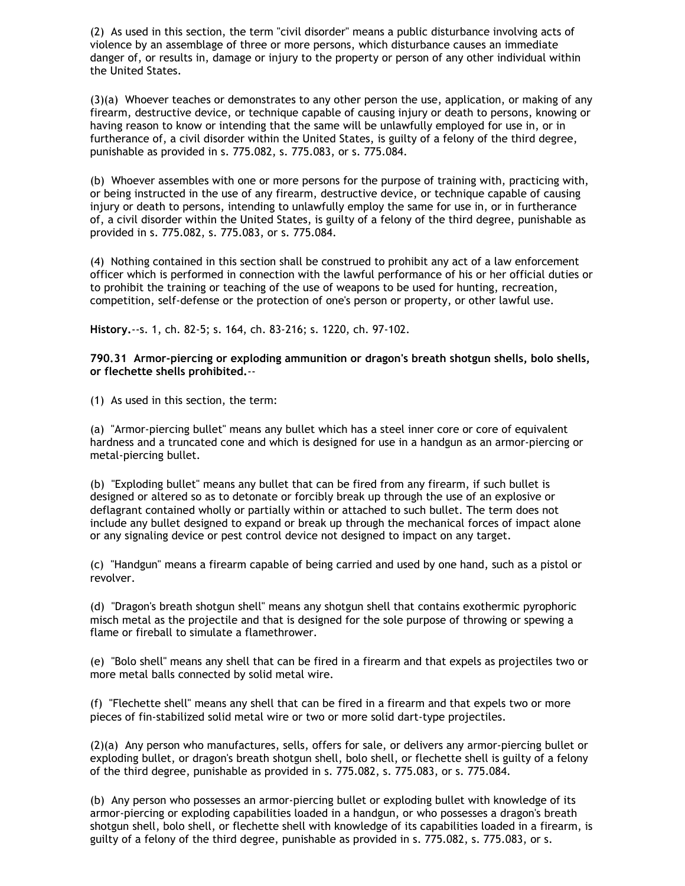(2) As used in this section, the term "civil disorder" means a public disturbance involving acts of violence by an assemblage of three or more persons, which disturbance causes an immediate danger of, or results in, damage or injury to the property or person of any other individual within the United States.

(3)(a) Whoever teaches or demonstrates to any other person the use, application, or making of any firearm, destructive device, or technique capable of causing injury or death to persons, knowing or having reason to know or intending that the same will be unlawfully employed for use in, or in furtherance of, a civil disorder within the United States, is guilty of a felony of the third degree, punishable as provided in s. 775.082, s. 775.083, or s. 775.084.

(b) Whoever assembles with one or more persons for the purpose of training with, practicing with, or being instructed in the use of any firearm, destructive device, or technique capable of causing injury or death to persons, intending to unlawfully employ the same for use in, or in furtherance of, a civil disorder within the United States, is guilty of a felony of the third degree, punishable as provided in s. 775.082, s. 775.083, or s. 775.084.

(4) Nothing contained in this section shall be construed to prohibit any act of a law enforcement officer which is performed in connection with the lawful performance of his or her official duties or to prohibit the training or teaching of the use of weapons to be used for hunting, recreation, competition, self-defense or the protection of one's person or property, or other lawful use.

**History.**--s. 1, ch. 82-5; s. 164, ch. 83-216; s. 1220, ch. 97-102.

#### **790.31 Armor-piercing or exploding ammunition or dragon's breath shotgun shells, bolo shells, or flechette shells prohibited.**--

(1) As used in this section, the term:

(a) "Armor-piercing bullet" means any bullet which has a steel inner core or core of equivalent hardness and a truncated cone and which is designed for use in a handgun as an armor-piercing or metal-piercing bullet.

(b) "Exploding bullet" means any bullet that can be fired from any firearm, if such bullet is designed or altered so as to detonate or forcibly break up through the use of an explosive or deflagrant contained wholly or partially within or attached to such bullet. The term does not include any bullet designed to expand or break up through the mechanical forces of impact alone or any signaling device or pest control device not designed to impact on any target.

(c) "Handgun" means a firearm capable of being carried and used by one hand, such as a pistol or revolver.

(d) "Dragon's breath shotgun shell" means any shotgun shell that contains exothermic pyrophoric misch metal as the projectile and that is designed for the sole purpose of throwing or spewing a flame or fireball to simulate a flamethrower.

(e) "Bolo shell" means any shell that can be fired in a firearm and that expels as projectiles two or more metal balls connected by solid metal wire.

(f) "Flechette shell" means any shell that can be fired in a firearm and that expels two or more pieces of fin-stabilized solid metal wire or two or more solid dart-type projectiles.

(2)(a) Any person who manufactures, sells, offers for sale, or delivers any armor-piercing bullet or exploding bullet, or dragon's breath shotgun shell, bolo shell, or flechette shell is guilty of a felony of the third degree, punishable as provided in s. 775.082, s. 775.083, or s. 775.084.

(b) Any person who possesses an armor-piercing bullet or exploding bullet with knowledge of its armor-piercing or exploding capabilities loaded in a handgun, or who possesses a dragon's breath shotgun shell, bolo shell, or flechette shell with knowledge of its capabilities loaded in a firearm, is guilty of a felony of the third degree, punishable as provided in s. 775.082, s. 775.083, or s.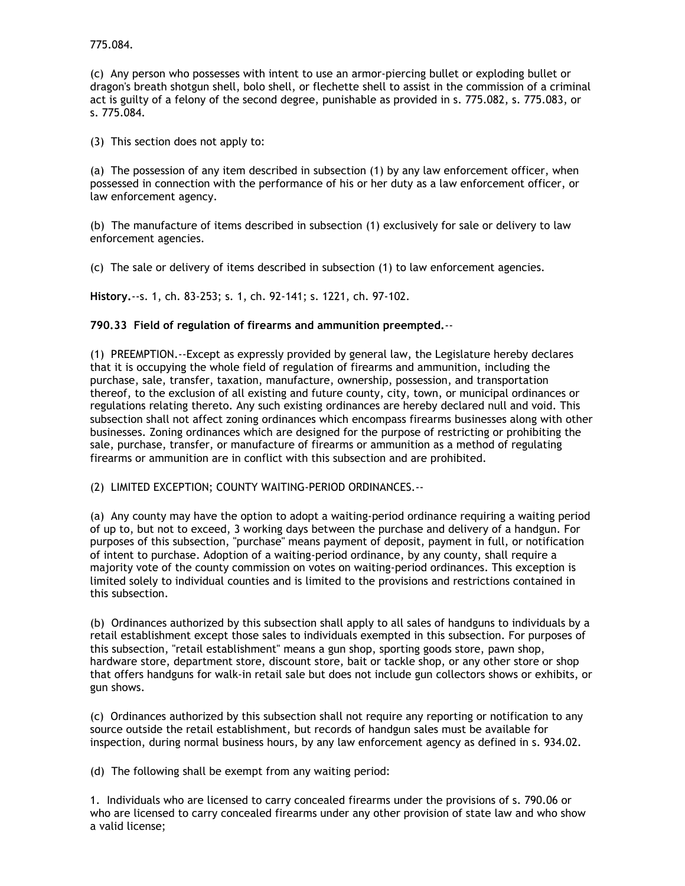775.084.

(c) Any person who possesses with intent to use an armor-piercing bullet or exploding bullet or dragon's breath shotgun shell, bolo shell, or flechette shell to assist in the commission of a criminal act is guilty of a felony of the second degree, punishable as provided in s. 775.082, s. 775.083, or s. 775.084.

(3) This section does not apply to:

(a) The possession of any item described in subsection (1) by any law enforcement officer, when possessed in connection with the performance of his or her duty as a law enforcement officer, or law enforcement agency.

(b) The manufacture of items described in subsection (1) exclusively for sale or delivery to law enforcement agencies.

(c) The sale or delivery of items described in subsection (1) to law enforcement agencies.

**History.**--s. 1, ch. 83-253; s. 1, ch. 92-141; s. 1221, ch. 97-102.

### **790.33 Field of regulation of firearms and ammunition preempted.**--

(1) PREEMPTION.--Except as expressly provided by general law, the Legislature hereby declares that it is occupying the whole field of regulation of firearms and ammunition, including the purchase, sale, transfer, taxation, manufacture, ownership, possession, and transportation thereof, to the exclusion of all existing and future county, city, town, or municipal ordinances or regulations relating thereto. Any such existing ordinances are hereby declared null and void. This subsection shall not affect zoning ordinances which encompass firearms businesses along with other businesses. Zoning ordinances which are designed for the purpose of restricting or prohibiting the sale, purchase, transfer, or manufacture of firearms or ammunition as a method of regulating firearms or ammunition are in conflict with this subsection and are prohibited.

(2) LIMITED EXCEPTION; COUNTY WAITING-PERIOD ORDINANCES.--

(a) Any county may have the option to adopt a waiting-period ordinance requiring a waiting period of up to, but not to exceed, 3 working days between the purchase and delivery of a handgun. For purposes of this subsection, "purchase" means payment of deposit, payment in full, or notification of intent to purchase. Adoption of a waiting-period ordinance, by any county, shall require a majority vote of the county commission on votes on waiting-period ordinances. This exception is limited solely to individual counties and is limited to the provisions and restrictions contained in this subsection.

(b) Ordinances authorized by this subsection shall apply to all sales of handguns to individuals by a retail establishment except those sales to individuals exempted in this subsection. For purposes of this subsection, "retail establishment" means a gun shop, sporting goods store, pawn shop, hardware store, department store, discount store, bait or tackle shop, or any other store or shop that offers handguns for walk-in retail sale but does not include gun collectors shows or exhibits, or gun shows.

(c) Ordinances authorized by this subsection shall not require any reporting or notification to any source outside the retail establishment, but records of handgun sales must be available for inspection, during normal business hours, by any law enforcement agency as defined in s. 934.02.

(d) The following shall be exempt from any waiting period:

1. Individuals who are licensed to carry concealed firearms under the provisions of s. 790.06 or who are licensed to carry concealed firearms under any other provision of state law and who show a valid license;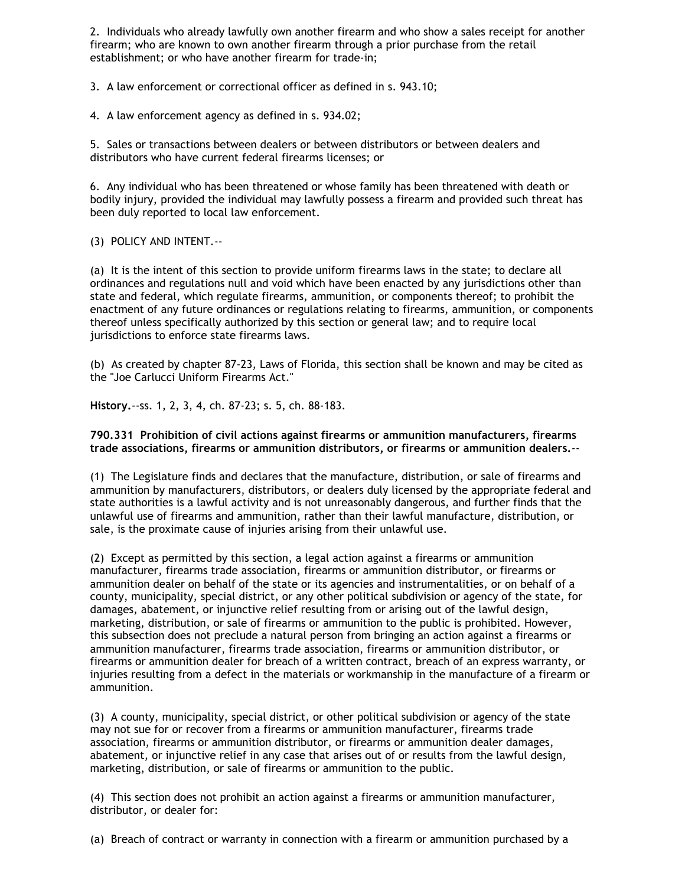2. Individuals who already lawfully own another firearm and who show a sales receipt for another firearm; who are known to own another firearm through a prior purchase from the retail establishment; or who have another firearm for trade-in;

3. A law enforcement or correctional officer as defined in s. 943.10;

4. A law enforcement agency as defined in s. 934.02;

5. Sales or transactions between dealers or between distributors or between dealers and distributors who have current federal firearms licenses; or

6. Any individual who has been threatened or whose family has been threatened with death or bodily injury, provided the individual may lawfully possess a firearm and provided such threat has been duly reported to local law enforcement.

(3) POLICY AND INTENT.--

(a) It is the intent of this section to provide uniform firearms laws in the state; to declare all ordinances and regulations null and void which have been enacted by any jurisdictions other than state and federal, which regulate firearms, ammunition, or components thereof; to prohibit the enactment of any future ordinances or regulations relating to firearms, ammunition, or components thereof unless specifically authorized by this section or general law; and to require local jurisdictions to enforce state firearms laws.

(b) As created by chapter 87-23, Laws of Florida, this section shall be known and may be cited as the "Joe Carlucci Uniform Firearms Act."

**History.**--ss. 1, 2, 3, 4, ch. 87-23; s. 5, ch. 88-183.

**790.331 Prohibition of civil actions against firearms or ammunition manufacturers, firearms trade associations, firearms or ammunition distributors, or firearms or ammunition dealers.**--

(1) The Legislature finds and declares that the manufacture, distribution, or sale of firearms and ammunition by manufacturers, distributors, or dealers duly licensed by the appropriate federal and state authorities is a lawful activity and is not unreasonably dangerous, and further finds that the unlawful use of firearms and ammunition, rather than their lawful manufacture, distribution, or sale, is the proximate cause of injuries arising from their unlawful use.

(2) Except as permitted by this section, a legal action against a firearms or ammunition manufacturer, firearms trade association, firearms or ammunition distributor, or firearms or ammunition dealer on behalf of the state or its agencies and instrumentalities, or on behalf of a county, municipality, special district, or any other political subdivision or agency of the state, for damages, abatement, or injunctive relief resulting from or arising out of the lawful design, marketing, distribution, or sale of firearms or ammunition to the public is prohibited. However, this subsection does not preclude a natural person from bringing an action against a firearms or ammunition manufacturer, firearms trade association, firearms or ammunition distributor, or firearms or ammunition dealer for breach of a written contract, breach of an express warranty, or injuries resulting from a defect in the materials or workmanship in the manufacture of a firearm or ammunition.

(3) A county, municipality, special district, or other political subdivision or agency of the state may not sue for or recover from a firearms or ammunition manufacturer, firearms trade association, firearms or ammunition distributor, or firearms or ammunition dealer damages, abatement, or injunctive relief in any case that arises out of or results from the lawful design, marketing, distribution, or sale of firearms or ammunition to the public.

(4) This section does not prohibit an action against a firearms or ammunition manufacturer, distributor, or dealer for:

(a) Breach of contract or warranty in connection with a firearm or ammunition purchased by a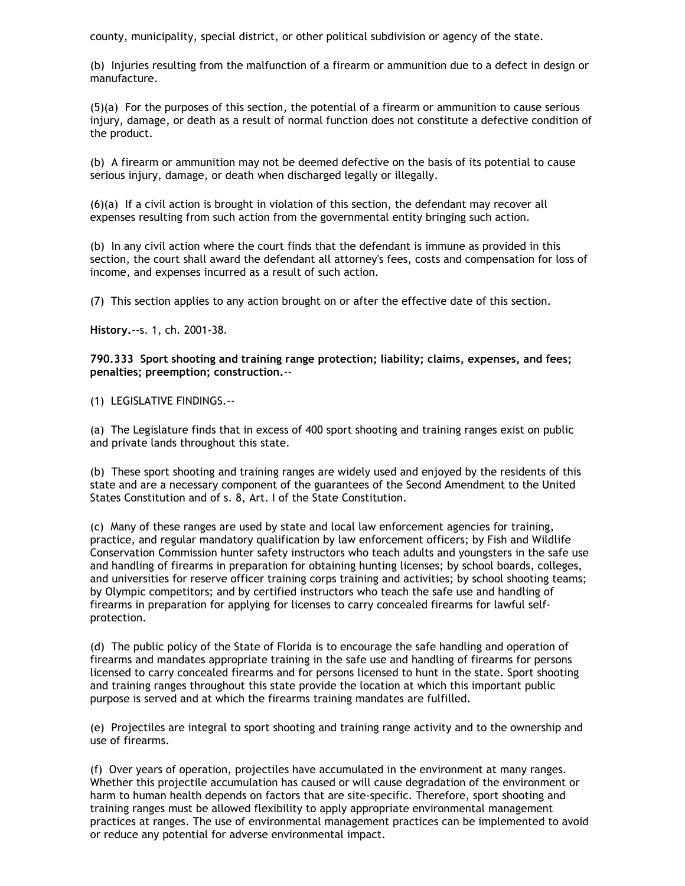county, municipality, special district, or other political subdivision or agency of the state.

(b) Injuries resulting from the malfunction of a firearm or ammunition due to a defect in design or manufacture.

(5)(a) For the purposes of this section, the potential of a firearm or ammunition to cause serious injury, damage, or death as a result of normal function does not constitute a defective condition of the product.

(b) A firearm or ammunition may not be deemed defective on the basis of its potential to cause serious injury, damage, or death when discharged legally or illegally.

(6)(a) If a civil action is brought in violation of this section, the defendant may recover all expenses resulting from such action from the governmental entity bringing such action.

(b) In any civil action where the court finds that the defendant is immune as provided in this section, the court shall award the defendant all attorney's fees, costs and compensation for loss of income, and expenses incurred as a result of such action.

(7) This section applies to any action brought on or after the effective date of this section.

**History.**--s. 1, ch. 2001-38.

**790.333 Sport shooting and training range protection; liability; claims, expenses, and fees; penalties; preemption; construction.**--

(1) LEGISLATIVE FINDINGS.--

(a) The Legislature finds that in excess of 400 sport shooting and training ranges exist on public and private lands throughout this state.

(b) These sport shooting and training ranges are widely used and enjoyed by the residents of this state and are a necessary component of the guarantees of the Second Amendment to the United States Constitution and of s. 8, Art. I of the State Constitution.

(c) Many of these ranges are used by state and local law enforcement agencies for training, practice, and regular mandatory qualification by law enforcement officers; by Fish and Wildlife Conservation Commission hunter safety instructors who teach adults and youngsters in the safe use and handling of firearms in preparation for obtaining hunting licenses; by school boards, colleges, and universities for reserve officer training corps training and activities; by school shooting teams; by Olympic competitors; and by certified instructors who teach the safe use and handling of firearms in preparation for applying for licenses to carry concealed firearms for lawful selfprotection.

(d) The public policy of the State of Florida is to encourage the safe handling and operation of firearms and mandates appropriate training in the safe use and handling of firearms for persons licensed to carry concealed firearms and for persons licensed to hunt in the state. Sport shooting and training ranges throughout this state provide the location at which this important public purpose is served and at which the firearms training mandates are fulfilled.

(e) Projectiles are integral to sport shooting and training range activity and to the ownership and use of firearms.

(f) Over years of operation, projectiles have accumulated in the environment at many ranges. Whether this projectile accumulation has caused or will cause degradation of the environment or harm to human health depends on factors that are site-specific. Therefore, sport shooting and training ranges must be allowed flexibility to apply appropriate environmental management practices at ranges. The use of environmental management practices can be implemented to avoid or reduce any potential for adverse environmental impact.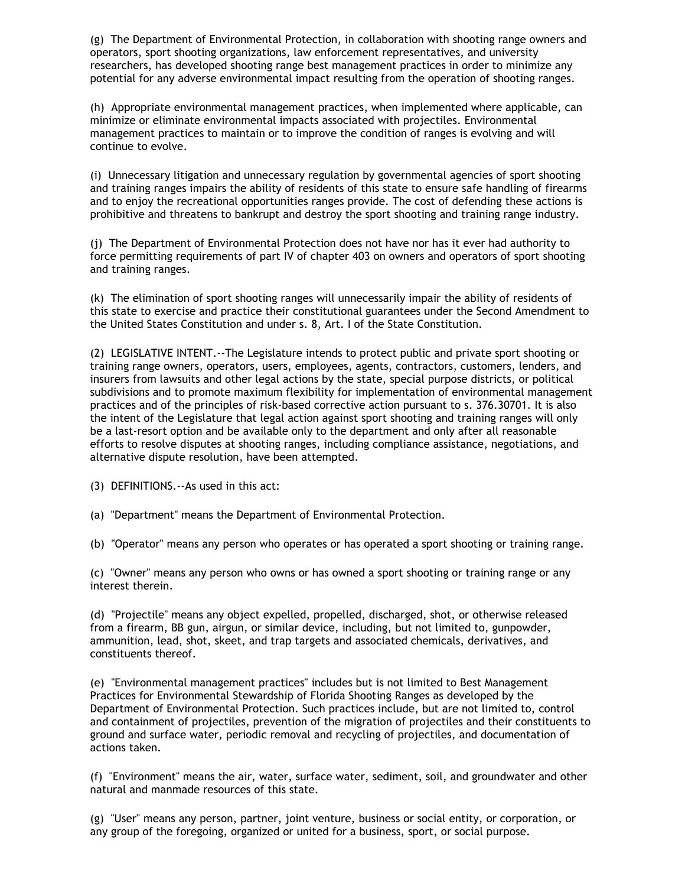(g) The Department of Environmental Protection, in collaboration with shooting range owners and operators, sport shooting organizations, law enforcement representatives, and university researchers, has developed shooting range best management practices in order to minimize any potential for any adverse environmental impact resulting from the operation of shooting ranges.

(h) Appropriate environmental management practices, when implemented where applicable, can minimize or eliminate environmental impacts associated with projectiles. Environmental management practices to maintain or to improve the condition of ranges is evolving and will continue to evolve.

(i) Unnecessary litigation and unnecessary regulation by governmental agencies of sport shooting and training ranges impairs the ability of residents of this state to ensure safe handling of firearms and to enjoy the recreational opportunities ranges provide. The cost of defending these actions is prohibitive and threatens to bankrupt and destroy the sport shooting and training range industry.

(j) The Department of Environmental Protection does not have nor has it ever had authority to force permitting requirements of part IV of chapter 403 on owners and operators of sport shooting and training ranges.

(k) The elimination of sport shooting ranges will unnecessarily impair the ability of residents of this state to exercise and practice their constitutional guarantees under the Second Amendment to the United States Constitution and under s. 8, Art. I of the State Constitution.

(2) LEGISLATIVE INTENT.--The Legislature intends to protect public and private sport shooting or training range owners, operators, users, employees, agents, contractors, customers, lenders, and insurers from lawsuits and other legal actions by the state, special purpose districts, or political subdivisions and to promote maximum flexibility for implementation of environmental management practices and of the principles of risk-based corrective action pursuant to s. 376.30701. It is also the intent of the Legislature that legal action against sport shooting and training ranges will only be a last-resort option and be available only to the department and only after all reasonable efforts to resolve disputes at shooting ranges, including compliance assistance, negotiations, and alternative dispute resolution, have been attempted.

(3) DEFINITIONS.--As used in this act:

(a) "Department" means the Department of Environmental Protection.

(b) "Operator" means any person who operates or has operated a sport shooting or training range.

(c) "Owner" means any person who owns or has owned a sport shooting or training range or any interest therein.

(d) "Projectile" means any object expelled, propelled, discharged, shot, or otherwise released from a firearm, BB gun, airgun, or similar device, including, but not limited to, gunpowder, ammunition, lead, shot, skeet, and trap targets and associated chemicals, derivatives, and constituents thereof.

(e) "Environmental management practices" includes but is not limited to Best Management Practices for Environmental Stewardship of Florida Shooting Ranges as developed by the Department of Environmental Protection. Such practices include, but are not limited to, control and containment of projectiles, prevention of the migration of projectiles and their constituents to ground and surface water, periodic removal and recycling of projectiles, and documentation of actions taken.

(f) "Environment" means the air, water, surface water, sediment, soil, and groundwater and other natural and manmade resources of this state.

(g) "User" means any person, partner, joint venture, business or social entity, or corporation, or any group of the foregoing, organized or united for a business, sport, or social purpose.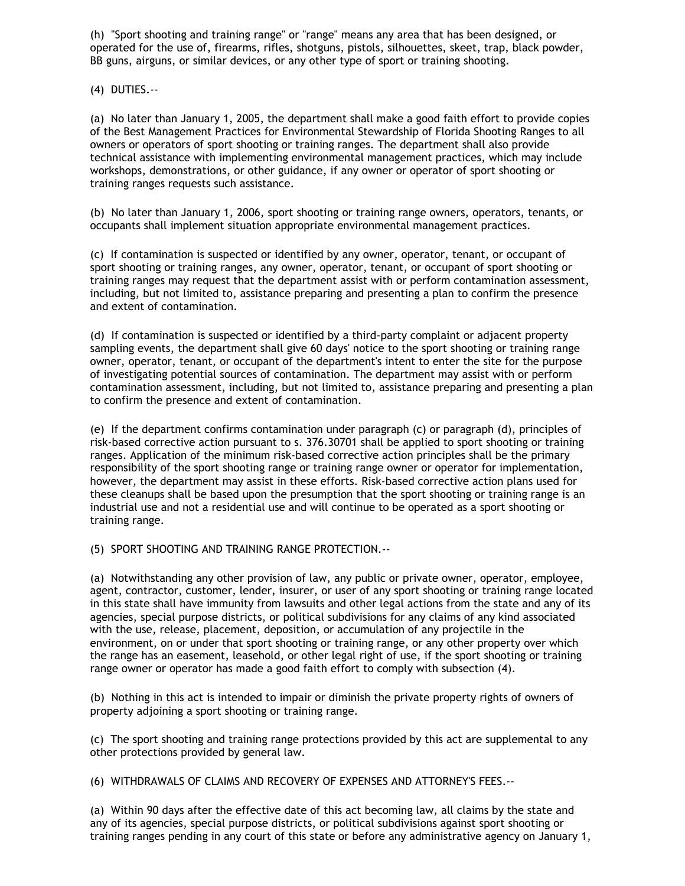(h) "Sport shooting and training range" or "range" means any area that has been designed, or operated for the use of, firearms, rifles, shotguns, pistols, silhouettes, skeet, trap, black powder, BB guns, airguns, or similar devices, or any other type of sport or training shooting.

(4) DUTIES.--

(a) No later than January 1, 2005, the department shall make a good faith effort to provide copies of the Best Management Practices for Environmental Stewardship of Florida Shooting Ranges to all owners or operators of sport shooting or training ranges. The department shall also provide technical assistance with implementing environmental management practices, which may include workshops, demonstrations, or other guidance, if any owner or operator of sport shooting or training ranges requests such assistance.

(b) No later than January 1, 2006, sport shooting or training range owners, operators, tenants, or occupants shall implement situation appropriate environmental management practices.

(c) If contamination is suspected or identified by any owner, operator, tenant, or occupant of sport shooting or training ranges, any owner, operator, tenant, or occupant of sport shooting or training ranges may request that the department assist with or perform contamination assessment, including, but not limited to, assistance preparing and presenting a plan to confirm the presence and extent of contamination.

(d) If contamination is suspected or identified by a third-party complaint or adjacent property sampling events, the department shall give 60 days' notice to the sport shooting or training range owner, operator, tenant, or occupant of the department's intent to enter the site for the purpose of investigating potential sources of contamination. The department may assist with or perform contamination assessment, including, but not limited to, assistance preparing and presenting a plan to confirm the presence and extent of contamination.

(e) If the department confirms contamination under paragraph (c) or paragraph (d), principles of risk-based corrective action pursuant to s. 376.30701 shall be applied to sport shooting or training ranges. Application of the minimum risk-based corrective action principles shall be the primary responsibility of the sport shooting range or training range owner or operator for implementation, however, the department may assist in these efforts. Risk-based corrective action plans used for these cleanups shall be based upon the presumption that the sport shooting or training range is an industrial use and not a residential use and will continue to be operated as a sport shooting or training range.

(5) SPORT SHOOTING AND TRAINING RANGE PROTECTION.--

(a) Notwithstanding any other provision of law, any public or private owner, operator, employee, agent, contractor, customer, lender, insurer, or user of any sport shooting or training range located in this state shall have immunity from lawsuits and other legal actions from the state and any of its agencies, special purpose districts, or political subdivisions for any claims of any kind associated with the use, release, placement, deposition, or accumulation of any projectile in the environment, on or under that sport shooting or training range, or any other property over which the range has an easement, leasehold, or other legal right of use, if the sport shooting or training range owner or operator has made a good faith effort to comply with subsection (4).

(b) Nothing in this act is intended to impair or diminish the private property rights of owners of property adjoining a sport shooting or training range.

(c) The sport shooting and training range protections provided by this act are supplemental to any other protections provided by general law.

(6) WITHDRAWALS OF CLAIMS AND RECOVERY OF EXPENSES AND ATTORNEY'S FEES.--

(a) Within 90 days after the effective date of this act becoming law, all claims by the state and any of its agencies, special purpose districts, or political subdivisions against sport shooting or training ranges pending in any court of this state or before any administrative agency on January 1,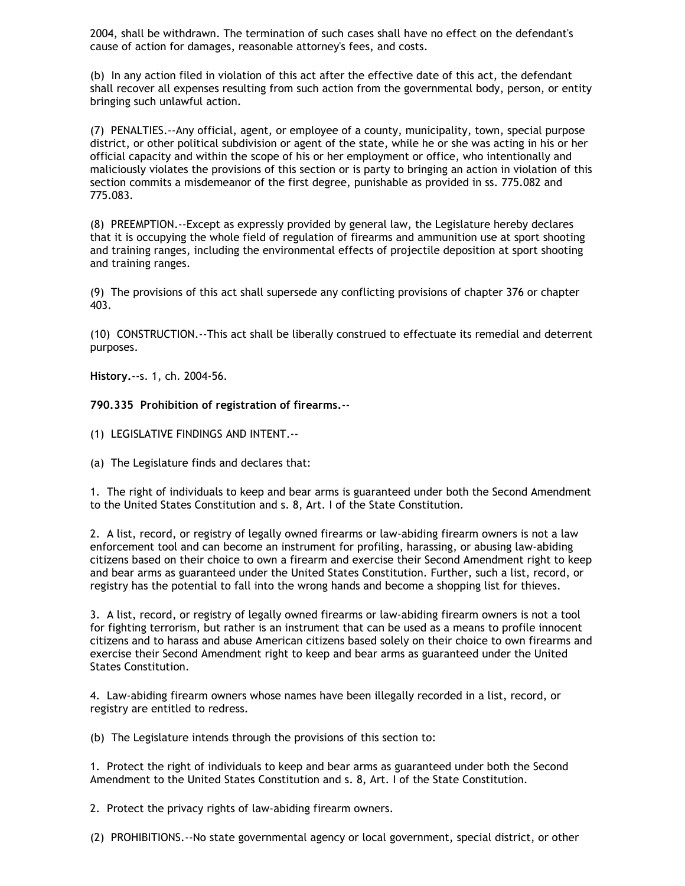2004, shall be withdrawn. The termination of such cases shall have no effect on the defendant's cause of action for damages, reasonable attorney's fees, and costs.

(b) In any action filed in violation of this act after the effective date of this act, the defendant shall recover all expenses resulting from such action from the governmental body, person, or entity bringing such unlawful action.

(7) PENALTIES.--Any official, agent, or employee of a county, municipality, town, special purpose district, or other political subdivision or agent of the state, while he or she was acting in his or her official capacity and within the scope of his or her employment or office, who intentionally and maliciously violates the provisions of this section or is party to bringing an action in violation of this section commits a misdemeanor of the first degree, punishable as provided in ss. 775.082 and 775.083.

(8) PREEMPTION.--Except as expressly provided by general law, the Legislature hereby declares that it is occupying the whole field of regulation of firearms and ammunition use at sport shooting and training ranges, including the environmental effects of projectile deposition at sport shooting and training ranges.

(9) The provisions of this act shall supersede any conflicting provisions of chapter 376 or chapter 403.

(10) CONSTRUCTION.--This act shall be liberally construed to effectuate its remedial and deterrent purposes.

**History.**--s. 1, ch. 2004-56.

**790.335 Prohibition of registration of firearms.**--

(1) LEGISLATIVE FINDINGS AND INTENT.--

(a) The Legislature finds and declares that:

1. The right of individuals to keep and bear arms is guaranteed under both the Second Amendment to the United States Constitution and s. 8, Art. I of the State Constitution.

2. A list, record, or registry of legally owned firearms or law-abiding firearm owners is not a law enforcement tool and can become an instrument for profiling, harassing, or abusing law-abiding citizens based on their choice to own a firearm and exercise their Second Amendment right to keep and bear arms as guaranteed under the United States Constitution. Further, such a list, record, or registry has the potential to fall into the wrong hands and become a shopping list for thieves.

3. A list, record, or registry of legally owned firearms or law-abiding firearm owners is not a tool for fighting terrorism, but rather is an instrument that can be used as a means to profile innocent citizens and to harass and abuse American citizens based solely on their choice to own firearms and exercise their Second Amendment right to keep and bear arms as guaranteed under the United States Constitution.

4. Law-abiding firearm owners whose names have been illegally recorded in a list, record, or registry are entitled to redress.

(b) The Legislature intends through the provisions of this section to:

1. Protect the right of individuals to keep and bear arms as guaranteed under both the Second Amendment to the United States Constitution and s. 8, Art. I of the State Constitution.

2. Protect the privacy rights of law-abiding firearm owners.

(2) PROHIBITIONS.--No state governmental agency or local government, special district, or other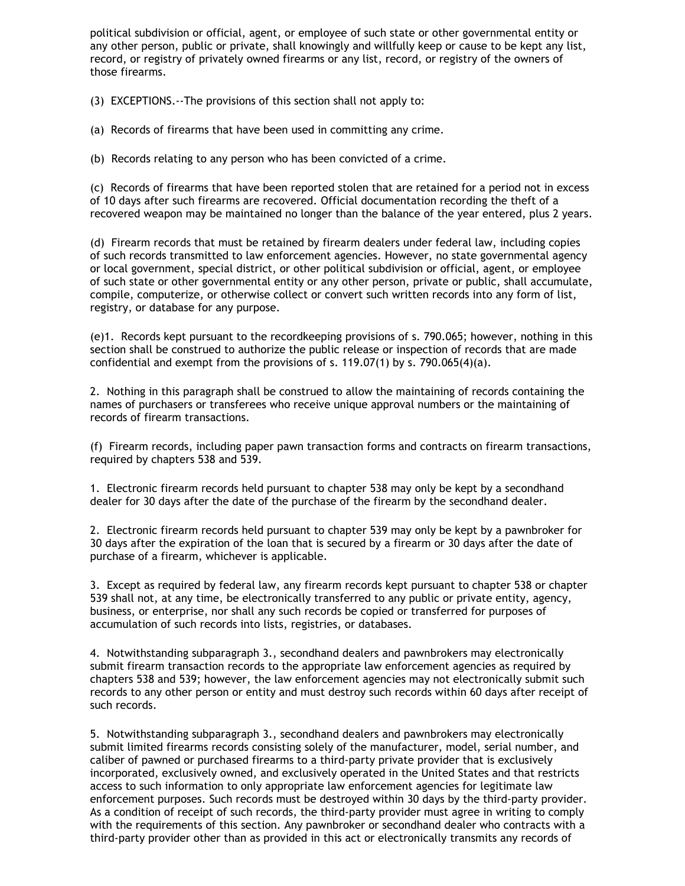political subdivision or official, agent, or employee of such state or other governmental entity or any other person, public or private, shall knowingly and willfully keep or cause to be kept any list, record, or registry of privately owned firearms or any list, record, or registry of the owners of those firearms.

(3) EXCEPTIONS.--The provisions of this section shall not apply to:

(a) Records of firearms that have been used in committing any crime.

(b) Records relating to any person who has been convicted of a crime.

(c) Records of firearms that have been reported stolen that are retained for a period not in excess of 10 days after such firearms are recovered. Official documentation recording the theft of a recovered weapon may be maintained no longer than the balance of the year entered, plus 2 years.

(d) Firearm records that must be retained by firearm dealers under federal law, including copies of such records transmitted to law enforcement agencies. However, no state governmental agency or local government, special district, or other political subdivision or official, agent, or employee of such state or other governmental entity or any other person, private or public, shall accumulate, compile, computerize, or otherwise collect or convert such written records into any form of list, registry, or database for any purpose.

(e)1. Records kept pursuant to the recordkeeping provisions of s. 790.065; however, nothing in this section shall be construed to authorize the public release or inspection of records that are made confidential and exempt from the provisions of s.  $119.07(1)$  by s. 790.065(4)(a).

2. Nothing in this paragraph shall be construed to allow the maintaining of records containing the names of purchasers or transferees who receive unique approval numbers or the maintaining of records of firearm transactions.

(f) Firearm records, including paper pawn transaction forms and contracts on firearm transactions, required by chapters 538 and 539.

1. Electronic firearm records held pursuant to chapter 538 may only be kept by a secondhand dealer for 30 days after the date of the purchase of the firearm by the secondhand dealer.

2. Electronic firearm records held pursuant to chapter 539 may only be kept by a pawnbroker for 30 days after the expiration of the loan that is secured by a firearm or 30 days after the date of purchase of a firearm, whichever is applicable.

3. Except as required by federal law, any firearm records kept pursuant to chapter 538 or chapter 539 shall not, at any time, be electronically transferred to any public or private entity, agency, business, or enterprise, nor shall any such records be copied or transferred for purposes of accumulation of such records into lists, registries, or databases.

4. Notwithstanding subparagraph 3., secondhand dealers and pawnbrokers may electronically submit firearm transaction records to the appropriate law enforcement agencies as required by chapters 538 and 539; however, the law enforcement agencies may not electronically submit such records to any other person or entity and must destroy such records within 60 days after receipt of such records.

5. Notwithstanding subparagraph 3., secondhand dealers and pawnbrokers may electronically submit limited firearms records consisting solely of the manufacturer, model, serial number, and caliber of pawned or purchased firearms to a third-party private provider that is exclusively incorporated, exclusively owned, and exclusively operated in the United States and that restricts access to such information to only appropriate law enforcement agencies for legitimate law enforcement purposes. Such records must be destroyed within 30 days by the third-party provider. As a condition of receipt of such records, the third-party provider must agree in writing to comply with the requirements of this section. Any pawnbroker or secondhand dealer who contracts with a third-party provider other than as provided in this act or electronically transmits any records of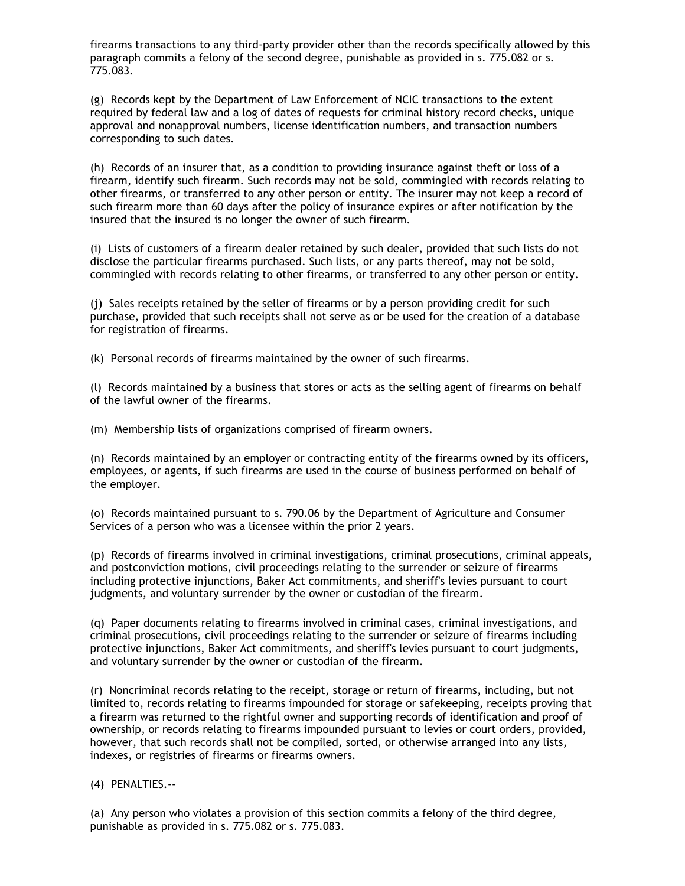firearms transactions to any third-party provider other than the records specifically allowed by this paragraph commits a felony of the second degree, punishable as provided in s. 775.082 or s. 775.083.

(g) Records kept by the Department of Law Enforcement of NCIC transactions to the extent required by federal law and a log of dates of requests for criminal history record checks, unique approval and nonapproval numbers, license identification numbers, and transaction numbers corresponding to such dates.

(h) Records of an insurer that, as a condition to providing insurance against theft or loss of a firearm, identify such firearm. Such records may not be sold, commingled with records relating to other firearms, or transferred to any other person or entity. The insurer may not keep a record of such firearm more than 60 days after the policy of insurance expires or after notification by the insured that the insured is no longer the owner of such firearm.

(i) Lists of customers of a firearm dealer retained by such dealer, provided that such lists do not disclose the particular firearms purchased. Such lists, or any parts thereof, may not be sold, commingled with records relating to other firearms, or transferred to any other person or entity.

(j) Sales receipts retained by the seller of firearms or by a person providing credit for such purchase, provided that such receipts shall not serve as or be used for the creation of a database for registration of firearms.

(k) Personal records of firearms maintained by the owner of such firearms.

(l) Records maintained by a business that stores or acts as the selling agent of firearms on behalf of the lawful owner of the firearms.

(m) Membership lists of organizations comprised of firearm owners.

(n) Records maintained by an employer or contracting entity of the firearms owned by its officers, employees, or agents, if such firearms are used in the course of business performed on behalf of the employer.

(o) Records maintained pursuant to s. 790.06 by the Department of Agriculture and Consumer Services of a person who was a licensee within the prior 2 years.

(p) Records of firearms involved in criminal investigations, criminal prosecutions, criminal appeals, and postconviction motions, civil proceedings relating to the surrender or seizure of firearms including protective injunctions, Baker Act commitments, and sheriff's levies pursuant to court judgments, and voluntary surrender by the owner or custodian of the firearm.

(q) Paper documents relating to firearms involved in criminal cases, criminal investigations, and criminal prosecutions, civil proceedings relating to the surrender or seizure of firearms including protective injunctions, Baker Act commitments, and sheriff's levies pursuant to court judgments, and voluntary surrender by the owner or custodian of the firearm.

(r) Noncriminal records relating to the receipt, storage or return of firearms, including, but not limited to, records relating to firearms impounded for storage or safekeeping, receipts proving that a firearm was returned to the rightful owner and supporting records of identification and proof of ownership, or records relating to firearms impounded pursuant to levies or court orders, provided, however, that such records shall not be compiled, sorted, or otherwise arranged into any lists, indexes, or registries of firearms or firearms owners.

(4) PENALTIES.--

(a) Any person who violates a provision of this section commits a felony of the third degree, punishable as provided in s. 775.082 or s. 775.083.